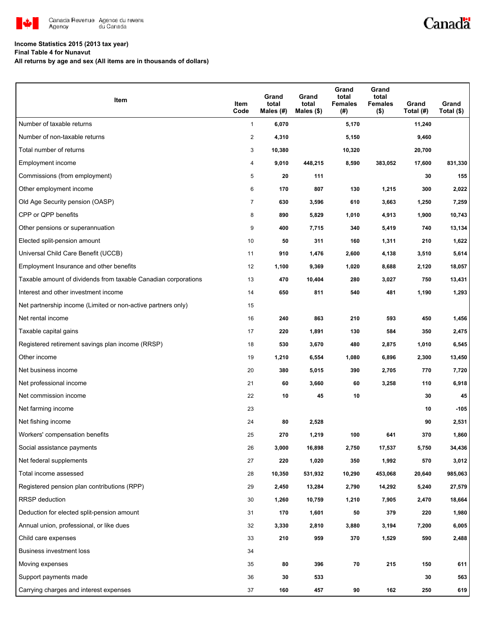

# Canadä

### **Income Statistics 2015 (2013 tax year)**

**Final Table 4 for Nunavut**

**All returns by age and sex (All items are in thousands of dollars)**

| Item                                                           | Item<br>Code   | Grand<br>total<br>Males (#) | Grand<br>total<br>Males $(\$)$ | Grand<br>total<br><b>Females</b><br>(#) | Grand<br>total<br><b>Females</b><br>$($ \$) | Grand<br>Total (#) | Grand<br>Total (\$) |
|----------------------------------------------------------------|----------------|-----------------------------|--------------------------------|-----------------------------------------|---------------------------------------------|--------------------|---------------------|
| Number of taxable returns                                      | $\mathbf{1}$   | 6,070                       |                                | 5,170                                   |                                             | 11,240             |                     |
| Number of non-taxable returns                                  | $\overline{2}$ | 4,310                       |                                | 5,150                                   |                                             | 9,460              |                     |
| Total number of returns                                        | 3              | 10,380                      |                                | 10,320                                  |                                             | 20,700             |                     |
| Employment income                                              | 4              | 9,010                       | 448,215                        | 8,590                                   | 383,052                                     | 17,600             | 831,330             |
| Commissions (from employment)                                  | 5              | 20                          | 111                            |                                         |                                             | 30                 | 155                 |
| Other employment income                                        | 6              | 170                         | 807                            | 130                                     | 1,215                                       | 300                | 2,022               |
| Old Age Security pension (OASP)                                | $\overline{7}$ | 630                         | 3,596                          | 610                                     | 3,663                                       | 1,250              | 7,259               |
| CPP or QPP benefits                                            | 8              | 890                         | 5,829                          | 1,010                                   | 4,913                                       | 1,900              | 10,743              |
| Other pensions or superannuation                               | 9              | 400                         | 7,715                          | 340                                     | 5,419                                       | 740                | 13,134              |
| Elected split-pension amount                                   | 10             | 50                          | 311                            | 160                                     | 1,311                                       | 210                | 1,622               |
| Universal Child Care Benefit (UCCB)                            | 11             | 910                         | 1,476                          | 2,600                                   | 4,138                                       | 3,510              | 5,614               |
| Employment Insurance and other benefits                        | 12             | 1,100                       | 9,369                          | 1,020                                   | 8,688                                       | 2,120              | 18,057              |
| Taxable amount of dividends from taxable Canadian corporations | 13             | 470                         | 10,404                         | 280                                     | 3,027                                       | 750                | 13,431              |
| Interest and other investment income                           | 14             | 650                         | 811                            | 540                                     | 481                                         | 1,190              | 1,293               |
| Net partnership income (Limited or non-active partners only)   | 15             |                             |                                |                                         |                                             |                    |                     |
| Net rental income                                              | 16             | 240                         | 863                            | 210                                     | 593                                         | 450                | 1,456               |
| Taxable capital gains                                          | 17             | 220                         | 1,891                          | 130                                     | 584                                         | 350                | 2,475               |
| Registered retirement savings plan income (RRSP)               | 18             | 530                         | 3,670                          | 480                                     | 2,875                                       | 1,010              | 6,545               |
| Other income                                                   | 19             | 1,210                       | 6,554                          | 1,080                                   | 6,896                                       | 2,300              | 13,450              |
| Net business income                                            | 20             | 380                         | 5,015                          | 390                                     | 2,705                                       | 770                | 7,720               |
| Net professional income                                        | 21             | 60                          | 3,660                          | 60                                      | 3,258                                       | 110                | 6,918               |
| Net commission income                                          | 22             | 10                          | 45                             | 10                                      |                                             | 30                 | 45                  |
| Net farming income                                             | 23             |                             |                                |                                         |                                             | 10                 | $-105$              |
| Net fishing income                                             | 24             | 80                          | 2,528                          |                                         |                                             | 90                 | 2,531               |
| Workers' compensation benefits                                 | 25             | 270                         | 1,219                          | 100                                     | 641                                         | 370                | 1,860               |
| Social assistance payments                                     | 26             | 3,000                       | 16,898                         | 2,750                                   | 17,537                                      | 5,750              | 34,436              |
| Net federal supplements                                        | 27             | 220                         | 1,020                          | 350                                     | 1,992                                       | 570                | 3,012               |
| Total income assessed                                          | 28             | 10,350                      | 531,932                        | 10,290                                  | 453,068                                     | 20,640             | 985,063             |
| Registered pension plan contributions (RPP)                    | 29             | 2,450                       | 13,284                         | 2,790                                   | 14,292                                      | 5,240              | 27,579              |
| <b>RRSP</b> deduction                                          | 30             | 1,260                       | 10,759                         | 1,210                                   | 7,905                                       | 2,470              | 18,664              |
| Deduction for elected split-pension amount                     | 31             | 170                         | 1,601                          | 50                                      | 379                                         | 220                | 1,980               |
| Annual union, professional, or like dues                       | 32             | 3,330                       | 2,810                          | 3,880                                   | 3,194                                       | 7,200              | 6,005               |
| Child care expenses                                            | 33             | 210                         | 959                            | 370                                     | 1,529                                       | 590                | 2,488               |
| Business investment loss                                       | 34             |                             |                                |                                         |                                             |                    |                     |
| Moving expenses                                                | 35             | 80                          | 396                            | 70                                      | 215                                         | 150                | 611                 |
| Support payments made                                          | 36             | 30                          | 533                            |                                         |                                             | 30                 | 563                 |
| Carrying charges and interest expenses                         | 37             | 160                         | 457                            | 90                                      | 162                                         | 250                | 619                 |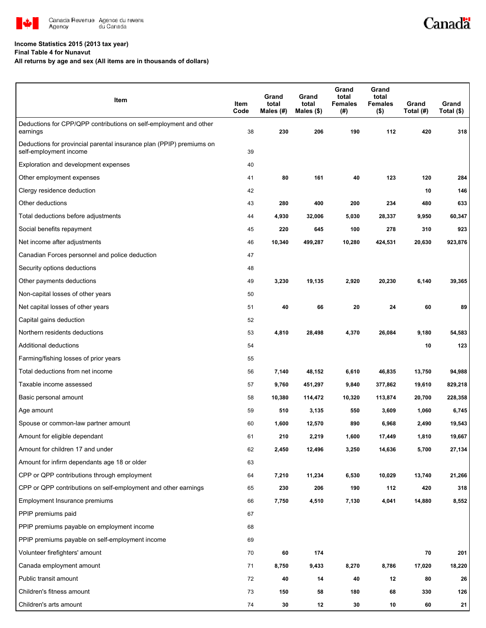

#### **Income Statistics 2015 (2013 tax year)**

**Final Table 4 for Nunavut**

#### **All returns by age and sex (All items are in thousands of dollars)**

| Item                                                                                           | Item<br>Code | Grand<br>total<br>Males (#) | Grand<br>total<br>Males (\$) | Grand<br>total<br><b>Females</b><br>(#) | Grand<br>total<br><b>Females</b><br>$($ \$) | Grand<br>Total (#) | Grand<br>Total (\$) |
|------------------------------------------------------------------------------------------------|--------------|-----------------------------|------------------------------|-----------------------------------------|---------------------------------------------|--------------------|---------------------|
| Deductions for CPP/QPP contributions on self-employment and other<br>earnings                  | 38           | 230                         | 206                          | 190                                     | 112                                         | 420                | 318                 |
| Deductions for provincial parental insurance plan (PPIP) premiums on<br>self-employment income | 39           |                             |                              |                                         |                                             |                    |                     |
| Exploration and development expenses                                                           | 40           |                             |                              |                                         |                                             |                    |                     |
| Other employment expenses                                                                      | 41           | 80                          | 161                          | 40                                      | 123                                         | 120                | 284                 |
| Clergy residence deduction                                                                     | 42           |                             |                              |                                         |                                             | 10                 | 146                 |
| Other deductions                                                                               | 43           | 280                         | 400                          | 200                                     | 234                                         | 480                | 633                 |
| Total deductions before adjustments                                                            | 44           | 4,930                       | 32,006                       | 5,030                                   | 28,337                                      | 9,950              | 60,347              |
| Social benefits repayment                                                                      | 45           | 220                         | 645                          | 100                                     | 278                                         | 310                | 923                 |
| Net income after adjustments                                                                   | 46           | 10,340                      | 499,287                      | 10,280                                  | 424,531                                     | 20,630             | 923,876             |
| Canadian Forces personnel and police deduction                                                 | 47           |                             |                              |                                         |                                             |                    |                     |
| Security options deductions                                                                    | 48           |                             |                              |                                         |                                             |                    |                     |
| Other payments deductions                                                                      | 49           | 3,230                       | 19,135                       | 2,920                                   | 20,230                                      | 6,140              | 39,365              |
| Non-capital losses of other years                                                              | 50           |                             |                              |                                         |                                             |                    |                     |
| Net capital losses of other years                                                              | 51           | 40                          | 66                           | 20                                      | 24                                          | 60                 | 89                  |
| Capital gains deduction                                                                        | 52           |                             |                              |                                         |                                             |                    |                     |
| Northern residents deductions                                                                  | 53           | 4,810                       | 28,498                       | 4,370                                   | 26,084                                      | 9,180              | 54,583              |
| Additional deductions                                                                          | 54           |                             |                              |                                         |                                             | 10                 | 123                 |
| Farming/fishing losses of prior years                                                          | 55           |                             |                              |                                         |                                             |                    |                     |
| Total deductions from net income                                                               | 56           | 7,140                       | 48,152                       | 6,610                                   | 46,835                                      | 13,750             | 94,988              |
| Taxable income assessed                                                                        | 57           | 9,760                       | 451,297                      | 9,840                                   | 377,862                                     | 19,610             | 829,218             |
| Basic personal amount                                                                          | 58           | 10,380                      | 114,472                      | 10,320                                  | 113,874                                     | 20,700             | 228,358             |
| Age amount                                                                                     | 59           | 510                         | 3,135                        | 550                                     | 3,609                                       | 1,060              | 6,745               |
| Spouse or common-law partner amount                                                            | 60           | 1,600                       | 12,570                       | 890                                     | 6,968                                       | 2,490              | 19,543              |
| Amount for eligible dependant                                                                  | 61           | 210                         | 2,219                        | 1,600                                   | 17,449                                      | 1,810              | 19,667              |
| Amount for children 17 and under                                                               | 62           | 2,450                       | 12,496                       | 3,250                                   | 14,636                                      | 5,700              | 27,134              |
| Amount for infirm dependants age 18 or older                                                   | 63           |                             |                              |                                         |                                             |                    |                     |
| CPP or QPP contributions through employment                                                    | 64           | 7,210                       | 11,234                       | 6,530                                   | 10,029                                      | 13,740             | 21,266              |
| CPP or QPP contributions on self-employment and other earnings                                 | 65           | 230                         | 206                          | 190                                     | 112                                         | 420                | 318                 |
| Employment Insurance premiums                                                                  | 66           | 7,750                       | 4,510                        | 7,130                                   | 4,041                                       | 14,880             | 8,552               |
| PPIP premiums paid                                                                             | 67           |                             |                              |                                         |                                             |                    |                     |
| PPIP premiums payable on employment income                                                     | 68           |                             |                              |                                         |                                             |                    |                     |
| PPIP premiums payable on self-employment income                                                | 69           |                             |                              |                                         |                                             |                    |                     |
| Volunteer firefighters' amount                                                                 | 70           | 60                          | 174                          |                                         |                                             | 70                 | 201                 |
| Canada employment amount                                                                       | 71           | 8,750                       | 9,433                        | 8,270                                   | 8,786                                       | 17,020             | 18,220              |
| Public transit amount                                                                          | 72           | 40                          | 14                           | 40                                      | 12                                          | 80                 | 26                  |
| Children's fitness amount                                                                      | 73           | 150                         | 58                           | 180                                     | 68                                          | 330                | 126                 |
| Children's arts amount                                                                         | 74           | 30                          | 12                           | 30                                      | 10                                          | 60                 | 21                  |

Canadä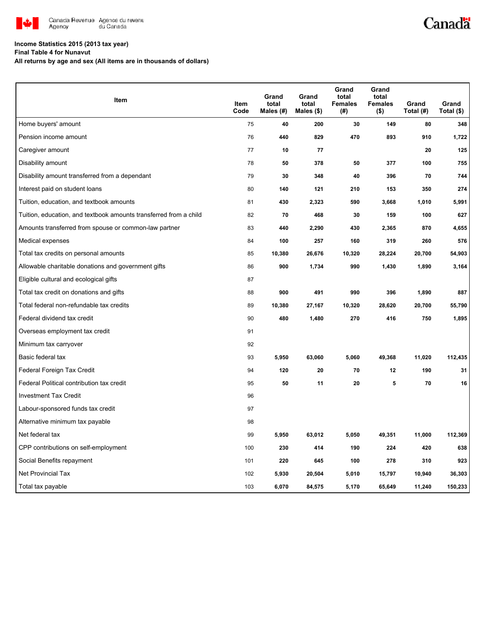

# Canadä

### **Income Statistics 2015 (2013 tax year)**

**Final Table 4 for Nunavut**

**All returns by age and sex (All items are in thousands of dollars)**

| Item                                                              | <b>Item</b><br>Code | Grand<br>total<br>Males (#) | Grand<br>total     | Grand<br>total<br><b>Females</b> | Grand<br>total<br><b>Females</b> | Grand<br>Total (#) | Grand             |
|-------------------------------------------------------------------|---------------------|-----------------------------|--------------------|----------------------------------|----------------------------------|--------------------|-------------------|
| Home buyers' amount                                               | 75                  | 40                          | Males $($)$<br>200 | (#)<br>30                        | $($ \$)<br>149                   | 80                 | Total (\$)<br>348 |
| Pension income amount                                             | 76                  | 440                         | 829                | 470                              | 893                              | 910                | 1,722             |
| Caregiver amount                                                  | 77                  | 10                          | 77                 |                                  |                                  | 20                 | 125               |
| Disability amount                                                 | 78                  | 50                          | 378                | 50                               | 377                              | 100                | 755               |
| Disability amount transferred from a dependant                    | 79                  | 30                          | 348                | 40                               | 396                              | 70                 | 744               |
|                                                                   |                     |                             | 121                |                                  | 153                              | 350                | 274               |
| Interest paid on student loans                                    | 80                  | 140                         |                    | 210                              |                                  |                    |                   |
| Tuition, education, and textbook amounts                          | 81                  | 430                         | 2,323              | 590                              | 3,668                            | 1,010              | 5,991             |
| Tuition, education, and textbook amounts transferred from a child | 82                  | 70                          | 468                | 30                               | 159                              | 100                | 627               |
| Amounts transferred from spouse or common-law partner             | 83                  | 440                         | 2,290              | 430                              | 2,365                            | 870                | 4,655             |
| Medical expenses                                                  | 84                  | 100                         | 257                | 160                              | 319                              | 260                | 576               |
| Total tax credits on personal amounts                             | 85                  | 10,380                      | 26,676             | 10,320                           | 28,224                           | 20,700             | 54,903            |
| Allowable charitable donations and government gifts               | 86                  | 900                         | 1,734              | 990                              | 1,430                            | 1,890              | 3,164             |
| Eligible cultural and ecological gifts                            | 87                  |                             |                    |                                  |                                  |                    |                   |
| Total tax credit on donations and gifts                           | 88                  | 900                         | 491                | 990                              | 396                              | 1,890              | 887               |
| Total federal non-refundable tax credits                          | 89                  | 10,380                      | 27,167             | 10,320                           | 28,620                           | 20,700             | 55,790            |
| Federal dividend tax credit                                       | 90                  | 480                         | 1,480              | 270                              | 416                              | 750                | 1,895             |
| Overseas employment tax credit                                    | 91                  |                             |                    |                                  |                                  |                    |                   |
| Minimum tax carryover                                             | 92                  |                             |                    |                                  |                                  |                    |                   |
| Basic federal tax                                                 | 93                  | 5,950                       | 63,060             | 5,060                            | 49,368                           | 11,020             | 112,435           |
| Federal Foreign Tax Credit                                        | 94                  | 120                         | 20                 | 70                               | 12                               | 190                | 31                |
| Federal Political contribution tax credit                         | 95                  | 50                          | 11                 | 20                               | 5                                | 70                 | 16                |
| <b>Investment Tax Credit</b>                                      | 96                  |                             |                    |                                  |                                  |                    |                   |
| Labour-sponsored funds tax credit                                 | 97                  |                             |                    |                                  |                                  |                    |                   |
| Alternative minimum tax payable                                   | 98                  |                             |                    |                                  |                                  |                    |                   |
| Net federal tax                                                   | 99                  | 5,950                       | 63,012             | 5,050                            | 49,351                           | 11,000             | 112,369           |
| CPP contributions on self-employment                              | 100                 | 230                         | 414                | 190                              | 224                              | 420                | 638               |
| Social Benefits repayment                                         | 101                 | 220                         | 645                | 100                              | 278                              | 310                | 923               |
| <b>Net Provincial Tax</b>                                         | 102                 | 5,930                       | 20,504             | 5,010                            | 15,797                           | 10,940             | 36,303            |
| Total tax payable                                                 | 103                 | 6,070                       | 84,575             | 5,170                            | 65,649                           | 11,240             | 150,233           |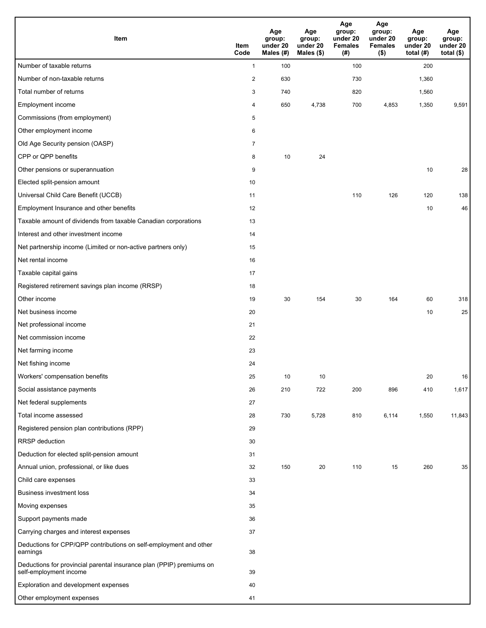| Item                                                                                           | Item<br>Code   | Age<br>group:<br>under 20<br>Males (#) | Age<br>group:<br>under 20<br>Males (\$) | Age<br>group:<br>under 20<br><b>Females</b><br>(# ) | Age<br>group:<br>under 20<br><b>Females</b><br>$($ \$) | Age<br>group:<br>under 20<br>total $(H)$ | Age<br>group:<br>under 20<br>total $($)$ |
|------------------------------------------------------------------------------------------------|----------------|----------------------------------------|-----------------------------------------|-----------------------------------------------------|--------------------------------------------------------|------------------------------------------|------------------------------------------|
| Number of taxable returns                                                                      | $\mathbf{1}$   | 100                                    |                                         | 100                                                 |                                                        | 200                                      |                                          |
| Number of non-taxable returns                                                                  | $\overline{2}$ | 630                                    |                                         | 730                                                 |                                                        | 1,360                                    |                                          |
| Total number of returns                                                                        | 3              | 740                                    |                                         | 820                                                 |                                                        | 1,560                                    |                                          |
| Employment income                                                                              | 4              | 650                                    | 4,738                                   | 700                                                 | 4,853                                                  | 1,350                                    | 9,591                                    |
| Commissions (from employment)                                                                  | 5              |                                        |                                         |                                                     |                                                        |                                          |                                          |
| Other employment income                                                                        | 6              |                                        |                                         |                                                     |                                                        |                                          |                                          |
| Old Age Security pension (OASP)                                                                | $\overline{7}$ |                                        |                                         |                                                     |                                                        |                                          |                                          |
| CPP or QPP benefits                                                                            | 8              | 10                                     | 24                                      |                                                     |                                                        |                                          |                                          |
| Other pensions or superannuation                                                               | 9              |                                        |                                         |                                                     |                                                        | 10                                       | 28                                       |
| Elected split-pension amount                                                                   | 10             |                                        |                                         |                                                     |                                                        |                                          |                                          |
| Universal Child Care Benefit (UCCB)                                                            | 11             |                                        |                                         | 110                                                 | 126                                                    | 120                                      | 138                                      |
| Employment Insurance and other benefits                                                        | 12             |                                        |                                         |                                                     |                                                        | 10                                       | 46                                       |
| Taxable amount of dividends from taxable Canadian corporations                                 | 13             |                                        |                                         |                                                     |                                                        |                                          |                                          |
| Interest and other investment income                                                           | 14             |                                        |                                         |                                                     |                                                        |                                          |                                          |
| Net partnership income (Limited or non-active partners only)                                   | 15             |                                        |                                         |                                                     |                                                        |                                          |                                          |
| Net rental income                                                                              | 16             |                                        |                                         |                                                     |                                                        |                                          |                                          |
| Taxable capital gains                                                                          | 17             |                                        |                                         |                                                     |                                                        |                                          |                                          |
| Registered retirement savings plan income (RRSP)                                               | 18             |                                        |                                         |                                                     |                                                        |                                          |                                          |
| Other income                                                                                   | 19             | 30                                     | 154                                     | 30                                                  | 164                                                    | 60                                       | 318                                      |
| Net business income                                                                            | 20             |                                        |                                         |                                                     |                                                        | 10                                       | 25                                       |
| Net professional income                                                                        | 21             |                                        |                                         |                                                     |                                                        |                                          |                                          |
| Net commission income                                                                          | 22             |                                        |                                         |                                                     |                                                        |                                          |                                          |
| Net farming income                                                                             | 23             |                                        |                                         |                                                     |                                                        |                                          |                                          |
| Net fishing income                                                                             | 24             |                                        |                                         |                                                     |                                                        |                                          |                                          |
| Workers' compensation benefits                                                                 | 25             | 10                                     | 10                                      |                                                     |                                                        | 20                                       | 16                                       |
| Social assistance payments                                                                     | 26             | 210                                    | 722                                     | 200                                                 | 896                                                    | 410                                      | 1,617                                    |
| Net federal supplements                                                                        | 27             |                                        |                                         |                                                     |                                                        |                                          |                                          |
| Total income assessed                                                                          | 28             | 730                                    | 5,728                                   | 810                                                 | 6,114                                                  | 1,550                                    | 11,843                                   |
| Registered pension plan contributions (RPP)                                                    | 29             |                                        |                                         |                                                     |                                                        |                                          |                                          |
| RRSP deduction                                                                                 | 30             |                                        |                                         |                                                     |                                                        |                                          |                                          |
| Deduction for elected split-pension amount                                                     | 31             |                                        |                                         |                                                     |                                                        |                                          |                                          |
| Annual union, professional, or like dues                                                       | 32             | 150                                    | 20                                      | 110                                                 | 15                                                     | 260                                      | 35                                       |
| Child care expenses                                                                            | 33             |                                        |                                         |                                                     |                                                        |                                          |                                          |
| Business investment loss                                                                       | 34             |                                        |                                         |                                                     |                                                        |                                          |                                          |
| Moving expenses                                                                                | 35             |                                        |                                         |                                                     |                                                        |                                          |                                          |
| Support payments made                                                                          | 36             |                                        |                                         |                                                     |                                                        |                                          |                                          |
| Carrying charges and interest expenses                                                         | 37             |                                        |                                         |                                                     |                                                        |                                          |                                          |
| Deductions for CPP/QPP contributions on self-employment and other<br>earnings                  | 38             |                                        |                                         |                                                     |                                                        |                                          |                                          |
| Deductions for provincial parental insurance plan (PPIP) premiums on<br>self-employment income | 39             |                                        |                                         |                                                     |                                                        |                                          |                                          |
| Exploration and development expenses                                                           | 40             |                                        |                                         |                                                     |                                                        |                                          |                                          |
| Other employment expenses                                                                      | 41             |                                        |                                         |                                                     |                                                        |                                          |                                          |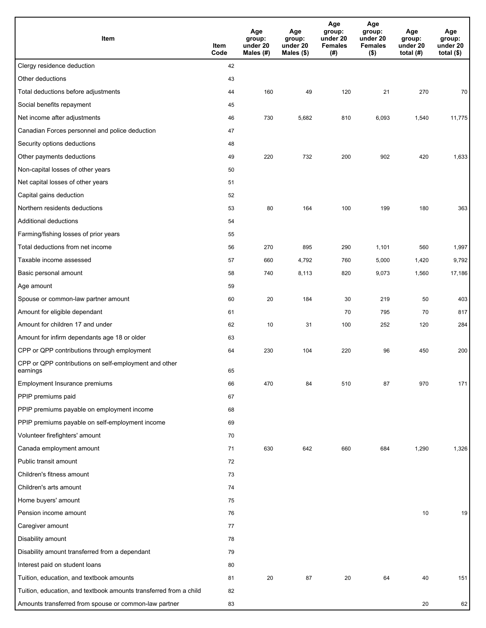| Item                                                              | Item<br>Code | Age<br>group:<br>under 20<br>Males (#) | Age<br>group:<br>under 20<br>Males (\$) | Age<br>group:<br>under 20<br><b>Females</b><br>(# ) | Age<br>group:<br>under 20<br><b>Females</b><br>$($ \$) | Age<br>group:<br>under 20<br>total $(H)$ | Age<br>group:<br>under 20<br>total $($)$ |
|-------------------------------------------------------------------|--------------|----------------------------------------|-----------------------------------------|-----------------------------------------------------|--------------------------------------------------------|------------------------------------------|------------------------------------------|
| Clergy residence deduction                                        | 42           |                                        |                                         |                                                     |                                                        |                                          |                                          |
| Other deductions                                                  | 43           |                                        |                                         |                                                     |                                                        |                                          |                                          |
| Total deductions before adjustments                               | 44           | 160                                    | 49                                      | 120                                                 | 21                                                     | 270                                      | 70                                       |
| Social benefits repayment                                         | 45           |                                        |                                         |                                                     |                                                        |                                          |                                          |
| Net income after adjustments                                      | 46           | 730                                    | 5,682                                   | 810                                                 | 6,093                                                  | 1,540                                    | 11,775                                   |
| Canadian Forces personnel and police deduction                    | 47           |                                        |                                         |                                                     |                                                        |                                          |                                          |
| Security options deductions                                       | 48           |                                        |                                         |                                                     |                                                        |                                          |                                          |
| Other payments deductions                                         | 49           | 220                                    | 732                                     | 200                                                 | 902                                                    | 420                                      | 1,633                                    |
| Non-capital losses of other years                                 | 50           |                                        |                                         |                                                     |                                                        |                                          |                                          |
| Net capital losses of other years                                 | 51           |                                        |                                         |                                                     |                                                        |                                          |                                          |
| Capital gains deduction                                           | 52           |                                        |                                         |                                                     |                                                        |                                          |                                          |
| Northern residents deductions                                     | 53           | 80                                     | 164                                     | 100                                                 | 199                                                    | 180                                      | 363                                      |
| Additional deductions                                             | 54           |                                        |                                         |                                                     |                                                        |                                          |                                          |
| Farming/fishing losses of prior years                             | 55           |                                        |                                         |                                                     |                                                        |                                          |                                          |
| Total deductions from net income                                  | 56           | 270                                    | 895                                     | 290                                                 | 1,101                                                  | 560                                      | 1,997                                    |
| Taxable income assessed                                           | 57           | 660                                    | 4,792                                   | 760                                                 | 5,000                                                  | 1,420                                    | 9,792                                    |
| Basic personal amount                                             | 58           | 740                                    | 8,113                                   | 820                                                 | 9,073                                                  | 1,560                                    | 17,186                                   |
| Age amount                                                        | 59           |                                        |                                         |                                                     |                                                        |                                          |                                          |
| Spouse or common-law partner amount                               | 60           | 20                                     | 184                                     | 30                                                  | 219                                                    | 50                                       | 403                                      |
| Amount for eligible dependant                                     | 61           |                                        |                                         | 70                                                  | 795                                                    | 70                                       | 817                                      |
| Amount for children 17 and under                                  | 62           | 10                                     | 31                                      | 100                                                 | 252                                                    | 120                                      | 284                                      |
| Amount for infirm dependants age 18 or older                      | 63           |                                        |                                         |                                                     |                                                        |                                          |                                          |
| CPP or QPP contributions through employment                       | 64           | 230                                    | 104                                     | 220                                                 | 96                                                     | 450                                      | 200                                      |
| CPP or QPP contributions on self-employment and other<br>earnings | 65           |                                        |                                         |                                                     |                                                        |                                          |                                          |
| Employment Insurance premiums                                     | 66           | 470                                    | 84                                      | 510                                                 | 87                                                     | 970                                      | 171                                      |
| PPIP premiums paid                                                | 67           |                                        |                                         |                                                     |                                                        |                                          |                                          |
| PPIP premiums payable on employment income                        | 68           |                                        |                                         |                                                     |                                                        |                                          |                                          |
| PPIP premiums payable on self-employment income                   | 69           |                                        |                                         |                                                     |                                                        |                                          |                                          |
| Volunteer firefighters' amount                                    | 70           |                                        |                                         |                                                     |                                                        |                                          |                                          |
| Canada employment amount                                          | 71           | 630                                    | 642                                     | 660                                                 | 684                                                    | 1,290                                    | 1,326                                    |
| Public transit amount                                             | 72           |                                        |                                         |                                                     |                                                        |                                          |                                          |
| Children's fitness amount                                         | 73           |                                        |                                         |                                                     |                                                        |                                          |                                          |
| Children's arts amount                                            | 74           |                                        |                                         |                                                     |                                                        |                                          |                                          |
| Home buyers' amount                                               | 75           |                                        |                                         |                                                     |                                                        |                                          |                                          |
| Pension income amount                                             | 76           |                                        |                                         |                                                     |                                                        | 10                                       | 19                                       |
| Caregiver amount                                                  | 77           |                                        |                                         |                                                     |                                                        |                                          |                                          |
| Disability amount                                                 | 78           |                                        |                                         |                                                     |                                                        |                                          |                                          |
| Disability amount transferred from a dependant                    | 79           |                                        |                                         |                                                     |                                                        |                                          |                                          |
| Interest paid on student loans                                    | 80           |                                        |                                         |                                                     |                                                        |                                          |                                          |
| Tuition, education, and textbook amounts                          | 81           | 20                                     | 87                                      | 20                                                  | 64                                                     | 40                                       | 151                                      |
| Tuition, education, and textbook amounts transferred from a child | 82           |                                        |                                         |                                                     |                                                        |                                          |                                          |
| Amounts transferred from spouse or common-law partner             | 83           |                                        |                                         |                                                     |                                                        | $20\,$                                   | 62                                       |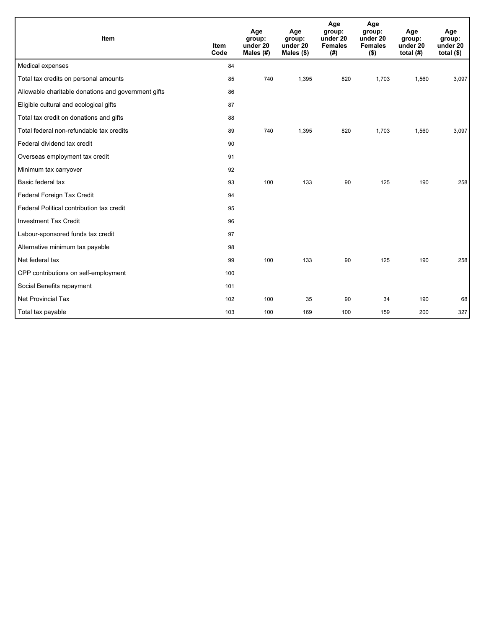| <b>Item</b>                                         | <b>Item</b><br>Code | Age<br>group:<br>under 20<br>Males $(H)$ | Age<br>group:<br>under 20<br>Males (\$) | Age<br>group:<br>under 20<br><b>Females</b><br>(# ) | Age<br>group:<br>under 20<br><b>Females</b><br>$($ \$) | Age<br>group:<br>under 20<br>total $(H)$ | Age<br>group:<br>under 20<br>total $($)$ |
|-----------------------------------------------------|---------------------|------------------------------------------|-----------------------------------------|-----------------------------------------------------|--------------------------------------------------------|------------------------------------------|------------------------------------------|
| Medical expenses                                    | 84                  |                                          |                                         |                                                     |                                                        |                                          |                                          |
| Total tax credits on personal amounts               | 85                  | 740                                      | 1,395                                   | 820                                                 | 1,703                                                  | 1,560                                    | 3,097                                    |
| Allowable charitable donations and government gifts | 86                  |                                          |                                         |                                                     |                                                        |                                          |                                          |
| Eligible cultural and ecological gifts              | 87                  |                                          |                                         |                                                     |                                                        |                                          |                                          |
| Total tax credit on donations and gifts             | 88                  |                                          |                                         |                                                     |                                                        |                                          |                                          |
| Total federal non-refundable tax credits            | 89                  | 740                                      | 1,395                                   | 820                                                 | 1,703                                                  | 1,560                                    | 3,097                                    |
| Federal dividend tax credit                         | 90                  |                                          |                                         |                                                     |                                                        |                                          |                                          |
| Overseas employment tax credit                      | 91                  |                                          |                                         |                                                     |                                                        |                                          |                                          |
| Minimum tax carryover                               | 92                  |                                          |                                         |                                                     |                                                        |                                          |                                          |
| Basic federal tax                                   | 93                  | 100                                      | 133                                     | 90                                                  | 125                                                    | 190                                      | 258                                      |
| Federal Foreign Tax Credit                          | 94                  |                                          |                                         |                                                     |                                                        |                                          |                                          |
| Federal Political contribution tax credit           | 95                  |                                          |                                         |                                                     |                                                        |                                          |                                          |
| <b>Investment Tax Credit</b>                        | 96                  |                                          |                                         |                                                     |                                                        |                                          |                                          |
| Labour-sponsored funds tax credit                   | 97                  |                                          |                                         |                                                     |                                                        |                                          |                                          |
| Alternative minimum tax payable                     | 98                  |                                          |                                         |                                                     |                                                        |                                          |                                          |
| Net federal tax                                     | 99                  | 100                                      | 133                                     | 90                                                  | 125                                                    | 190                                      | 258                                      |
| CPP contributions on self-employment                | 100                 |                                          |                                         |                                                     |                                                        |                                          |                                          |
| Social Benefits repayment                           | 101                 |                                          |                                         |                                                     |                                                        |                                          |                                          |
| <b>Net Provincial Tax</b>                           | 102                 | 100                                      | 35                                      | 90                                                  | 34                                                     | 190                                      | 68                                       |
| Total tax payable                                   | 103                 | 100                                      | 169                                     | 100                                                 | 159                                                    | 200                                      | 327                                      |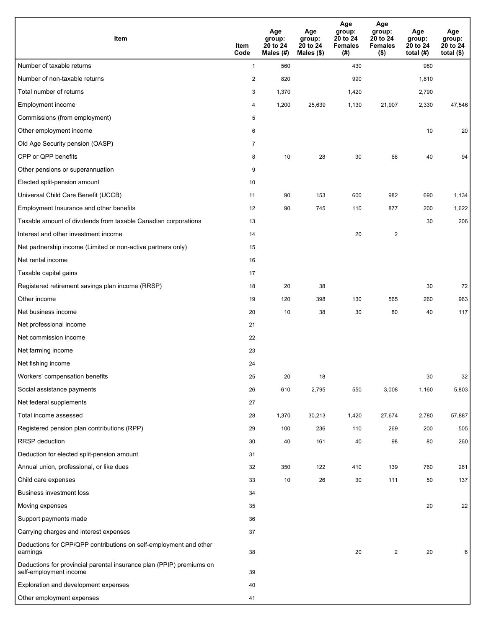| <b>Item</b>                                                                                    | Item<br>Code   | Age<br>group:<br>20 to 24<br>Males (#) | Age<br>group:<br>20 to 24<br>Males $(\$)$ | Age<br>group:<br>20 to 24<br><b>Females</b><br>(# ) | Age<br>group:<br>20 to 24<br><b>Females</b><br>$($ \$) | Age<br>group:<br>20 to 24<br>total $(H)$ | Age<br>group:<br>20 to 24<br>total $($)$ |
|------------------------------------------------------------------------------------------------|----------------|----------------------------------------|-------------------------------------------|-----------------------------------------------------|--------------------------------------------------------|------------------------------------------|------------------------------------------|
| Number of taxable returns                                                                      | $\mathbf{1}$   | 560                                    |                                           | 430                                                 |                                                        | 980                                      |                                          |
| Number of non-taxable returns                                                                  | $\sqrt{2}$     | 820                                    |                                           | 990                                                 |                                                        | 1,810                                    |                                          |
| Total number of returns                                                                        | 3              | 1,370                                  |                                           | 1,420                                               |                                                        | 2,790                                    |                                          |
| Employment income                                                                              | 4              | 1,200                                  | 25,639                                    | 1,130                                               | 21,907                                                 | 2,330                                    | 47,546                                   |
| Commissions (from employment)                                                                  | 5              |                                        |                                           |                                                     |                                                        |                                          |                                          |
| Other employment income                                                                        | 6              |                                        |                                           |                                                     |                                                        | 10                                       | 20                                       |
| Old Age Security pension (OASP)                                                                | $\overline{7}$ |                                        |                                           |                                                     |                                                        |                                          |                                          |
| CPP or QPP benefits                                                                            | 8              | 10                                     | 28                                        | 30                                                  | 66                                                     | 40                                       | 94                                       |
| Other pensions or superannuation                                                               | 9              |                                        |                                           |                                                     |                                                        |                                          |                                          |
| Elected split-pension amount                                                                   | 10             |                                        |                                           |                                                     |                                                        |                                          |                                          |
| Universal Child Care Benefit (UCCB)                                                            | 11             | 90                                     | 153                                       | 600                                                 | 982                                                    | 690                                      | 1,134                                    |
| Employment Insurance and other benefits                                                        | 12             | 90                                     | 745                                       | 110                                                 | 877                                                    | 200                                      | 1,622                                    |
| Taxable amount of dividends from taxable Canadian corporations                                 | 13             |                                        |                                           |                                                     |                                                        | 30                                       | 206                                      |
| Interest and other investment income                                                           | 14             |                                        |                                           | 20                                                  | 2                                                      |                                          |                                          |
| Net partnership income (Limited or non-active partners only)                                   | 15             |                                        |                                           |                                                     |                                                        |                                          |                                          |
| Net rental income                                                                              | 16             |                                        |                                           |                                                     |                                                        |                                          |                                          |
| Taxable capital gains                                                                          | 17             |                                        |                                           |                                                     |                                                        |                                          |                                          |
| Registered retirement savings plan income (RRSP)                                               | 18             | 20                                     | 38                                        |                                                     |                                                        | 30                                       | 72                                       |
| Other income                                                                                   | 19             | 120                                    | 398                                       | 130                                                 | 565                                                    | 260                                      | 963                                      |
| Net business income                                                                            | 20             | 10                                     | 38                                        | 30                                                  | 80                                                     | 40                                       | 117                                      |
| Net professional income                                                                        | 21             |                                        |                                           |                                                     |                                                        |                                          |                                          |
| Net commission income                                                                          | 22             |                                        |                                           |                                                     |                                                        |                                          |                                          |
| Net farming income                                                                             | 23             |                                        |                                           |                                                     |                                                        |                                          |                                          |
| Net fishing income                                                                             | 24             |                                        |                                           |                                                     |                                                        |                                          |                                          |
| Workers' compensation benefits                                                                 | 25             | 20                                     | 18                                        |                                                     |                                                        | 30                                       | 32                                       |
| Social assistance payments                                                                     | 26             | 610                                    | 2,795                                     | 550                                                 | 3,008                                                  | 1,160                                    | 5,803                                    |
| Net federal supplements                                                                        | 27             |                                        |                                           |                                                     |                                                        |                                          |                                          |
| Total income assessed                                                                          | 28             | 1,370                                  | 30,213                                    | 1,420                                               | 27,674                                                 | 2,780                                    | 57,887                                   |
| Registered pension plan contributions (RPP)                                                    | 29             | 100                                    | 236                                       | 110                                                 | 269                                                    | 200                                      | 505                                      |
| RRSP deduction                                                                                 | 30             | 40                                     | 161                                       | 40                                                  | 98                                                     | 80                                       | 260                                      |
| Deduction for elected split-pension amount                                                     | 31             |                                        |                                           |                                                     |                                                        |                                          |                                          |
| Annual union, professional, or like dues                                                       | 32             | 350                                    | 122                                       | 410                                                 | 139                                                    | 760                                      | 261                                      |
| Child care expenses                                                                            | 33             | 10                                     | 26                                        | 30                                                  | 111                                                    | 50                                       | 137                                      |
| <b>Business investment loss</b>                                                                | 34             |                                        |                                           |                                                     |                                                        |                                          |                                          |
| Moving expenses                                                                                | 35             |                                        |                                           |                                                     |                                                        | 20                                       | 22                                       |
| Support payments made                                                                          | 36             |                                        |                                           |                                                     |                                                        |                                          |                                          |
| Carrying charges and interest expenses                                                         | 37             |                                        |                                           |                                                     |                                                        |                                          |                                          |
| Deductions for CPP/QPP contributions on self-employment and other<br>earnings                  | 38             |                                        |                                           | 20                                                  | $\overline{\mathbf{c}}$                                | 20                                       | 6                                        |
| Deductions for provincial parental insurance plan (PPIP) premiums on<br>self-employment income | 39             |                                        |                                           |                                                     |                                                        |                                          |                                          |
| Exploration and development expenses                                                           | 40             |                                        |                                           |                                                     |                                                        |                                          |                                          |
| Other employment expenses                                                                      | 41             |                                        |                                           |                                                     |                                                        |                                          |                                          |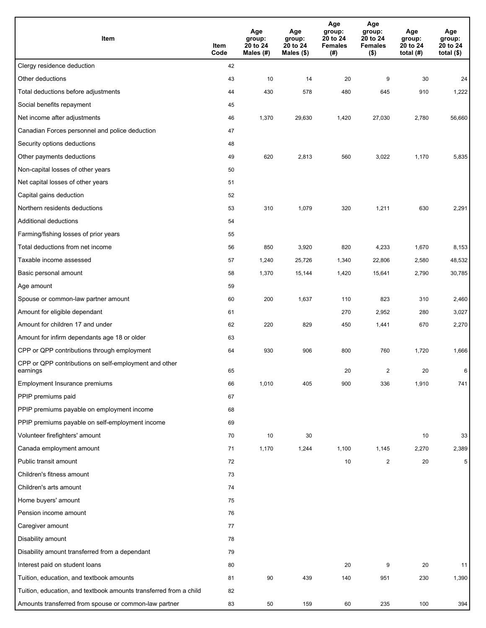| Item                                                              | Item<br>Code | Age<br>group:<br>20 to 24<br>Males $(H)$ | Age<br>group:<br>20 to 24<br>Males (\$) | Age<br>group:<br>20 to 24<br><b>Females</b><br>(# ) | Age<br>group:<br>20 to 24<br><b>Females</b><br>$($ \$) | Age<br>group:<br>20 to 24<br>total $(H)$ | Age<br>group:<br>20 to 24<br>total $($)$ |
|-------------------------------------------------------------------|--------------|------------------------------------------|-----------------------------------------|-----------------------------------------------------|--------------------------------------------------------|------------------------------------------|------------------------------------------|
| Clergy residence deduction                                        | 42           |                                          |                                         |                                                     |                                                        |                                          |                                          |
| Other deductions                                                  | 43           | 10                                       | 14                                      | 20                                                  | 9                                                      | 30                                       | 24                                       |
| Total deductions before adjustments                               | 44           | 430                                      | 578                                     | 480                                                 | 645                                                    | 910                                      | 1,222                                    |
| Social benefits repayment                                         | 45           |                                          |                                         |                                                     |                                                        |                                          |                                          |
| Net income after adjustments                                      | 46           | 1,370                                    | 29,630                                  | 1,420                                               | 27,030                                                 | 2,780                                    | 56,660                                   |
| Canadian Forces personnel and police deduction                    | 47           |                                          |                                         |                                                     |                                                        |                                          |                                          |
| Security options deductions                                       | 48           |                                          |                                         |                                                     |                                                        |                                          |                                          |
| Other payments deductions                                         | 49           | 620                                      | 2,813                                   | 560                                                 | 3,022                                                  | 1,170                                    | 5,835                                    |
| Non-capital losses of other years                                 | 50           |                                          |                                         |                                                     |                                                        |                                          |                                          |
| Net capital losses of other years                                 | 51           |                                          |                                         |                                                     |                                                        |                                          |                                          |
| Capital gains deduction                                           | 52           |                                          |                                         |                                                     |                                                        |                                          |                                          |
| Northern residents deductions                                     | 53           | 310                                      | 1,079                                   | 320                                                 | 1,211                                                  | 630                                      | 2,291                                    |
| Additional deductions                                             | 54           |                                          |                                         |                                                     |                                                        |                                          |                                          |
| Farming/fishing losses of prior years                             | 55           |                                          |                                         |                                                     |                                                        |                                          |                                          |
| Total deductions from net income                                  | 56           | 850                                      | 3,920                                   | 820                                                 | 4,233                                                  | 1,670                                    | 8,153                                    |
| Taxable income assessed                                           | 57           | 1,240                                    | 25,726                                  | 1,340                                               | 22,806                                                 | 2,580                                    | 48,532                                   |
| Basic personal amount                                             | 58           | 1,370                                    | 15,144                                  | 1,420                                               | 15,641                                                 | 2,790                                    | 30,785                                   |
| Age amount                                                        | 59           |                                          |                                         |                                                     |                                                        |                                          |                                          |
| Spouse or common-law partner amount                               | 60           | 200                                      | 1,637                                   | 110                                                 | 823                                                    | 310                                      | 2,460                                    |
| Amount for eligible dependant                                     | 61           |                                          |                                         | 270                                                 | 2,952                                                  | 280                                      | 3,027                                    |
| Amount for children 17 and under                                  | 62           | 220                                      | 829                                     | 450                                                 | 1,441                                                  | 670                                      | 2,270                                    |
| Amount for infirm dependants age 18 or older                      | 63           |                                          |                                         |                                                     |                                                        |                                          |                                          |
| CPP or QPP contributions through employment                       | 64           | 930                                      | 906                                     | 800                                                 | 760                                                    | 1,720                                    | 1,666                                    |
| CPP or QPP contributions on self-employment and other<br>earnings | 65           |                                          |                                         | 20                                                  | 2                                                      | 20                                       | 6                                        |
| Employment Insurance premiums                                     | 66           | 1,010                                    | 405                                     | 900                                                 | 336                                                    | 1,910                                    | 741                                      |
| PPIP premiums paid                                                | 67           |                                          |                                         |                                                     |                                                        |                                          |                                          |
| PPIP premiums payable on employment income                        | 68           |                                          |                                         |                                                     |                                                        |                                          |                                          |
| PPIP premiums payable on self-employment income                   | 69           |                                          |                                         |                                                     |                                                        |                                          |                                          |
| Volunteer firefighters' amount                                    | 70           | 10                                       | 30                                      |                                                     |                                                        | 10                                       | 33                                       |
| Canada employment amount                                          | 71           | 1,170                                    | 1,244                                   | 1,100                                               | 1,145                                                  | 2,270                                    | 2,389                                    |
| Public transit amount                                             | 72           |                                          |                                         | 10                                                  | $\overline{\mathbf{c}}$                                | 20                                       | 5                                        |
| Children's fitness amount                                         | 73           |                                          |                                         |                                                     |                                                        |                                          |                                          |
| Children's arts amount                                            | 74           |                                          |                                         |                                                     |                                                        |                                          |                                          |
| Home buyers' amount                                               | 75           |                                          |                                         |                                                     |                                                        |                                          |                                          |
| Pension income amount                                             | 76           |                                          |                                         |                                                     |                                                        |                                          |                                          |
| Caregiver amount                                                  | 77           |                                          |                                         |                                                     |                                                        |                                          |                                          |
| Disability amount                                                 | 78           |                                          |                                         |                                                     |                                                        |                                          |                                          |
| Disability amount transferred from a dependant                    | 79           |                                          |                                         |                                                     |                                                        |                                          |                                          |
| Interest paid on student loans                                    | 80           |                                          |                                         | 20                                                  | 9                                                      | 20                                       | 11                                       |
| Tuition, education, and textbook amounts                          | 81           | 90                                       | 439                                     | 140                                                 | 951                                                    | 230                                      | 1,390                                    |
| Tuition, education, and textbook amounts transferred from a child | 82           |                                          |                                         |                                                     |                                                        |                                          |                                          |
| Amounts transferred from spouse or common-law partner             | 83           | 50                                       | 159                                     | 60                                                  | 235                                                    | 100                                      | 394                                      |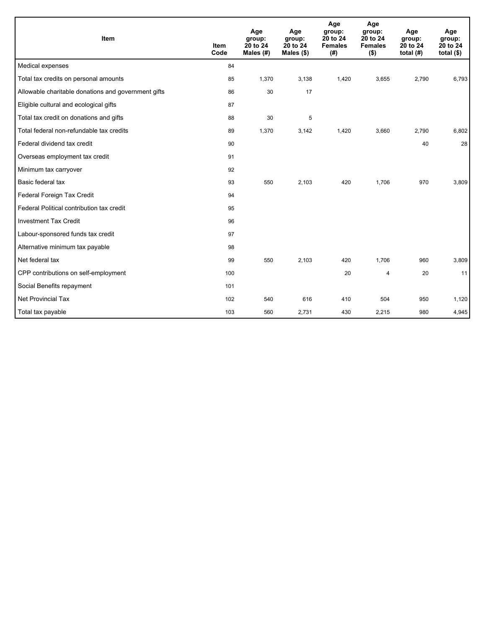| Item                                                | <b>Item</b><br>Code | Age<br>group:<br>20 to 24<br>Males (#) | Age<br>group:<br>20 to 24<br>Males $(\$)$ | Age<br>group:<br>20 to 24<br><b>Females</b><br>(#) | Age<br>group:<br>20 to 24<br><b>Females</b><br>$($ \$) | Age<br>group:<br>20 to 24<br>total $(H)$ | Age<br>group:<br>20 to 24<br>total $($)$ |
|-----------------------------------------------------|---------------------|----------------------------------------|-------------------------------------------|----------------------------------------------------|--------------------------------------------------------|------------------------------------------|------------------------------------------|
| Medical expenses                                    | 84                  |                                        |                                           |                                                    |                                                        |                                          |                                          |
| Total tax credits on personal amounts               | 85                  | 1,370                                  | 3,138                                     | 1,420                                              | 3,655                                                  | 2,790                                    | 6,793                                    |
| Allowable charitable donations and government gifts | 86                  | 30                                     | 17                                        |                                                    |                                                        |                                          |                                          |
| Eligible cultural and ecological gifts              | 87                  |                                        |                                           |                                                    |                                                        |                                          |                                          |
| Total tax credit on donations and gifts             | 88                  | 30                                     | 5                                         |                                                    |                                                        |                                          |                                          |
| Total federal non-refundable tax credits            | 89                  | 1,370                                  | 3,142                                     | 1,420                                              | 3,660                                                  | 2,790                                    | 6,802                                    |
| Federal dividend tax credit                         | 90                  |                                        |                                           |                                                    |                                                        | 40                                       | 28                                       |
| Overseas employment tax credit                      | 91                  |                                        |                                           |                                                    |                                                        |                                          |                                          |
| Minimum tax carryover                               | 92                  |                                        |                                           |                                                    |                                                        |                                          |                                          |
| Basic federal tax                                   | 93                  | 550                                    | 2,103                                     | 420                                                | 1,706                                                  | 970                                      | 3,809                                    |
| Federal Foreign Tax Credit                          | 94                  |                                        |                                           |                                                    |                                                        |                                          |                                          |
| Federal Political contribution tax credit           | 95                  |                                        |                                           |                                                    |                                                        |                                          |                                          |
| <b>Investment Tax Credit</b>                        | 96                  |                                        |                                           |                                                    |                                                        |                                          |                                          |
| Labour-sponsored funds tax credit                   | 97                  |                                        |                                           |                                                    |                                                        |                                          |                                          |
| Alternative minimum tax payable                     | 98                  |                                        |                                           |                                                    |                                                        |                                          |                                          |
| Net federal tax                                     | 99                  | 550                                    | 2,103                                     | 420                                                | 1,706                                                  | 960                                      | 3,809                                    |
| CPP contributions on self-employment                | 100                 |                                        |                                           | 20                                                 | 4                                                      | 20                                       | 11                                       |
| Social Benefits repayment                           | 101                 |                                        |                                           |                                                    |                                                        |                                          |                                          |
| <b>Net Provincial Tax</b>                           | 102                 | 540                                    | 616                                       | 410                                                | 504                                                    | 950                                      | 1,120                                    |
| Total tax payable                                   | 103                 | 560                                    | 2,731                                     | 430                                                | 2,215                                                  | 980                                      | 4,945                                    |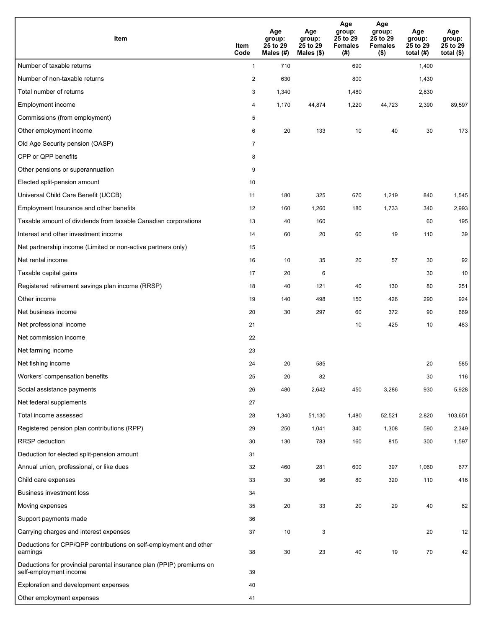| Item                                                                                           | Item<br>Code   | Age<br>group:<br>25 to 29<br>Males (#) | Age<br>group:<br>25 to 29<br>Males (\$) | Age<br>group:<br>25 to 29<br><b>Females</b><br>(# ) | Age<br>group:<br>25 to 29<br><b>Females</b><br>$($ \$) | Age<br>group:<br>25 to 29<br>total $(H)$ | Age<br>group:<br>25 to 29<br>total $($ |
|------------------------------------------------------------------------------------------------|----------------|----------------------------------------|-----------------------------------------|-----------------------------------------------------|--------------------------------------------------------|------------------------------------------|----------------------------------------|
| Number of taxable returns                                                                      | $\mathbf{1}$   | 710                                    |                                         | 690                                                 |                                                        | 1,400                                    |                                        |
| Number of non-taxable returns                                                                  | $\overline{2}$ | 630                                    |                                         | 800                                                 |                                                        | 1,430                                    |                                        |
| Total number of returns                                                                        | 3              | 1,340                                  |                                         | 1,480                                               |                                                        | 2,830                                    |                                        |
| Employment income                                                                              | 4              | 1,170                                  | 44,874                                  | 1,220                                               | 44,723                                                 | 2,390                                    | 89,597                                 |
| Commissions (from employment)                                                                  | 5              |                                        |                                         |                                                     |                                                        |                                          |                                        |
| Other employment income                                                                        | 6              | 20                                     | 133                                     | 10                                                  | 40                                                     | 30                                       | 173                                    |
| Old Age Security pension (OASP)                                                                | $\overline{7}$ |                                        |                                         |                                                     |                                                        |                                          |                                        |
| CPP or QPP benefits                                                                            | 8              |                                        |                                         |                                                     |                                                        |                                          |                                        |
| Other pensions or superannuation                                                               | 9              |                                        |                                         |                                                     |                                                        |                                          |                                        |
| Elected split-pension amount                                                                   | 10             |                                        |                                         |                                                     |                                                        |                                          |                                        |
| Universal Child Care Benefit (UCCB)                                                            | 11             | 180                                    | 325                                     | 670                                                 | 1,219                                                  | 840                                      | 1,545                                  |
| Employment Insurance and other benefits                                                        | 12             | 160                                    | 1,260                                   | 180                                                 | 1,733                                                  | 340                                      | 2,993                                  |
| Taxable amount of dividends from taxable Canadian corporations                                 | 13             | 40                                     | 160                                     |                                                     |                                                        | 60                                       | 195                                    |
| Interest and other investment income                                                           | 14             | 60                                     | 20                                      | 60                                                  | 19                                                     | 110                                      | 39                                     |
| Net partnership income (Limited or non-active partners only)                                   | 15             |                                        |                                         |                                                     |                                                        |                                          |                                        |
| Net rental income                                                                              | 16             | 10                                     | 35                                      | 20                                                  | 57                                                     | 30                                       | 92                                     |
| Taxable capital gains                                                                          | 17             | 20                                     | 6                                       |                                                     |                                                        | 30                                       | 10                                     |
| Registered retirement savings plan income (RRSP)                                               | 18             | 40                                     | 121                                     | 40                                                  | 130                                                    | 80                                       | 251                                    |
| Other income                                                                                   | 19             | 140                                    | 498                                     | 150                                                 | 426                                                    | 290                                      | 924                                    |
| Net business income                                                                            | 20             | 30                                     | 297                                     | 60                                                  | 372                                                    | 90                                       | 669                                    |
| Net professional income                                                                        | 21             |                                        |                                         | 10                                                  | 425                                                    | 10                                       | 483                                    |
| Net commission income                                                                          | 22             |                                        |                                         |                                                     |                                                        |                                          |                                        |
| Net farming income                                                                             | 23             |                                        |                                         |                                                     |                                                        |                                          |                                        |
| Net fishing income                                                                             | 24             | 20                                     | 585                                     |                                                     |                                                        | 20                                       | 585                                    |
| Workers' compensation benefits                                                                 | 25             | 20                                     | 82                                      |                                                     |                                                        | 30                                       | 116                                    |
| Social assistance payments                                                                     | 26             | 480                                    | 2,642                                   | 450                                                 | 3,286                                                  | 930                                      | 5,928                                  |
| Net federal supplements                                                                        | 27             |                                        |                                         |                                                     |                                                        |                                          |                                        |
| Total income assessed                                                                          | 28             | 1,340                                  | 51,130                                  | 1,480                                               | 52,521                                                 | 2,820                                    | 103,651                                |
| Registered pension plan contributions (RPP)                                                    | 29             | 250                                    | 1,041                                   | 340                                                 | 1,308                                                  | 590                                      | 2,349                                  |
| RRSP deduction                                                                                 | 30             | 130                                    | 783                                     | 160                                                 | 815                                                    | 300                                      | 1,597                                  |
| Deduction for elected split-pension amount                                                     | 31             |                                        |                                         |                                                     |                                                        |                                          |                                        |
| Annual union, professional, or like dues                                                       | 32             | 460                                    | 281                                     | 600                                                 | 397                                                    | 1,060                                    | 677                                    |
| Child care expenses                                                                            | 33             | 30                                     | 96                                      | 80                                                  | 320                                                    | 110                                      | 416                                    |
| Business investment loss                                                                       | 34             |                                        |                                         |                                                     |                                                        |                                          |                                        |
| Moving expenses                                                                                | 35             | 20                                     | 33                                      | 20                                                  | 29                                                     | 40                                       | 62                                     |
| Support payments made                                                                          | 36             |                                        |                                         |                                                     |                                                        |                                          |                                        |
| Carrying charges and interest expenses                                                         | 37             | 10                                     | 3                                       |                                                     |                                                        | 20                                       | 12                                     |
| Deductions for CPP/QPP contributions on self-employment and other<br>earnings                  | 38             | 30                                     | 23                                      | 40                                                  | 19                                                     | 70                                       | 42                                     |
| Deductions for provincial parental insurance plan (PPIP) premiums on<br>self-employment income | 39             |                                        |                                         |                                                     |                                                        |                                          |                                        |
| Exploration and development expenses                                                           | 40             |                                        |                                         |                                                     |                                                        |                                          |                                        |
| Other employment expenses                                                                      | 41             |                                        |                                         |                                                     |                                                        |                                          |                                        |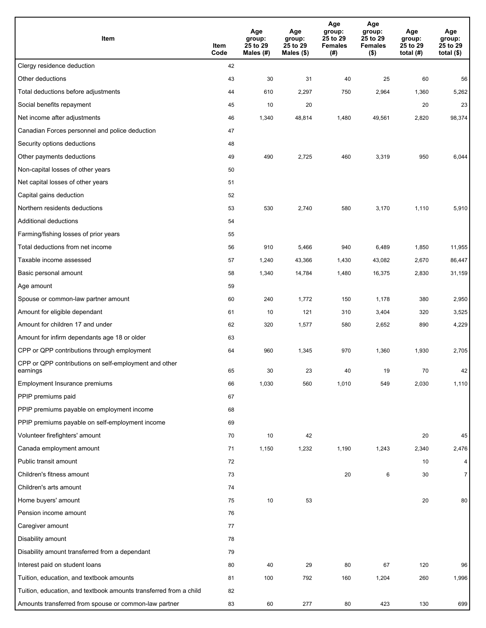| Item                                                              | Item<br>Code | Age<br>group:<br>25 to 29<br>Males (#) | Age<br>group:<br>25 to 29<br>Males (\$) | Age<br>group:<br>25 to 29<br><b>Females</b><br>(#) | Age<br>group:<br>25 to 29<br><b>Females</b><br>$($ \$) | Age<br>group:<br>25 to 29<br>total $(H)$ | Age<br>group:<br>25 to 29<br>total $($)$ |
|-------------------------------------------------------------------|--------------|----------------------------------------|-----------------------------------------|----------------------------------------------------|--------------------------------------------------------|------------------------------------------|------------------------------------------|
| Clergy residence deduction                                        | 42           |                                        |                                         |                                                    |                                                        |                                          |                                          |
| Other deductions                                                  | 43           | 30                                     | 31                                      | 40                                                 | 25                                                     | 60                                       | 56                                       |
| Total deductions before adjustments                               | 44           | 610                                    | 2,297                                   | 750                                                | 2,964                                                  | 1,360                                    | 5,262                                    |
| Social benefits repayment                                         | 45           | 10                                     | 20                                      |                                                    |                                                        | 20                                       | 23                                       |
| Net income after adjustments                                      | 46           | 1,340                                  | 48,814                                  | 1,480                                              | 49,561                                                 | 2,820                                    | 98,374                                   |
| Canadian Forces personnel and police deduction                    | 47           |                                        |                                         |                                                    |                                                        |                                          |                                          |
| Security options deductions                                       | 48           |                                        |                                         |                                                    |                                                        |                                          |                                          |
| Other payments deductions                                         | 49           | 490                                    | 2,725                                   | 460                                                | 3,319                                                  | 950                                      | 6,044                                    |
| Non-capital losses of other years                                 | 50           |                                        |                                         |                                                    |                                                        |                                          |                                          |
| Net capital losses of other years                                 | 51           |                                        |                                         |                                                    |                                                        |                                          |                                          |
| Capital gains deduction                                           | 52           |                                        |                                         |                                                    |                                                        |                                          |                                          |
| Northern residents deductions                                     | 53           | 530                                    | 2,740                                   | 580                                                | 3,170                                                  | 1,110                                    | 5,910                                    |
| Additional deductions                                             | 54           |                                        |                                         |                                                    |                                                        |                                          |                                          |
| Farming/fishing losses of prior years                             | 55           |                                        |                                         |                                                    |                                                        |                                          |                                          |
| Total deductions from net income                                  | 56           | 910                                    | 5,466                                   | 940                                                | 6,489                                                  | 1,850                                    | 11,955                                   |
| Taxable income assessed                                           | 57           | 1,240                                  | 43,366                                  | 1,430                                              | 43,082                                                 | 2,670                                    | 86,447                                   |
| Basic personal amount                                             | 58           | 1,340                                  | 14,784                                  | 1,480                                              | 16,375                                                 | 2,830                                    | 31,159                                   |
| Age amount                                                        | 59           |                                        |                                         |                                                    |                                                        |                                          |                                          |
| Spouse or common-law partner amount                               | 60           | 240                                    | 1,772                                   | 150                                                | 1,178                                                  | 380                                      | 2,950                                    |
| Amount for eligible dependant                                     | 61           | 10                                     | 121                                     | 310                                                | 3,404                                                  | 320                                      | 3,525                                    |
| Amount for children 17 and under                                  | 62           | 320                                    | 1,577                                   | 580                                                | 2,652                                                  | 890                                      | 4,229                                    |
| Amount for infirm dependants age 18 or older                      | 63           |                                        |                                         |                                                    |                                                        |                                          |                                          |
| CPP or QPP contributions through employment                       | 64           | 960                                    | 1,345                                   | 970                                                | 1,360                                                  | 1,930                                    | 2,705                                    |
| CPP or QPP contributions on self-employment and other<br>earnings | 65           | 30                                     | 23                                      | 40                                                 | 19                                                     | 70                                       | 42                                       |
| Employment Insurance premiums                                     | 66           | 1,030                                  | 560                                     | 1,010                                              | 549                                                    | 2,030                                    | 1,110                                    |
| PPIP premiums paid                                                | 67           |                                        |                                         |                                                    |                                                        |                                          |                                          |
| PPIP premiums payable on employment income                        | 68           |                                        |                                         |                                                    |                                                        |                                          |                                          |
| PPIP premiums payable on self-employment income                   | 69           |                                        |                                         |                                                    |                                                        |                                          |                                          |
| Volunteer firefighters' amount                                    | 70           | 10                                     | 42                                      |                                                    |                                                        | 20                                       | 45                                       |
| Canada employment amount                                          | 71           | 1,150                                  | 1,232                                   | 1,190                                              | 1,243                                                  | 2,340                                    | 2,476                                    |
| Public transit amount                                             | 72           |                                        |                                         |                                                    |                                                        | 10                                       | 4                                        |
| Children's fitness amount                                         | 73           |                                        |                                         | 20                                                 | 6                                                      | 30                                       | $\overline{7}$                           |
| Children's arts amount                                            | 74           |                                        |                                         |                                                    |                                                        |                                          |                                          |
| Home buyers' amount                                               | 75           | $10\,$                                 | 53                                      |                                                    |                                                        | 20                                       | 80                                       |
| Pension income amount                                             | 76           |                                        |                                         |                                                    |                                                        |                                          |                                          |
| Caregiver amount                                                  | 77           |                                        |                                         |                                                    |                                                        |                                          |                                          |
| Disability amount                                                 | 78           |                                        |                                         |                                                    |                                                        |                                          |                                          |
| Disability amount transferred from a dependant                    | 79           |                                        |                                         |                                                    |                                                        |                                          |                                          |
| Interest paid on student loans                                    | 80           | 40                                     | 29                                      | 80                                                 | 67                                                     | 120                                      | 96                                       |
| Tuition, education, and textbook amounts                          | 81           | 100                                    | 792                                     | 160                                                | 1,204                                                  | 260                                      | 1,996                                    |
| Tuition, education, and textbook amounts transferred from a child | 82           |                                        |                                         |                                                    |                                                        |                                          |                                          |
| Amounts transferred from spouse or common-law partner             | 83           | 60                                     | 277                                     | 80                                                 | 423                                                    | 130                                      | 699                                      |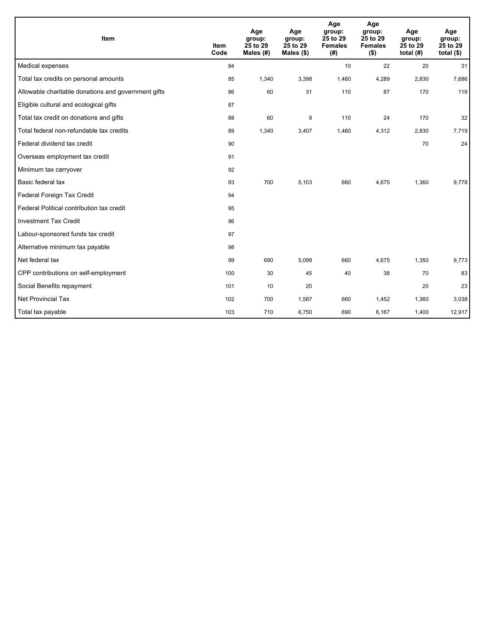| Item                                                | <b>Item</b><br>Code | Age<br>group:<br>25 to 29<br>Males $(H)$ | Age<br>group:<br>25 to 29<br>Males $(\$)$ | Age<br>group:<br>25 to 29<br><b>Females</b><br>(#) | Age<br>group:<br>25 to 29<br><b>Females</b><br>$($ \$) | Age<br>group:<br>25 to 29<br>total $(H)$ | Age<br>group:<br>25 to 29<br>total $($)$ |
|-----------------------------------------------------|---------------------|------------------------------------------|-------------------------------------------|----------------------------------------------------|--------------------------------------------------------|------------------------------------------|------------------------------------------|
| Medical expenses                                    | 84                  |                                          |                                           | 10                                                 | 22                                                     | 20                                       | 31                                       |
| Total tax credits on personal amounts               | 85                  | 1,340                                    | 3,398                                     | 1,480                                              | 4,289                                                  | 2,830                                    | 7,686                                    |
| Allowable charitable donations and government gifts | 86                  | 60                                       | 31                                        | 110                                                | 87                                                     | 170                                      | 119                                      |
| Eligible cultural and ecological gifts              | 87                  |                                          |                                           |                                                    |                                                        |                                          |                                          |
| Total tax credit on donations and gifts             | 88                  | 60                                       | 9                                         | 110                                                | 24                                                     | 170                                      | 32                                       |
| Total federal non-refundable tax credits            | 89                  | 1,340                                    | 3,407                                     | 1,480                                              | 4,312                                                  | 2,830                                    | 7,719                                    |
| Federal dividend tax credit                         | 90                  |                                          |                                           |                                                    |                                                        | 70                                       | 24                                       |
| Overseas employment tax credit                      | 91                  |                                          |                                           |                                                    |                                                        |                                          |                                          |
| Minimum tax carryover                               | 92                  |                                          |                                           |                                                    |                                                        |                                          |                                          |
| Basic federal tax                                   | 93                  | 700                                      | 5,103                                     | 660                                                | 4,675                                                  | 1,360                                    | 9,778                                    |
| Federal Foreign Tax Credit                          | 94                  |                                          |                                           |                                                    |                                                        |                                          |                                          |
| Federal Political contribution tax credit           | 95                  |                                          |                                           |                                                    |                                                        |                                          |                                          |
| <b>Investment Tax Credit</b>                        | 96                  |                                          |                                           |                                                    |                                                        |                                          |                                          |
| Labour-sponsored funds tax credit                   | 97                  |                                          |                                           |                                                    |                                                        |                                          |                                          |
| Alternative minimum tax payable                     | 98                  |                                          |                                           |                                                    |                                                        |                                          |                                          |
| Net federal tax                                     | 99                  | 690                                      | 5.098                                     | 660                                                | 4,675                                                  | 1,350                                    | 9,773                                    |
| CPP contributions on self-employment                | 100                 | 30                                       | 45                                        | 40                                                 | 38                                                     | 70                                       | 83                                       |
| Social Benefits repayment                           | 101                 | 10                                       | 20                                        |                                                    |                                                        | 20                                       | 23                                       |
| <b>Net Provincial Tax</b>                           | 102                 | 700                                      | 1,587                                     | 660                                                | 1,452                                                  | 1,360                                    | 3,038                                    |
| Total tax payable                                   | 103                 | 710                                      | 6,750                                     | 690                                                | 6,167                                                  | 1,400                                    | 12,917                                   |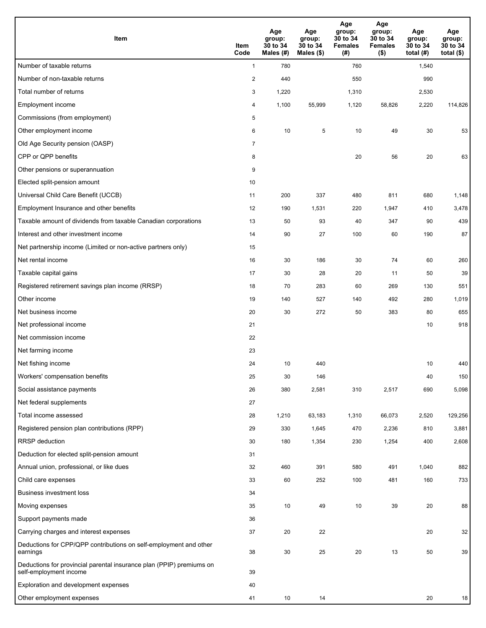| Item                                                                                           | Item<br>Code   | Age<br>group:<br>30 to 34<br>Males (#) | Age<br>group:<br>30 to 34<br>Males (\$) | Age<br>group:<br>30 to 34<br><b>Females</b><br>(# ) | Age<br>group:<br>30 to 34<br><b>Females</b><br>$($ \$) | Age<br>group:<br>30 to 34<br>total $(H)$ | Age<br>group:<br>30 to 34<br>total $($ |
|------------------------------------------------------------------------------------------------|----------------|----------------------------------------|-----------------------------------------|-----------------------------------------------------|--------------------------------------------------------|------------------------------------------|----------------------------------------|
| Number of taxable returns                                                                      | $\mathbf{1}$   | 780                                    |                                         | 760                                                 |                                                        | 1,540                                    |                                        |
| Number of non-taxable returns                                                                  | $\overline{2}$ | 440                                    |                                         | 550                                                 |                                                        | 990                                      |                                        |
| Total number of returns                                                                        | 3              | 1,220                                  |                                         | 1,310                                               |                                                        | 2,530                                    |                                        |
| Employment income                                                                              | 4              | 1,100                                  | 55,999                                  | 1,120                                               | 58,826                                                 | 2,220                                    | 114,826                                |
| Commissions (from employment)                                                                  | 5              |                                        |                                         |                                                     |                                                        |                                          |                                        |
| Other employment income                                                                        | 6              | 10                                     | $\sqrt{5}$                              | 10                                                  | 49                                                     | 30                                       | 53                                     |
| Old Age Security pension (OASP)                                                                | $\overline{7}$ |                                        |                                         |                                                     |                                                        |                                          |                                        |
| CPP or QPP benefits                                                                            | 8              |                                        |                                         | 20                                                  | 56                                                     | 20                                       | 63                                     |
| Other pensions or superannuation                                                               | 9              |                                        |                                         |                                                     |                                                        |                                          |                                        |
| Elected split-pension amount                                                                   | 10             |                                        |                                         |                                                     |                                                        |                                          |                                        |
| Universal Child Care Benefit (UCCB)                                                            | 11             | 200                                    | 337                                     | 480                                                 | 811                                                    | 680                                      | 1,148                                  |
| Employment Insurance and other benefits                                                        | 12             | 190                                    | 1,531                                   | 220                                                 | 1,947                                                  | 410                                      | 3,478                                  |
| Taxable amount of dividends from taxable Canadian corporations                                 | 13             | 50                                     | 93                                      | 40                                                  | 347                                                    | 90                                       | 439                                    |
| Interest and other investment income                                                           | 14             | 90                                     | 27                                      | 100                                                 | 60                                                     | 190                                      | 87                                     |
| Net partnership income (Limited or non-active partners only)                                   | 15             |                                        |                                         |                                                     |                                                        |                                          |                                        |
| Net rental income                                                                              | 16             | 30                                     | 186                                     | 30                                                  | 74                                                     | 60                                       | 260                                    |
| Taxable capital gains                                                                          | 17             | 30                                     | 28                                      | 20                                                  | 11                                                     | 50                                       | 39                                     |
| Registered retirement savings plan income (RRSP)                                               | 18             | 70                                     | 283                                     | 60                                                  | 269                                                    | 130                                      | 551                                    |
| Other income                                                                                   | 19             | 140                                    | 527                                     | 140                                                 | 492                                                    | 280                                      | 1,019                                  |
| Net business income                                                                            | 20             | 30                                     | 272                                     | 50                                                  | 383                                                    | 80                                       | 655                                    |
| Net professional income                                                                        | 21             |                                        |                                         |                                                     |                                                        | 10                                       | 918                                    |
| Net commission income                                                                          | 22             |                                        |                                         |                                                     |                                                        |                                          |                                        |
| Net farming income                                                                             | 23             |                                        |                                         |                                                     |                                                        |                                          |                                        |
| Net fishing income                                                                             | 24             | 10                                     | 440                                     |                                                     |                                                        | 10                                       | 440                                    |
| Workers' compensation benefits                                                                 | 25             | 30                                     | 146                                     |                                                     |                                                        | 40                                       | 150                                    |
| Social assistance payments                                                                     | 26             | 380                                    | 2,581                                   | 310                                                 | 2,517                                                  | 690                                      | 5,098                                  |
| Net federal supplements                                                                        | 27             |                                        |                                         |                                                     |                                                        |                                          |                                        |
| Total income assessed                                                                          | 28             | 1,210                                  | 63,183                                  | 1,310                                               | 66,073                                                 | 2,520                                    | 129,256                                |
| Registered pension plan contributions (RPP)                                                    | 29             | 330                                    | 1,645                                   | 470                                                 | 2,236                                                  | 810                                      | 3,881                                  |
| RRSP deduction                                                                                 | 30             | 180                                    | 1,354                                   | 230                                                 | 1,254                                                  | 400                                      | 2,608                                  |
| Deduction for elected split-pension amount                                                     | 31             |                                        |                                         |                                                     |                                                        |                                          |                                        |
| Annual union, professional, or like dues                                                       | 32             | 460                                    | 391                                     | 580                                                 | 491                                                    | 1,040                                    | 882                                    |
| Child care expenses                                                                            | 33             | 60                                     | 252                                     | 100                                                 | 481                                                    | 160                                      | 733                                    |
| Business investment loss                                                                       | 34             |                                        |                                         |                                                     |                                                        |                                          |                                        |
| Moving expenses                                                                                | 35             | 10                                     | 49                                      | 10                                                  | 39                                                     | 20                                       | 88                                     |
| Support payments made                                                                          | 36             |                                        |                                         |                                                     |                                                        |                                          |                                        |
| Carrying charges and interest expenses                                                         | 37             | 20                                     | 22                                      |                                                     |                                                        | 20                                       | 32                                     |
| Deductions for CPP/QPP contributions on self-employment and other<br>earnings                  | 38             | 30                                     | 25                                      | $20\,$                                              | 13                                                     | 50                                       | 39                                     |
| Deductions for provincial parental insurance plan (PPIP) premiums on<br>self-employment income | 39             |                                        |                                         |                                                     |                                                        |                                          |                                        |
| Exploration and development expenses                                                           | 40             |                                        |                                         |                                                     |                                                        |                                          |                                        |
| Other employment expenses                                                                      | 41             | 10                                     | 14                                      |                                                     |                                                        | 20                                       | 18                                     |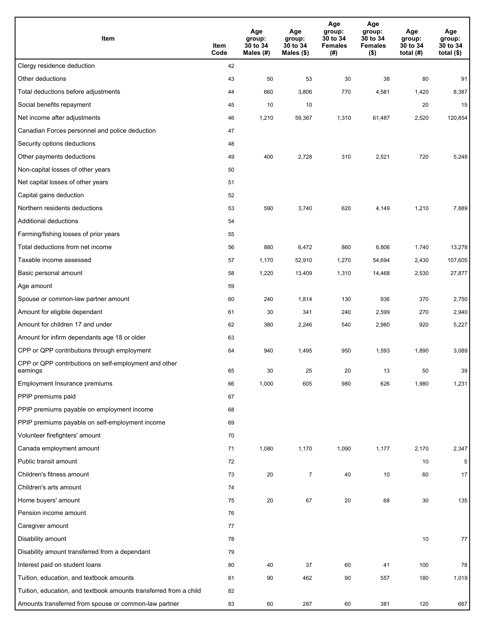| Item                                                              | Item<br>Code | Age<br>group:<br>30 to 34<br>Males (#) | Age<br>group:<br>30 to 34<br>Males (\$) | Age<br>group:<br>30 to 34<br><b>Females</b><br>(#) | Age<br>group:<br>30 to 34<br><b>Females</b><br>$($ \$) | Age<br>group:<br>30 to 34<br>total $(H)$ | Age<br>group:<br>30 to 34<br>total $($)$ |
|-------------------------------------------------------------------|--------------|----------------------------------------|-----------------------------------------|----------------------------------------------------|--------------------------------------------------------|------------------------------------------|------------------------------------------|
| Clergy residence deduction                                        | 42           |                                        |                                         |                                                    |                                                        |                                          |                                          |
| Other deductions                                                  | 43           | 50                                     | 53                                      | 30                                                 | 38                                                     | 80                                       | 91                                       |
| Total deductions before adjustments                               | 44           | 660                                    | 3,806                                   | 770                                                | 4,581                                                  | 1,420                                    | 8,387                                    |
| Social benefits repayment                                         | 45           | 10                                     | 10                                      |                                                    |                                                        | 20                                       | 15                                       |
| Net income after adjustments                                      | 46           | 1,210                                  | 59,367                                  | 1,310                                              | 61,487                                                 | 2,520                                    | 120,854                                  |
| Canadian Forces personnel and police deduction                    | 47           |                                        |                                         |                                                    |                                                        |                                          |                                          |
| Security options deductions                                       | 48           |                                        |                                         |                                                    |                                                        |                                          |                                          |
| Other payments deductions                                         | 49           | 400                                    | 2,728                                   | 310                                                | 2,521                                                  | 720                                      | 5,248                                    |
| Non-capital losses of other years                                 | 50           |                                        |                                         |                                                    |                                                        |                                          |                                          |
| Net capital losses of other years                                 | 51           |                                        |                                         |                                                    |                                                        |                                          |                                          |
| Capital gains deduction                                           | 52           |                                        |                                         |                                                    |                                                        |                                          |                                          |
| Northern residents deductions                                     | 53           | 590                                    | 3,740                                   | 620                                                | 4,149                                                  | 1,210                                    | 7,889                                    |
| Additional deductions                                             | 54           |                                        |                                         |                                                    |                                                        |                                          |                                          |
| Farming/fishing losses of prior years                             | 55           |                                        |                                         |                                                    |                                                        |                                          |                                          |
| Total deductions from net income                                  | 56           | 880                                    | 6,472                                   | 860                                                | 6,806                                                  | 1,740                                    | 13,278                                   |
| Taxable income assessed                                           | 57           | 1,170                                  | 52,910                                  | 1,270                                              | 54,694                                                 | 2,430                                    | 107,605                                  |
| Basic personal amount                                             | 58           | 1,220                                  | 13,409                                  | 1,310                                              | 14,468                                                 | 2,530                                    | 27,877                                   |
| Age amount                                                        | 59           |                                        |                                         |                                                    |                                                        |                                          |                                          |
| Spouse or common-law partner amount                               | 60           | 240                                    | 1,814                                   | 130                                                | 936                                                    | 370                                      | 2,750                                    |
| Amount for eligible dependant                                     | 61           | 30                                     | 341                                     | 240                                                | 2,599                                                  | 270                                      | 2,940                                    |
| Amount for children 17 and under                                  | 62           | 380                                    | 2,246                                   | 540                                                | 2,980                                                  | 920                                      | 5,227                                    |
| Amount for infirm dependants age 18 or older                      | 63           |                                        |                                         |                                                    |                                                        |                                          |                                          |
| CPP or QPP contributions through employment                       | 64           | 940                                    | 1,495                                   | 950                                                | 1,593                                                  | 1,890                                    | 3,089                                    |
| CPP or QPP contributions on self-employment and other<br>earnings | 65           | 30                                     | 25                                      | 20                                                 | 13                                                     | 50                                       | 39                                       |
| Employment Insurance premiums                                     | 66           | 1,000                                  | 605                                     | 980                                                | 626                                                    | 1,980                                    | 1,231                                    |
| PPIP premiums paid                                                | 67           |                                        |                                         |                                                    |                                                        |                                          |                                          |
| PPIP premiums payable on employment income                        | 68           |                                        |                                         |                                                    |                                                        |                                          |                                          |
| PPIP premiums payable on self-employment income                   | 69           |                                        |                                         |                                                    |                                                        |                                          |                                          |
| Volunteer firefighters' amount                                    | 70           |                                        |                                         |                                                    |                                                        |                                          |                                          |
| Canada employment amount                                          | 71           | 1,080                                  | 1,170                                   | 1,090                                              | 1,177                                                  | 2,170                                    | 2,347                                    |
| Public transit amount                                             | 72           |                                        |                                         |                                                    |                                                        | 10                                       | 5                                        |
| Children's fitness amount                                         | 73           | 20                                     | $\overline{7}$                          | 40                                                 | $10$                                                   | 60                                       | 17                                       |
| Children's arts amount                                            | 74           |                                        |                                         |                                                    |                                                        |                                          |                                          |
| Home buyers' amount                                               | 75           | $20\,$                                 | 67                                      | 20                                                 | 68                                                     | 30                                       | 135                                      |
| Pension income amount                                             | 76           |                                        |                                         |                                                    |                                                        |                                          |                                          |
| Caregiver amount                                                  | 77           |                                        |                                         |                                                    |                                                        |                                          |                                          |
| Disability amount                                                 | 78           |                                        |                                         |                                                    |                                                        | 10                                       | 77                                       |
| Disability amount transferred from a dependant                    | 79           |                                        |                                         |                                                    |                                                        |                                          |                                          |
| Interest paid on student loans                                    | 80           | 40                                     | 37                                      | 60                                                 | 41                                                     | 100                                      | 78                                       |
| Tuition, education, and textbook amounts                          | 81           | 90                                     | 462                                     | 90                                                 | 557                                                    | 180                                      | 1,019                                    |
| Tuition, education, and textbook amounts transferred from a child | 82           |                                        |                                         |                                                    |                                                        |                                          |                                          |
| Amounts transferred from spouse or common-law partner             | 83           | 60                                     | 287                                     | 60                                                 | 381                                                    | 120                                      | 667                                      |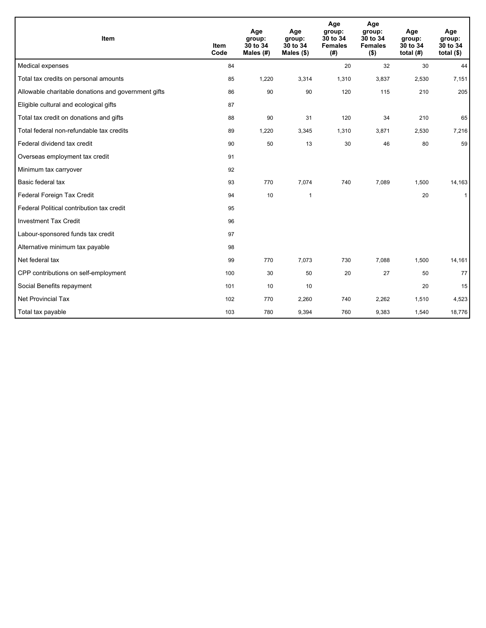| <b>Item</b>                                         | <b>Item</b><br>Code | Age<br>group:<br>30 to 34<br>Males (#) | Age<br>group:<br>30 to 34<br>Males $(\$)$ | Age<br>group:<br>30 to 34<br><b>Females</b><br>(# ) | Age<br>group:<br>30 to 34<br><b>Females</b><br>$($ \$) | Age<br>group:<br>30 to 34<br>total $(H)$ | Age<br>group:<br>30 to 34<br>total $($)$ |
|-----------------------------------------------------|---------------------|----------------------------------------|-------------------------------------------|-----------------------------------------------------|--------------------------------------------------------|------------------------------------------|------------------------------------------|
| Medical expenses                                    | 84                  |                                        |                                           | 20                                                  | 32                                                     | 30                                       | 44                                       |
| Total tax credits on personal amounts               | 85                  | 1,220                                  | 3,314                                     | 1,310                                               | 3,837                                                  | 2,530                                    | 7,151                                    |
| Allowable charitable donations and government gifts | 86                  | 90                                     | 90                                        | 120                                                 | 115                                                    | 210                                      | 205                                      |
| Eligible cultural and ecological gifts              | 87                  |                                        |                                           |                                                     |                                                        |                                          |                                          |
| Total tax credit on donations and gifts             | 88                  | 90                                     | 31                                        | 120                                                 | 34                                                     | 210                                      | 65                                       |
| Total federal non-refundable tax credits            | 89                  | 1,220                                  | 3,345                                     | 1,310                                               | 3,871                                                  | 2,530                                    | 7,216                                    |
| Federal dividend tax credit                         | 90                  | 50                                     | 13                                        | 30                                                  | 46                                                     | 80                                       | 59                                       |
| Overseas employment tax credit                      | 91                  |                                        |                                           |                                                     |                                                        |                                          |                                          |
| Minimum tax carryover                               | 92                  |                                        |                                           |                                                     |                                                        |                                          |                                          |
| Basic federal tax                                   | 93                  | 770                                    | 7,074                                     | 740                                                 | 7,089                                                  | 1,500                                    | 14,163                                   |
| Federal Foreign Tax Credit                          | 94                  | 10                                     | $\mathbf{1}$                              |                                                     |                                                        | 20                                       | $\mathbf{1}$                             |
| Federal Political contribution tax credit           | 95                  |                                        |                                           |                                                     |                                                        |                                          |                                          |
| <b>Investment Tax Credit</b>                        | 96                  |                                        |                                           |                                                     |                                                        |                                          |                                          |
| Labour-sponsored funds tax credit                   | 97                  |                                        |                                           |                                                     |                                                        |                                          |                                          |
| Alternative minimum tax payable                     | 98                  |                                        |                                           |                                                     |                                                        |                                          |                                          |
| Net federal tax                                     | 99                  | 770                                    | 7,073                                     | 730                                                 | 7,088                                                  | 1,500                                    | 14,161                                   |
| CPP contributions on self-employment                | 100                 | 30                                     | 50                                        | 20                                                  | 27                                                     | 50                                       | 77                                       |
| Social Benefits repayment                           | 101                 | 10                                     | 10                                        |                                                     |                                                        | 20                                       | 15                                       |
| <b>Net Provincial Tax</b>                           | 102                 | 770                                    | 2,260                                     | 740                                                 | 2,262                                                  | 1,510                                    | 4,523                                    |
| Total tax payable                                   | 103                 | 780                                    | 9,394                                     | 760                                                 | 9,383                                                  | 1,540                                    | 18,776                                   |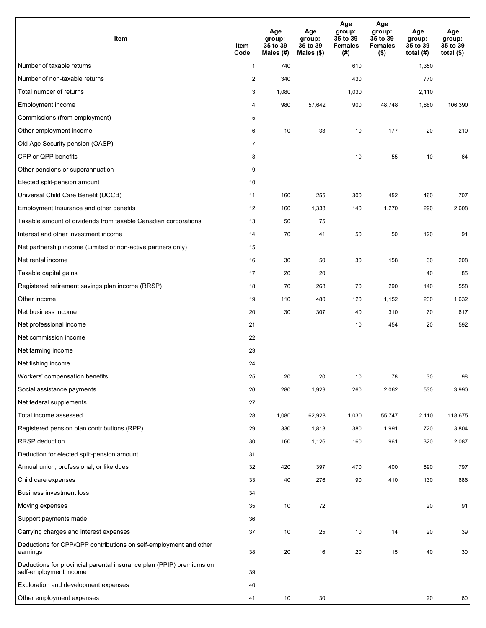| Item                                                                                           | Item<br>Code   | Age<br>group:<br>35 to 39<br>Males (#) | Age<br>group:<br>35 to 39<br>Males (\$) | Age<br>group:<br>35 to 39<br><b>Females</b><br>(# ) | Age<br>group:<br>35 to 39<br><b>Females</b><br>$($ \$) | Age<br>group:<br>35 to 39<br>total $(H)$ | Age<br>group:<br>35 to 39<br>total $($ |
|------------------------------------------------------------------------------------------------|----------------|----------------------------------------|-----------------------------------------|-----------------------------------------------------|--------------------------------------------------------|------------------------------------------|----------------------------------------|
| Number of taxable returns                                                                      | $\mathbf{1}$   | 740                                    |                                         | 610                                                 |                                                        | 1,350                                    |                                        |
| Number of non-taxable returns                                                                  | $\overline{2}$ | 340                                    |                                         | 430                                                 |                                                        | 770                                      |                                        |
| Total number of returns                                                                        | 3              | 1,080                                  |                                         | 1,030                                               |                                                        | 2,110                                    |                                        |
| Employment income                                                                              | 4              | 980                                    | 57,642                                  | 900                                                 | 48,748                                                 | 1,880                                    | 106,390                                |
| Commissions (from employment)                                                                  | 5              |                                        |                                         |                                                     |                                                        |                                          |                                        |
| Other employment income                                                                        | 6              | 10                                     | 33                                      | 10                                                  | 177                                                    | 20                                       | 210                                    |
| Old Age Security pension (OASP)                                                                | $\overline{7}$ |                                        |                                         |                                                     |                                                        |                                          |                                        |
| CPP or QPP benefits                                                                            | 8              |                                        |                                         | 10                                                  | 55                                                     | 10                                       | 64                                     |
| Other pensions or superannuation                                                               | 9              |                                        |                                         |                                                     |                                                        |                                          |                                        |
| Elected split-pension amount                                                                   | 10             |                                        |                                         |                                                     |                                                        |                                          |                                        |
| Universal Child Care Benefit (UCCB)                                                            | 11             | 160                                    | 255                                     | 300                                                 | 452                                                    | 460                                      | 707                                    |
| Employment Insurance and other benefits                                                        | 12             | 160                                    | 1,338                                   | 140                                                 | 1,270                                                  | 290                                      | 2,608                                  |
| Taxable amount of dividends from taxable Canadian corporations                                 | 13             | 50                                     | 75                                      |                                                     |                                                        |                                          |                                        |
| Interest and other investment income                                                           | 14             | 70                                     | 41                                      | 50                                                  | 50                                                     | 120                                      | 91                                     |
| Net partnership income (Limited or non-active partners only)                                   | 15             |                                        |                                         |                                                     |                                                        |                                          |                                        |
| Net rental income                                                                              | 16             | 30                                     | 50                                      | 30                                                  | 158                                                    | 60                                       | 208                                    |
| Taxable capital gains                                                                          | 17             | 20                                     | 20                                      |                                                     |                                                        | 40                                       | 85                                     |
| Registered retirement savings plan income (RRSP)                                               | 18             | 70                                     | 268                                     | 70                                                  | 290                                                    | 140                                      | 558                                    |
| Other income                                                                                   | 19             | 110                                    | 480                                     | 120                                                 | 1,152                                                  | 230                                      | 1,632                                  |
| Net business income                                                                            | 20             | 30                                     | 307                                     | 40                                                  | 310                                                    | 70                                       | 617                                    |
| Net professional income                                                                        | 21             |                                        |                                         | 10                                                  | 454                                                    | 20                                       | 592                                    |
| Net commission income                                                                          | 22             |                                        |                                         |                                                     |                                                        |                                          |                                        |
| Net farming income                                                                             | 23             |                                        |                                         |                                                     |                                                        |                                          |                                        |
| Net fishing income                                                                             | 24             |                                        |                                         |                                                     |                                                        |                                          |                                        |
| Workers' compensation benefits                                                                 | 25             | 20                                     | 20                                      | 10                                                  | 78                                                     | 30                                       | 98                                     |
| Social assistance payments                                                                     | 26             | 280                                    | 1,929                                   | 260                                                 | 2,062                                                  | 530                                      | 3,990                                  |
| Net federal supplements                                                                        | 27             |                                        |                                         |                                                     |                                                        |                                          |                                        |
| Total income assessed                                                                          | 28             | 1,080                                  | 62,928                                  | 1,030                                               | 55,747                                                 | 2,110                                    | 118,675                                |
| Registered pension plan contributions (RPP)                                                    | 29             | 330                                    | 1,813                                   | 380                                                 | 1,991                                                  | 720                                      | 3,804                                  |
| RRSP deduction                                                                                 | 30             | 160                                    | 1,126                                   | 160                                                 | 961                                                    | 320                                      | 2,087                                  |
| Deduction for elected split-pension amount                                                     | 31             |                                        |                                         |                                                     |                                                        |                                          |                                        |
| Annual union, professional, or like dues                                                       | 32             | 420                                    | 397                                     | 470                                                 | 400                                                    | 890                                      | 797                                    |
| Child care expenses                                                                            | 33             | 40                                     | 276                                     | 90                                                  | 410                                                    | 130                                      | 686                                    |
| <b>Business investment loss</b>                                                                | 34             |                                        |                                         |                                                     |                                                        |                                          |                                        |
| Moving expenses                                                                                | 35             | 10                                     | 72                                      |                                                     |                                                        | 20                                       | 91                                     |
| Support payments made                                                                          | 36             |                                        |                                         |                                                     |                                                        |                                          |                                        |
| Carrying charges and interest expenses                                                         | 37             | 10                                     | 25                                      | 10                                                  | 14                                                     | 20                                       | 39                                     |
| Deductions for CPP/QPP contributions on self-employment and other<br>earnings                  | 38             | 20                                     | 16                                      | 20                                                  | 15                                                     | 40                                       | 30                                     |
| Deductions for provincial parental insurance plan (PPIP) premiums on<br>self-employment income | 39             |                                        |                                         |                                                     |                                                        |                                          |                                        |
| Exploration and development expenses                                                           | 40             |                                        |                                         |                                                     |                                                        |                                          |                                        |
| Other employment expenses                                                                      | 41             | 10                                     | 30                                      |                                                     |                                                        | 20                                       | 60                                     |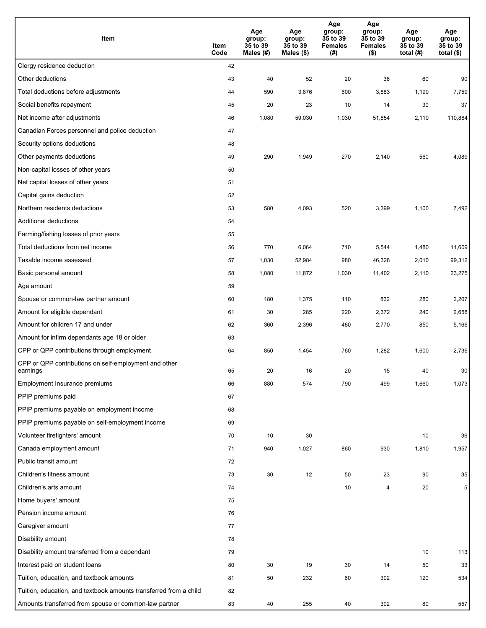| Item                                                              | Item<br>Code | Age<br>group:<br>35 to 39<br>Males $(H)$ | Age<br>group:<br>35 to 39<br>Males $($)$ | Age<br>group:<br>35 to 39<br><b>Females</b><br>(#) | Age<br>group:<br>35 to 39<br><b>Females</b><br>$($ \$) | Age<br>group:<br>35 to 39<br>total $(H)$ | Age<br>group:<br>35 to 39<br>total $($)$ |
|-------------------------------------------------------------------|--------------|------------------------------------------|------------------------------------------|----------------------------------------------------|--------------------------------------------------------|------------------------------------------|------------------------------------------|
| Clergy residence deduction                                        | 42           |                                          |                                          |                                                    |                                                        |                                          |                                          |
| Other deductions                                                  | 43           | 40                                       | 52                                       | 20                                                 | 38                                                     | 60                                       | 90                                       |
| Total deductions before adjustments                               | 44           | 590                                      | 3,876                                    | 600                                                | 3,883                                                  | 1,190                                    | 7,759                                    |
| Social benefits repayment                                         | 45           | 20                                       | 23                                       | 10                                                 | 14                                                     | 30                                       | 37                                       |
| Net income after adjustments                                      | 46           | 1,080                                    | 59,030                                   | 1,030                                              | 51,854                                                 | 2,110                                    | 110,884                                  |
| Canadian Forces personnel and police deduction                    | 47           |                                          |                                          |                                                    |                                                        |                                          |                                          |
| Security options deductions                                       | 48           |                                          |                                          |                                                    |                                                        |                                          |                                          |
| Other payments deductions                                         | 49           | 290                                      | 1,949                                    | 270                                                | 2,140                                                  | 560                                      | 4,089                                    |
| Non-capital losses of other years                                 | 50           |                                          |                                          |                                                    |                                                        |                                          |                                          |
| Net capital losses of other years                                 | 51           |                                          |                                          |                                                    |                                                        |                                          |                                          |
| Capital gains deduction                                           | 52           |                                          |                                          |                                                    |                                                        |                                          |                                          |
| Northern residents deductions                                     | 53           | 580                                      | 4,093                                    | 520                                                | 3,399                                                  | 1,100                                    | 7,492                                    |
| Additional deductions                                             | 54           |                                          |                                          |                                                    |                                                        |                                          |                                          |
| Farming/fishing losses of prior years                             | 55           |                                          |                                          |                                                    |                                                        |                                          |                                          |
| Total deductions from net income                                  | 56           | 770                                      | 6,064                                    | 710                                                | 5,544                                                  | 1,480                                    | 11,609                                   |
| Taxable income assessed                                           | 57           | 1,030                                    | 52,984                                   | 980                                                | 46,328                                                 | 2,010                                    | 99,312                                   |
| Basic personal amount                                             | 58           | 1,080                                    | 11,872                                   | 1,030                                              | 11,402                                                 | 2,110                                    | 23,275                                   |
| Age amount                                                        | 59           |                                          |                                          |                                                    |                                                        |                                          |                                          |
| Spouse or common-law partner amount                               | 60           | 180                                      | 1,375                                    | 110                                                | 832                                                    | 280                                      | 2,207                                    |
| Amount for eligible dependant                                     | 61           | 30                                       | 285                                      | 220                                                | 2,372                                                  | 240                                      | 2,658                                    |
| Amount for children 17 and under                                  | 62           | 360                                      | 2,396                                    | 480                                                | 2,770                                                  | 850                                      | 5,166                                    |
| Amount for infirm dependants age 18 or older                      | 63           |                                          |                                          |                                                    |                                                        |                                          |                                          |
| CPP or QPP contributions through employment                       | 64           | 850                                      | 1,454                                    | 760                                                | 1,282                                                  | 1,600                                    | 2,736                                    |
| CPP or QPP contributions on self-employment and other<br>earnings | 65           | 20                                       | 16                                       | 20                                                 | 15                                                     | 40                                       | 30                                       |
| Employment Insurance premiums                                     | 66           | 880                                      | 574                                      | 790                                                | 499                                                    | 1,660                                    | 1,073                                    |
| PPIP premiums paid                                                | 67           |                                          |                                          |                                                    |                                                        |                                          |                                          |
| PPIP premiums payable on employment income                        | 68           |                                          |                                          |                                                    |                                                        |                                          |                                          |
| PPIP premiums payable on self-employment income                   | 69           |                                          |                                          |                                                    |                                                        |                                          |                                          |
| Volunteer firefighters' amount                                    | 70           | 10                                       | 30                                       |                                                    |                                                        | 10                                       | 36                                       |
| Canada employment amount                                          | 71           | 940                                      | 1,027                                    | 860                                                | 930                                                    | 1,810                                    | 1,957                                    |
| Public transit amount                                             | 72           |                                          |                                          |                                                    |                                                        |                                          |                                          |
| Children's fitness amount                                         | 73           | 30                                       | 12                                       | 50                                                 | 23                                                     | 90                                       | 35                                       |
| Children's arts amount                                            | 74           |                                          |                                          | 10                                                 | $\overline{4}$                                         | 20                                       | 5                                        |
| Home buyers' amount                                               | 75           |                                          |                                          |                                                    |                                                        |                                          |                                          |
| Pension income amount                                             | 76           |                                          |                                          |                                                    |                                                        |                                          |                                          |
| Caregiver amount                                                  | 77           |                                          |                                          |                                                    |                                                        |                                          |                                          |
| Disability amount                                                 | 78           |                                          |                                          |                                                    |                                                        |                                          |                                          |
| Disability amount transferred from a dependant                    | 79           |                                          |                                          |                                                    |                                                        | 10                                       | 113                                      |
| Interest paid on student loans                                    | 80           | 30                                       | 19                                       | 30                                                 | 14                                                     | 50                                       | 33                                       |
| Tuition, education, and textbook amounts                          | 81           | 50                                       | 232                                      | 60                                                 | 302                                                    | 120                                      | 534                                      |
| Tuition, education, and textbook amounts transferred from a child | 82           |                                          |                                          |                                                    |                                                        |                                          |                                          |
| Amounts transferred from spouse or common-law partner             | 83           | 40                                       | 255                                      | 40                                                 | 302                                                    | 80                                       | 557                                      |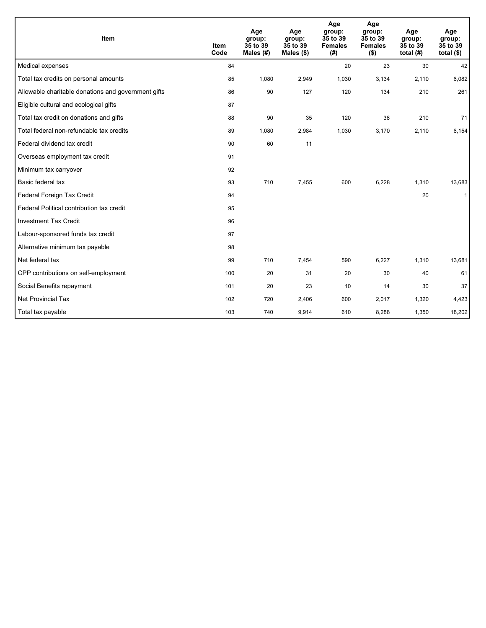| Item                                                | <b>Item</b><br>Code | Age<br>group:<br>35 to 39<br>Males (#) | Age<br>group:<br>35 to 39<br>Males $(\$)$ | Age<br>group:<br>35 to 39<br><b>Females</b><br>(#) | Age<br>group:<br>35 to 39<br><b>Females</b><br>( \$) | Age<br>group:<br>35 to 39<br>total $(H)$ | Age<br>group:<br>35 to 39<br>total $($)$ |
|-----------------------------------------------------|---------------------|----------------------------------------|-------------------------------------------|----------------------------------------------------|------------------------------------------------------|------------------------------------------|------------------------------------------|
| Medical expenses                                    | 84                  |                                        |                                           | 20                                                 | 23                                                   | 30                                       | 42                                       |
| Total tax credits on personal amounts               | 85                  | 1,080                                  | 2,949                                     | 1,030                                              | 3,134                                                | 2,110                                    | 6,082                                    |
| Allowable charitable donations and government gifts | 86                  | 90                                     | 127                                       | 120                                                | 134                                                  | 210                                      | 261                                      |
| Eligible cultural and ecological gifts              | 87                  |                                        |                                           |                                                    |                                                      |                                          |                                          |
| Total tax credit on donations and gifts             | 88                  | 90                                     | 35                                        | 120                                                | 36                                                   | 210                                      | 71                                       |
| Total federal non-refundable tax credits            | 89                  | 1,080                                  | 2,984                                     | 1,030                                              | 3,170                                                | 2,110                                    | 6,154                                    |
| Federal dividend tax credit                         | 90                  | 60                                     | 11                                        |                                                    |                                                      |                                          |                                          |
| Overseas employment tax credit                      | 91                  |                                        |                                           |                                                    |                                                      |                                          |                                          |
| Minimum tax carryover                               | 92                  |                                        |                                           |                                                    |                                                      |                                          |                                          |
| Basic federal tax                                   | 93                  | 710                                    | 7,455                                     | 600                                                | 6,228                                                | 1,310                                    | 13,683                                   |
| Federal Foreign Tax Credit                          | 94                  |                                        |                                           |                                                    |                                                      | 20                                       | $\mathbf{1}$                             |
| Federal Political contribution tax credit           | 95                  |                                        |                                           |                                                    |                                                      |                                          |                                          |
| <b>Investment Tax Credit</b>                        | 96                  |                                        |                                           |                                                    |                                                      |                                          |                                          |
| Labour-sponsored funds tax credit                   | 97                  |                                        |                                           |                                                    |                                                      |                                          |                                          |
| Alternative minimum tax payable                     | 98                  |                                        |                                           |                                                    |                                                      |                                          |                                          |
| Net federal tax                                     | 99                  | 710                                    | 7,454                                     | 590                                                | 6,227                                                | 1,310                                    | 13,681                                   |
| CPP contributions on self-employment                | 100                 | 20                                     | 31                                        | 20                                                 | 30                                                   | 40                                       | 61                                       |
| Social Benefits repayment                           | 101                 | 20                                     | 23                                        | 10                                                 | 14                                                   | 30                                       | 37                                       |
| Net Provincial Tax                                  | 102                 | 720                                    | 2,406                                     | 600                                                | 2,017                                                | 1,320                                    | 4,423                                    |
| Total tax payable                                   | 103                 | 740                                    | 9,914                                     | 610                                                | 8,288                                                | 1,350                                    | 18,202                                   |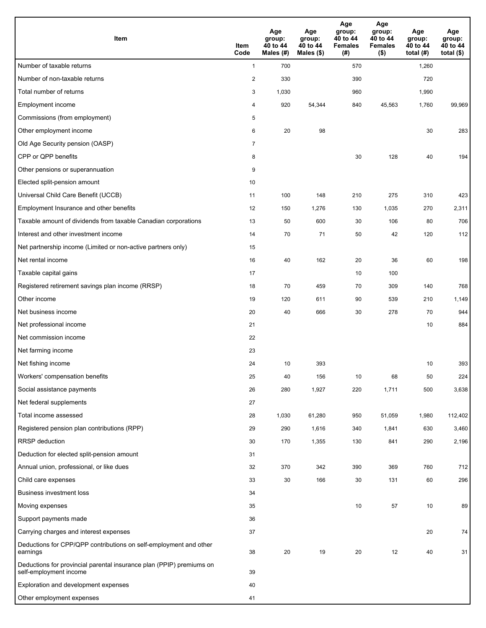| Item                                                                                           | Item<br>Code   | Age<br>group:<br>40 to 44<br>Males (#) | Age<br>group:<br>40 to 44<br>Males $(\$)$ | Age<br>group:<br>40 to 44<br><b>Females</b><br>(# ) | Age<br>group:<br>40 to 44<br><b>Females</b><br>$($ \$) | Age<br>group:<br>40 to 44<br>total $(H)$ | Age<br>group:<br>40 to 44<br>total $($)$ |
|------------------------------------------------------------------------------------------------|----------------|----------------------------------------|-------------------------------------------|-----------------------------------------------------|--------------------------------------------------------|------------------------------------------|------------------------------------------|
| Number of taxable returns                                                                      | $\mathbf{1}$   | 700                                    |                                           | 570                                                 |                                                        | 1,260                                    |                                          |
| Number of non-taxable returns                                                                  | $\sqrt{2}$     | 330                                    |                                           | 390                                                 |                                                        | 720                                      |                                          |
| Total number of returns                                                                        | 3              | 1,030                                  |                                           | 960                                                 |                                                        | 1,990                                    |                                          |
| Employment income                                                                              | 4              | 920                                    | 54,344                                    | 840                                                 | 45,563                                                 | 1,760                                    | 99,969                                   |
| Commissions (from employment)                                                                  | 5              |                                        |                                           |                                                     |                                                        |                                          |                                          |
| Other employment income                                                                        | 6              | 20                                     | 98                                        |                                                     |                                                        | 30                                       | 283                                      |
| Old Age Security pension (OASP)                                                                | $\overline{7}$ |                                        |                                           |                                                     |                                                        |                                          |                                          |
| CPP or QPP benefits                                                                            | 8              |                                        |                                           | 30                                                  | 128                                                    | 40                                       | 194                                      |
| Other pensions or superannuation                                                               | 9              |                                        |                                           |                                                     |                                                        |                                          |                                          |
| Elected split-pension amount                                                                   | 10             |                                        |                                           |                                                     |                                                        |                                          |                                          |
| Universal Child Care Benefit (UCCB)                                                            | 11             | 100                                    | 148                                       | 210                                                 | 275                                                    | 310                                      | 423                                      |
| Employment Insurance and other benefits                                                        | 12             | 150                                    | 1,276                                     | 130                                                 | 1,035                                                  | 270                                      | 2,311                                    |
| Taxable amount of dividends from taxable Canadian corporations                                 | 13             | 50                                     | 600                                       | 30                                                  | 106                                                    | 80                                       | 706                                      |
| Interest and other investment income                                                           | 14             | 70                                     | 71                                        | 50                                                  | 42                                                     | 120                                      | 112                                      |
| Net partnership income (Limited or non-active partners only)                                   | 15             |                                        |                                           |                                                     |                                                        |                                          |                                          |
| Net rental income                                                                              | 16             | 40                                     | 162                                       | 20                                                  | 36                                                     | 60                                       | 198                                      |
| Taxable capital gains                                                                          | 17             |                                        |                                           | 10                                                  | 100                                                    |                                          |                                          |
| Registered retirement savings plan income (RRSP)                                               | 18             | 70                                     | 459                                       | 70                                                  | 309                                                    | 140                                      | 768                                      |
| Other income                                                                                   | 19             | 120                                    | 611                                       | 90                                                  | 539                                                    | 210                                      | 1,149                                    |
| Net business income                                                                            | 20             | 40                                     | 666                                       | 30                                                  | 278                                                    | 70                                       | 944                                      |
| Net professional income                                                                        | 21             |                                        |                                           |                                                     |                                                        | 10                                       | 884                                      |
| Net commission income                                                                          | 22             |                                        |                                           |                                                     |                                                        |                                          |                                          |
| Net farming income                                                                             | 23             |                                        |                                           |                                                     |                                                        |                                          |                                          |
| Net fishing income                                                                             | 24             | 10                                     | 393                                       |                                                     |                                                        | 10                                       | 393                                      |
| Workers' compensation benefits                                                                 | 25             | 40                                     | 156                                       | 10                                                  | 68                                                     | 50                                       | 224                                      |
| Social assistance payments                                                                     | 26             | 280                                    | 1,927                                     | 220                                                 | 1,711                                                  | 500                                      | 3,638                                    |
| Net federal supplements                                                                        | 27             |                                        |                                           |                                                     |                                                        |                                          |                                          |
| Total income assessed                                                                          | 28             | 1,030                                  | 61,280                                    | 950                                                 | 51,059                                                 | 1,980                                    | 112,402                                  |
| Registered pension plan contributions (RPP)                                                    | 29             | 290                                    | 1,616                                     | 340                                                 | 1,841                                                  | 630                                      | 3,460                                    |
| RRSP deduction                                                                                 | 30             | 170                                    | 1,355                                     | 130                                                 | 841                                                    | 290                                      | 2,196                                    |
| Deduction for elected split-pension amount                                                     | 31             |                                        |                                           |                                                     |                                                        |                                          |                                          |
| Annual union, professional, or like dues                                                       | 32             | 370                                    | 342                                       | 390                                                 | 369                                                    | 760                                      | 712                                      |
| Child care expenses                                                                            | 33             | 30                                     | 166                                       | 30                                                  | 131                                                    | 60                                       | 296                                      |
| <b>Business investment loss</b>                                                                | 34             |                                        |                                           |                                                     |                                                        |                                          |                                          |
| Moving expenses                                                                                | 35             |                                        |                                           | 10                                                  | 57                                                     | 10                                       | 89                                       |
| Support payments made                                                                          | 36             |                                        |                                           |                                                     |                                                        |                                          |                                          |
| Carrying charges and interest expenses                                                         | 37             |                                        |                                           |                                                     |                                                        | 20                                       | 74                                       |
| Deductions for CPP/QPP contributions on self-employment and other<br>earnings                  | 38             | 20                                     | 19                                        | 20                                                  | 12                                                     | 40                                       | 31                                       |
| Deductions for provincial parental insurance plan (PPIP) premiums on<br>self-employment income | 39             |                                        |                                           |                                                     |                                                        |                                          |                                          |
| Exploration and development expenses                                                           | 40             |                                        |                                           |                                                     |                                                        |                                          |                                          |
| Other employment expenses                                                                      | 41             |                                        |                                           |                                                     |                                                        |                                          |                                          |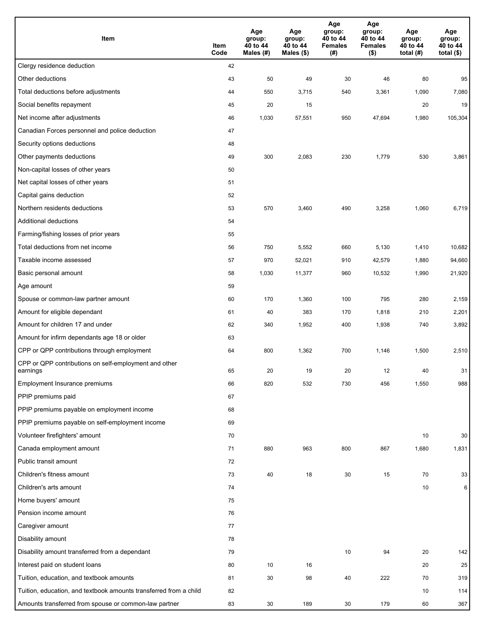| Item                                                              | Item<br>Code | Age<br>group:<br>40 to 44<br>Males (#) | Age<br>group:<br>40 to 44<br>Males (\$) | Age<br>group:<br>40 to 44<br><b>Females</b><br>(#) | Age<br>group:<br>40 to 44<br><b>Females</b><br>$($ \$) | Age<br>group:<br>40 to 44<br>total $(H)$ | Age<br>group:<br>40 to 44<br>total $($)$ |
|-------------------------------------------------------------------|--------------|----------------------------------------|-----------------------------------------|----------------------------------------------------|--------------------------------------------------------|------------------------------------------|------------------------------------------|
| Clergy residence deduction                                        | 42           |                                        |                                         |                                                    |                                                        |                                          |                                          |
| Other deductions                                                  | 43           | 50                                     | 49                                      | 30                                                 | 46                                                     | 80                                       | 95                                       |
| Total deductions before adjustments                               | 44           | 550                                    | 3,715                                   | 540                                                | 3,361                                                  | 1,090                                    | 7,080                                    |
| Social benefits repayment                                         | 45           | 20                                     | 15                                      |                                                    |                                                        | 20                                       | 19                                       |
| Net income after adjustments                                      | 46           | 1,030                                  | 57,551                                  | 950                                                | 47,694                                                 | 1,980                                    | 105,304                                  |
| Canadian Forces personnel and police deduction                    | 47           |                                        |                                         |                                                    |                                                        |                                          |                                          |
| Security options deductions                                       | 48           |                                        |                                         |                                                    |                                                        |                                          |                                          |
| Other payments deductions                                         | 49           | 300                                    | 2,083                                   | 230                                                | 1,779                                                  | 530                                      | 3,861                                    |
| Non-capital losses of other years                                 | 50           |                                        |                                         |                                                    |                                                        |                                          |                                          |
| Net capital losses of other years                                 | 51           |                                        |                                         |                                                    |                                                        |                                          |                                          |
| Capital gains deduction                                           | 52           |                                        |                                         |                                                    |                                                        |                                          |                                          |
| Northern residents deductions                                     | 53           | 570                                    | 3,460                                   | 490                                                | 3,258                                                  | 1,060                                    | 6,719                                    |
| Additional deductions                                             | 54           |                                        |                                         |                                                    |                                                        |                                          |                                          |
| Farming/fishing losses of prior years                             | 55           |                                        |                                         |                                                    |                                                        |                                          |                                          |
| Total deductions from net income                                  | 56           | 750                                    | 5,552                                   | 660                                                | 5,130                                                  | 1,410                                    | 10,682                                   |
| Taxable income assessed                                           | 57           | 970                                    | 52,021                                  | 910                                                | 42,579                                                 | 1,880                                    | 94,660                                   |
| Basic personal amount                                             | 58           | 1,030                                  | 11,377                                  | 960                                                | 10,532                                                 | 1,990                                    | 21,920                                   |
| Age amount                                                        | 59           |                                        |                                         |                                                    |                                                        |                                          |                                          |
| Spouse or common-law partner amount                               | 60           | 170                                    | 1,360                                   | 100                                                | 795                                                    | 280                                      | 2,159                                    |
| Amount for eligible dependant                                     | 61           | 40                                     | 383                                     | 170                                                | 1,818                                                  | 210                                      | 2,201                                    |
| Amount for children 17 and under                                  | 62           | 340                                    | 1,952                                   | 400                                                | 1,938                                                  | 740                                      | 3,892                                    |
| Amount for infirm dependants age 18 or older                      | 63           |                                        |                                         |                                                    |                                                        |                                          |                                          |
| CPP or QPP contributions through employment                       | 64           | 800                                    | 1,362                                   | 700                                                | 1,146                                                  | 1,500                                    | 2,510                                    |
| CPP or QPP contributions on self-employment and other<br>earnings | 65           | 20                                     | 19                                      | 20                                                 | 12                                                     | 40                                       | 31                                       |
| Employment Insurance premiums                                     | 66           | 820                                    | 532                                     | 730                                                | 456                                                    | 1,550                                    | 988                                      |
| PPIP premiums paid                                                | 67           |                                        |                                         |                                                    |                                                        |                                          |                                          |
| PPIP premiums payable on employment income                        | 68           |                                        |                                         |                                                    |                                                        |                                          |                                          |
| PPIP premiums payable on self-employment income                   | 69           |                                        |                                         |                                                    |                                                        |                                          |                                          |
| Volunteer firefighters' amount                                    | 70           |                                        |                                         |                                                    |                                                        | 10                                       | 30                                       |
| Canada employment amount                                          | 71           | 880                                    | 963                                     | 800                                                | 867                                                    | 1,680                                    | 1,831                                    |
| Public transit amount                                             | 72           |                                        |                                         |                                                    |                                                        |                                          |                                          |
| Children's fitness amount                                         | 73           | 40                                     | 18                                      | 30                                                 | 15                                                     | 70                                       | 33                                       |
| Children's arts amount                                            | 74           |                                        |                                         |                                                    |                                                        | 10                                       | 6                                        |
| Home buyers' amount                                               | 75           |                                        |                                         |                                                    |                                                        |                                          |                                          |
| Pension income amount                                             | 76           |                                        |                                         |                                                    |                                                        |                                          |                                          |
| Caregiver amount                                                  | 77           |                                        |                                         |                                                    |                                                        |                                          |                                          |
| Disability amount                                                 | 78           |                                        |                                         |                                                    |                                                        |                                          |                                          |
| Disability amount transferred from a dependant                    | 79           |                                        |                                         | 10                                                 | 94                                                     | 20                                       | 142                                      |
| Interest paid on student loans                                    | 80           | 10                                     | 16                                      |                                                    |                                                        | 20                                       | 25                                       |
| Tuition, education, and textbook amounts                          | 81           | 30                                     | 98                                      | 40                                                 | 222                                                    | 70                                       | 319                                      |
| Tuition, education, and textbook amounts transferred from a child | 82           |                                        |                                         |                                                    |                                                        | 10                                       | 114                                      |
| Amounts transferred from spouse or common-law partner             | 83           | 30                                     | 189                                     | 30                                                 | 179                                                    | 60                                       | 367                                      |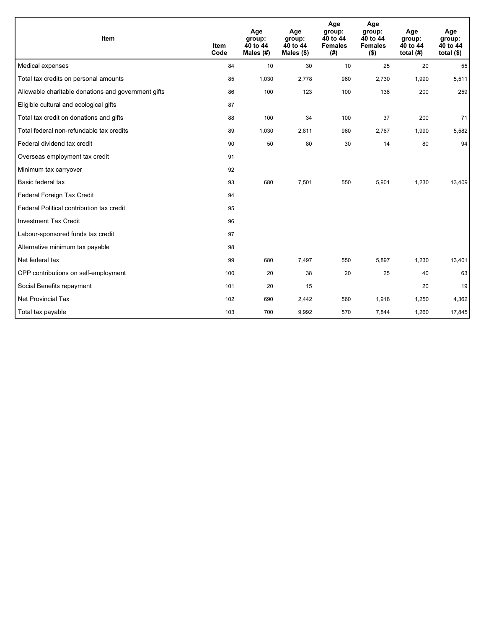| Item                                                | <b>Item</b><br>Code | Age<br>group:<br>40 to 44<br>Males $(H)$ | Age<br>group:<br>40 to 44<br>Males (\$) | Age<br>group:<br>40 to 44<br><b>Females</b><br>(#) | Age<br>group:<br>40 to 44<br><b>Females</b><br>$($ \$) | Age<br>group:<br>40 to 44<br>total $(H)$ | Age<br>group:<br>40 to 44<br>total $($ |
|-----------------------------------------------------|---------------------|------------------------------------------|-----------------------------------------|----------------------------------------------------|--------------------------------------------------------|------------------------------------------|----------------------------------------|
| Medical expenses                                    | 84                  | 10                                       | 30                                      | 10                                                 | 25                                                     | 20                                       | 55                                     |
| Total tax credits on personal amounts               | 85                  | 1,030                                    | 2,778                                   | 960                                                | 2,730                                                  | 1,990                                    | 5,511                                  |
| Allowable charitable donations and government gifts | 86                  | 100                                      | 123                                     | 100                                                | 136                                                    | 200                                      | 259                                    |
| Eligible cultural and ecological gifts              | 87                  |                                          |                                         |                                                    |                                                        |                                          |                                        |
| Total tax credit on donations and gifts             | 88                  | 100                                      | 34                                      | 100                                                | 37                                                     | 200                                      | 71                                     |
| Total federal non-refundable tax credits            | 89                  | 1,030                                    | 2,811                                   | 960                                                | 2,767                                                  | 1,990                                    | 5,582                                  |
| Federal dividend tax credit                         | 90                  | 50                                       | 80                                      | 30                                                 | 14                                                     | 80                                       | 94                                     |
| Overseas employment tax credit                      | 91                  |                                          |                                         |                                                    |                                                        |                                          |                                        |
| Minimum tax carryover                               | 92                  |                                          |                                         |                                                    |                                                        |                                          |                                        |
| Basic federal tax                                   | 93                  | 680                                      | 7,501                                   | 550                                                | 5,901                                                  | 1,230                                    | 13,409                                 |
| Federal Foreign Tax Credit                          | 94                  |                                          |                                         |                                                    |                                                        |                                          |                                        |
| Federal Political contribution tax credit           | 95                  |                                          |                                         |                                                    |                                                        |                                          |                                        |
| <b>Investment Tax Credit</b>                        | 96                  |                                          |                                         |                                                    |                                                        |                                          |                                        |
| Labour-sponsored funds tax credit                   | 97                  |                                          |                                         |                                                    |                                                        |                                          |                                        |
| Alternative minimum tax payable                     | 98                  |                                          |                                         |                                                    |                                                        |                                          |                                        |
| Net federal tax                                     | 99                  | 680                                      | 7,497                                   | 550                                                | 5,897                                                  | 1,230                                    | 13,401                                 |
| CPP contributions on self-employment                | 100                 | 20                                       | 38                                      | 20                                                 | 25                                                     | 40                                       | 63                                     |
| Social Benefits repayment                           | 101                 | 20                                       | 15                                      |                                                    |                                                        | 20                                       | 19                                     |
| <b>Net Provincial Tax</b>                           | 102                 | 690                                      | 2,442                                   | 560                                                | 1,918                                                  | 1,250                                    | 4,362                                  |
| Total tax payable                                   | 103                 | 700                                      | 9,992                                   | 570                                                | 7,844                                                  | 1,260                                    | 17,845                                 |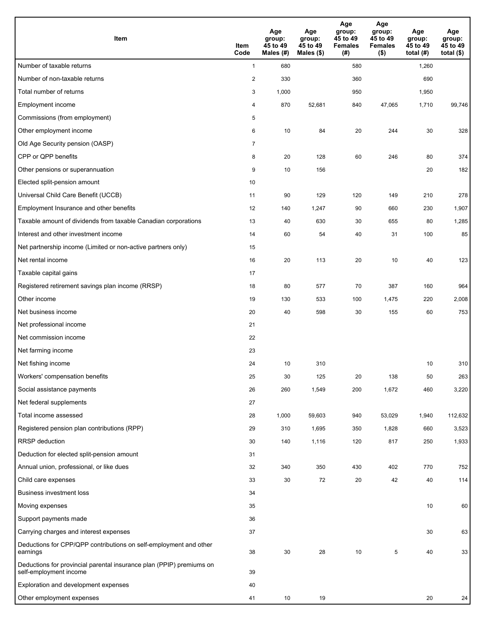| <b>Item</b>                                                                                    | Item<br>Code   | Age<br>group:<br>45 to 49<br>Males (#) | Age<br>group:<br>45 to 49<br>Males (\$) | Age<br>group:<br>45 to 49<br><b>Females</b><br>(#) | Age<br>group:<br>45 to 49<br><b>Females</b><br>$($ \$) | Age<br>group:<br>45 to 49<br>total $(#)$ | Age<br>group:<br>45 to 49<br>total $($)$ |
|------------------------------------------------------------------------------------------------|----------------|----------------------------------------|-----------------------------------------|----------------------------------------------------|--------------------------------------------------------|------------------------------------------|------------------------------------------|
| Number of taxable returns                                                                      | $\mathbf{1}$   | 680                                    |                                         | 580                                                |                                                        | 1,260                                    |                                          |
| Number of non-taxable returns                                                                  | $\overline{c}$ | 330                                    |                                         | 360                                                |                                                        | 690                                      |                                          |
| Total number of returns                                                                        | 3              | 1,000                                  |                                         | 950                                                |                                                        | 1,950                                    |                                          |
| Employment income                                                                              | 4              | 870                                    | 52,681                                  | 840                                                | 47.065                                                 | 1,710                                    | 99,746                                   |
| Commissions (from employment)                                                                  | 5              |                                        |                                         |                                                    |                                                        |                                          |                                          |
| Other employment income                                                                        | 6              | 10                                     | 84                                      | 20                                                 | 244                                                    | 30                                       | 328                                      |
| Old Age Security pension (OASP)                                                                | $\overline{7}$ |                                        |                                         |                                                    |                                                        |                                          |                                          |
| CPP or QPP benefits                                                                            | 8              | 20                                     | 128                                     | 60                                                 | 246                                                    | 80                                       | 374                                      |
| Other pensions or superannuation                                                               | 9              | 10                                     | 156                                     |                                                    |                                                        | 20                                       | 182                                      |
| Elected split-pension amount                                                                   | 10             |                                        |                                         |                                                    |                                                        |                                          |                                          |
| Universal Child Care Benefit (UCCB)                                                            | 11             | 90                                     | 129                                     | 120                                                | 149                                                    | 210                                      | 278                                      |
| Employment Insurance and other benefits                                                        | 12             | 140                                    | 1,247                                   | 90                                                 | 660                                                    | 230                                      | 1,907                                    |
| Taxable amount of dividends from taxable Canadian corporations                                 | 13             | 40                                     | 630                                     | 30                                                 | 655                                                    | 80                                       | 1,285                                    |
| Interest and other investment income                                                           | 14             | 60                                     | 54                                      | 40                                                 | 31                                                     | 100                                      | 85                                       |
| Net partnership income (Limited or non-active partners only)                                   | 15             |                                        |                                         |                                                    |                                                        |                                          |                                          |
| Net rental income                                                                              | 16             | 20                                     | 113                                     | 20                                                 | 10                                                     | 40                                       | 123                                      |
| Taxable capital gains                                                                          | 17             |                                        |                                         |                                                    |                                                        |                                          |                                          |
| Registered retirement savings plan income (RRSP)                                               | 18             | 80                                     | 577                                     | 70                                                 | 387                                                    | 160                                      | 964                                      |
| Other income                                                                                   | 19             | 130                                    | 533                                     | 100                                                | 1,475                                                  | 220                                      | 2,008                                    |
| Net business income                                                                            | 20             | 40                                     | 598                                     | 30                                                 | 155                                                    | 60                                       | 753                                      |
| Net professional income                                                                        | 21             |                                        |                                         |                                                    |                                                        |                                          |                                          |
| Net commission income                                                                          | 22             |                                        |                                         |                                                    |                                                        |                                          |                                          |
| Net farming income                                                                             | 23             |                                        |                                         |                                                    |                                                        |                                          |                                          |
| Net fishing income                                                                             | 24             | 10                                     | 310                                     |                                                    |                                                        | 10                                       | 310                                      |
| Workers' compensation benefits                                                                 | 25             | 30                                     | 125                                     | 20                                                 | 138                                                    | 50                                       | 263                                      |
| Social assistance payments                                                                     | 26             | 260                                    | 1,549                                   | 200                                                | 1,672                                                  | 460                                      | 3,220                                    |
| Net federal supplements                                                                        | 27             |                                        |                                         |                                                    |                                                        |                                          |                                          |
| Total income assessed                                                                          | 28             | 1,000                                  | 59,603                                  | 940                                                | 53,029                                                 | 1,940                                    | 112,632                                  |
| Registered pension plan contributions (RPP)                                                    | 29             | 310                                    | 1,695                                   | 350                                                | 1,828                                                  | 660                                      | 3,523                                    |
| RRSP deduction                                                                                 | 30             | 140                                    | 1,116                                   | 120                                                | 817                                                    | 250                                      | 1,933                                    |
| Deduction for elected split-pension amount                                                     | 31             |                                        |                                         |                                                    |                                                        |                                          |                                          |
| Annual union, professional, or like dues                                                       | 32             | 340                                    | 350                                     | 430                                                | 402                                                    | 770                                      | 752                                      |
| Child care expenses                                                                            | 33             | 30                                     | 72                                      | 20                                                 | 42                                                     | 40                                       | 114                                      |
| <b>Business investment loss</b>                                                                | 34             |                                        |                                         |                                                    |                                                        |                                          |                                          |
| Moving expenses                                                                                | 35             |                                        |                                         |                                                    |                                                        | 10                                       | 60                                       |
| Support payments made                                                                          | 36             |                                        |                                         |                                                    |                                                        |                                          |                                          |
| Carrying charges and interest expenses                                                         | 37             |                                        |                                         |                                                    |                                                        | 30                                       | 63                                       |
| Deductions for CPP/QPP contributions on self-employment and other<br>earnings                  | 38             | 30                                     | 28                                      | 10                                                 | 5                                                      | 40                                       | 33                                       |
| Deductions for provincial parental insurance plan (PPIP) premiums on<br>self-employment income | 39             |                                        |                                         |                                                    |                                                        |                                          |                                          |
| Exploration and development expenses                                                           | 40             |                                        |                                         |                                                    |                                                        |                                          |                                          |
| Other employment expenses                                                                      | 41             | 10                                     | 19                                      |                                                    |                                                        | 20                                       | 24                                       |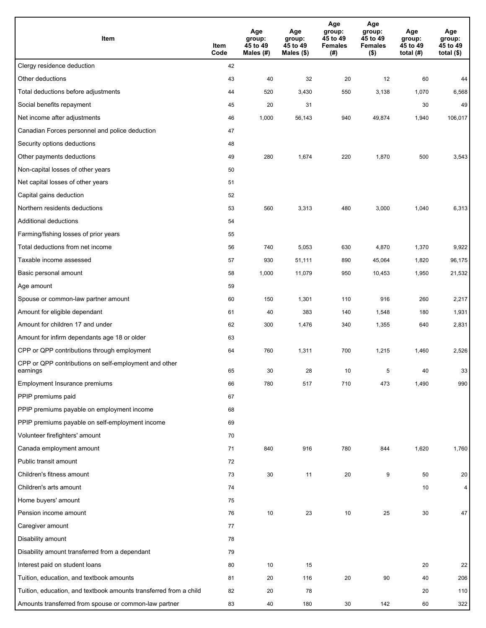| Item                                                              | Item<br>Code | Age<br>group:<br>45 to 49<br>Males (#) | Age<br>group:<br>45 to 49<br>Males (\$) | Age<br>group:<br>45 to 49<br><b>Females</b><br>(#) | Age<br>group:<br>45 to 49<br><b>Females</b><br>$($ \$) | Age<br>group:<br>45 to 49<br>total $(H)$ | Age<br>group:<br>45 to 49<br>total $($)$ |
|-------------------------------------------------------------------|--------------|----------------------------------------|-----------------------------------------|----------------------------------------------------|--------------------------------------------------------|------------------------------------------|------------------------------------------|
| Clergy residence deduction                                        | 42           |                                        |                                         |                                                    |                                                        |                                          |                                          |
| Other deductions                                                  | 43           | 40                                     | 32                                      | 20                                                 | 12                                                     | 60                                       | 44                                       |
| Total deductions before adjustments                               | 44           | 520                                    | 3,430                                   | 550                                                | 3,138                                                  | 1,070                                    | 6,568                                    |
| Social benefits repayment                                         | 45           | 20                                     | 31                                      |                                                    |                                                        | 30                                       | 49                                       |
| Net income after adjustments                                      | 46           | 1,000                                  | 56,143                                  | 940                                                | 49,874                                                 | 1,940                                    | 106,017                                  |
| Canadian Forces personnel and police deduction                    | 47           |                                        |                                         |                                                    |                                                        |                                          |                                          |
| Security options deductions                                       | 48           |                                        |                                         |                                                    |                                                        |                                          |                                          |
| Other payments deductions                                         | 49           | 280                                    | 1,674                                   | 220                                                | 1,870                                                  | 500                                      | 3,543                                    |
| Non-capital losses of other years                                 | 50           |                                        |                                         |                                                    |                                                        |                                          |                                          |
| Net capital losses of other years                                 | 51           |                                        |                                         |                                                    |                                                        |                                          |                                          |
| Capital gains deduction                                           | 52           |                                        |                                         |                                                    |                                                        |                                          |                                          |
| Northern residents deductions                                     | 53           | 560                                    | 3,313                                   | 480                                                | 3,000                                                  | 1,040                                    | 6,313                                    |
| Additional deductions                                             | 54           |                                        |                                         |                                                    |                                                        |                                          |                                          |
| Farming/fishing losses of prior years                             | 55           |                                        |                                         |                                                    |                                                        |                                          |                                          |
| Total deductions from net income                                  | 56           | 740                                    | 5,053                                   | 630                                                | 4,870                                                  | 1,370                                    | 9,922                                    |
| Taxable income assessed                                           | 57           | 930                                    | 51,111                                  | 890                                                | 45,064                                                 | 1,820                                    | 96,175                                   |
| Basic personal amount                                             | 58           | 1,000                                  | 11,079                                  | 950                                                | 10,453                                                 | 1,950                                    | 21,532                                   |
| Age amount                                                        | 59           |                                        |                                         |                                                    |                                                        |                                          |                                          |
| Spouse or common-law partner amount                               | 60           | 150                                    | 1,301                                   | 110                                                | 916                                                    | 260                                      | 2,217                                    |
| Amount for eligible dependant                                     | 61           | 40                                     | 383                                     | 140                                                | 1,548                                                  | 180                                      | 1,931                                    |
| Amount for children 17 and under                                  | 62           | 300                                    | 1,476                                   | 340                                                | 1,355                                                  | 640                                      | 2,831                                    |
| Amount for infirm dependants age 18 or older                      | 63           |                                        |                                         |                                                    |                                                        |                                          |                                          |
| CPP or QPP contributions through employment                       | 64           | 760                                    | 1,311                                   | 700                                                | 1,215                                                  | 1,460                                    | 2,526                                    |
| CPP or QPP contributions on self-employment and other<br>earnings | 65           | 30                                     | 28                                      | 10                                                 | 5                                                      | 40                                       | 33                                       |
| Employment Insurance premiums                                     | 66           | 780                                    | 517                                     | 710                                                | 473                                                    | 1,490                                    | 990                                      |
| PPIP premiums paid                                                | 67           |                                        |                                         |                                                    |                                                        |                                          |                                          |
| PPIP premiums payable on employment income                        | 68           |                                        |                                         |                                                    |                                                        |                                          |                                          |
| PPIP premiums payable on self-employment income                   | 69           |                                        |                                         |                                                    |                                                        |                                          |                                          |
| Volunteer firefighters' amount                                    | 70           |                                        |                                         |                                                    |                                                        |                                          |                                          |
| Canada employment amount                                          | 71           | 840                                    | 916                                     | 780                                                | 844                                                    | 1,620                                    | 1,760                                    |
| Public transit amount                                             | 72           |                                        |                                         |                                                    |                                                        |                                          |                                          |
| Children's fitness amount                                         | 73           | 30                                     | 11                                      | 20                                                 | 9                                                      | 50                                       | 20                                       |
| Children's arts amount                                            | 74           |                                        |                                         |                                                    |                                                        | 10                                       | $\overline{4}$                           |
| Home buyers' amount                                               | 75           |                                        |                                         |                                                    |                                                        |                                          |                                          |
| Pension income amount                                             | 76           | 10                                     | 23                                      | 10                                                 | 25                                                     | 30                                       | 47                                       |
| Caregiver amount                                                  | 77           |                                        |                                         |                                                    |                                                        |                                          |                                          |
| Disability amount                                                 | 78           |                                        |                                         |                                                    |                                                        |                                          |                                          |
| Disability amount transferred from a dependant                    | 79           |                                        |                                         |                                                    |                                                        |                                          |                                          |
| Interest paid on student loans                                    | 80           | 10                                     | 15                                      |                                                    |                                                        | 20                                       | 22                                       |
| Tuition, education, and textbook amounts                          | 81           | 20                                     | 116                                     | 20                                                 | 90                                                     | 40                                       | 206                                      |
| Tuition, education, and textbook amounts transferred from a child | 82           | 20                                     | 78                                      |                                                    |                                                        | 20                                       | 110                                      |
| Amounts transferred from spouse or common-law partner             | 83           | 40                                     | 180                                     | 30                                                 | 142                                                    | 60                                       | 322                                      |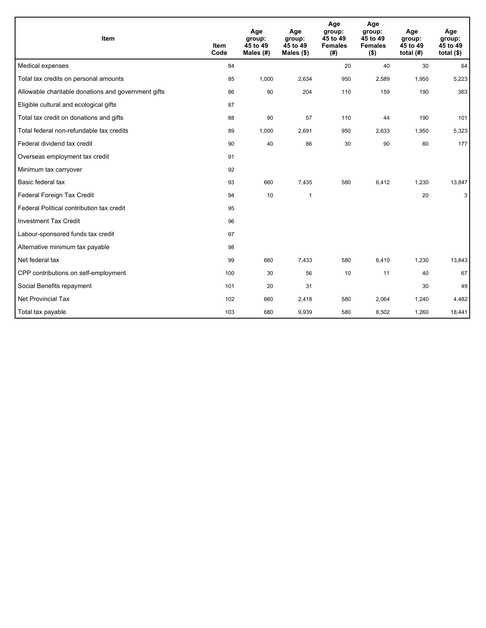| Item                                                | <b>Item</b><br>Code | Age<br>group:<br>45 to 49<br>Males (#) | Age<br>group:<br>45 to 49<br>Males $(\$)$ | Age<br>group:<br>45 to 49<br><b>Females</b><br>(#) | Age<br>group:<br>45 to 49<br><b>Females</b><br>$($ \$) | Age<br>group:<br>45 to 49<br>total $(H)$ | Age<br>group:<br>45 to 49<br>total $($)$ |
|-----------------------------------------------------|---------------------|----------------------------------------|-------------------------------------------|----------------------------------------------------|--------------------------------------------------------|------------------------------------------|------------------------------------------|
| Medical expenses                                    | 84                  |                                        |                                           | 20                                                 | 40                                                     | 30                                       | 64                                       |
| Total tax credits on personal amounts               | 85                  | 1,000                                  | 2,634                                     | 950                                                | 2,589                                                  | 1,950                                    | 5,223                                    |
| Allowable charitable donations and government gifts | 86                  | 90                                     | 204                                       | 110                                                | 159                                                    | 190                                      | 363                                      |
| Eligible cultural and ecological gifts              | 87                  |                                        |                                           |                                                    |                                                        |                                          |                                          |
| Total tax credit on donations and gifts             | 88                  | 90                                     | 57                                        | 110                                                | 44                                                     | 190                                      | 101                                      |
| Total federal non-refundable tax credits            | 89                  | 1,000                                  | 2,691                                     | 950                                                | 2,633                                                  | 1,950                                    | 5,323                                    |
| Federal dividend tax credit                         | 90                  | 40                                     | 86                                        | 30                                                 | 90                                                     | 80                                       | 177                                      |
| Overseas employment tax credit                      | 91                  |                                        |                                           |                                                    |                                                        |                                          |                                          |
| Minimum tax carryover                               | 92                  |                                        |                                           |                                                    |                                                        |                                          |                                          |
| Basic federal tax                                   | 93                  | 660                                    | 7,435                                     | 580                                                | 6,412                                                  | 1,230                                    | 13,847                                   |
| Federal Foreign Tax Credit                          | 94                  | 10                                     | $\mathbf{1}$                              |                                                    |                                                        | 20                                       | 3                                        |
| Federal Political contribution tax credit           | 95                  |                                        |                                           |                                                    |                                                        |                                          |                                          |
| <b>Investment Tax Credit</b>                        | 96                  |                                        |                                           |                                                    |                                                        |                                          |                                          |
| Labour-sponsored funds tax credit                   | 97                  |                                        |                                           |                                                    |                                                        |                                          |                                          |
| Alternative minimum tax payable                     | 98                  |                                        |                                           |                                                    |                                                        |                                          |                                          |
| Net federal tax                                     | 99                  | 660                                    | 7,433                                     | 580                                                | 6,410                                                  | 1,230                                    | 13,843                                   |
| CPP contributions on self-employment                | 100                 | 30                                     | 56                                        | 10                                                 | 11                                                     | 40                                       | 67                                       |
| Social Benefits repayment                           | 101                 | 20                                     | 31                                        |                                                    |                                                        | 30                                       | 49                                       |
| Net Provincial Tax                                  | 102                 | 660                                    | 2,418                                     | 580                                                | 2,064                                                  | 1,240                                    | 4,482                                    |
| Total tax payable                                   | 103                 | 680                                    | 9,939                                     | 580                                                | 8,502                                                  | 1,260                                    | 18,441                                   |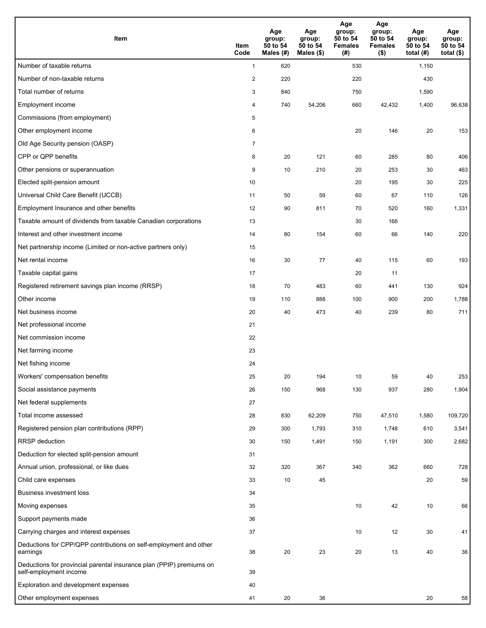| <b>Item</b>                                                                                    | Item<br>Code   | Age<br>group:<br>50 to 54<br>Males (#) | Age<br>group:<br>50 to 54<br>Males $(\$)$ | Age<br>group:<br>50 to 54<br><b>Females</b><br>(#) | Age<br>group:<br>50 to 54<br><b>Females</b><br>$($ \$) | Age<br>group:<br>50 to 54<br>total $(H)$ | Age<br>group:<br>50 to 54<br>total $($)$ |
|------------------------------------------------------------------------------------------------|----------------|----------------------------------------|-------------------------------------------|----------------------------------------------------|--------------------------------------------------------|------------------------------------------|------------------------------------------|
| Number of taxable returns                                                                      | $\mathbf{1}$   | 620                                    |                                           | 530                                                |                                                        | 1,150                                    |                                          |
| Number of non-taxable returns                                                                  | $\overline{c}$ | 220                                    |                                           | 220                                                |                                                        | 430                                      |                                          |
| Total number of returns                                                                        | 3              | 840                                    |                                           | 750                                                |                                                        | 1,590                                    |                                          |
| Employment income                                                                              | 4              | 740                                    | 54,206                                    | 660                                                | 42,432                                                 | 1,400                                    | 96,638                                   |
| Commissions (from employment)                                                                  | 5              |                                        |                                           |                                                    |                                                        |                                          |                                          |
| Other employment income                                                                        | 6              |                                        |                                           | 20                                                 | 146                                                    | 20                                       | 153                                      |
| Old Age Security pension (OASP)                                                                | $\overline{7}$ |                                        |                                           |                                                    |                                                        |                                          |                                          |
| CPP or QPP benefits                                                                            | 8              | 20                                     | 121                                       | 60                                                 | 285                                                    | 80                                       | 406                                      |
| Other pensions or superannuation                                                               | 9              | 10                                     | 210                                       | 20                                                 | 253                                                    | 30                                       | 463                                      |
| Elected split-pension amount                                                                   | 10             |                                        |                                           | 20                                                 | 195                                                    | 30                                       | 225                                      |
| Universal Child Care Benefit (UCCB)                                                            | 11             | 50                                     | 59                                        | 60                                                 | 67                                                     | 110                                      | 126                                      |
| Employment Insurance and other benefits                                                        | 12             | 90                                     | 811                                       | 70                                                 | 520                                                    | 160                                      | 1,331                                    |
| Taxable amount of dividends from taxable Canadian corporations                                 | 13             |                                        |                                           | 30                                                 | 166                                                    |                                          |                                          |
| Interest and other investment income                                                           | 14             | 80                                     | 154                                       | 60                                                 | 66                                                     | 140                                      | 220                                      |
| Net partnership income (Limited or non-active partners only)                                   | 15             |                                        |                                           |                                                    |                                                        |                                          |                                          |
| Net rental income                                                                              | 16             | 30                                     | 77                                        | 40                                                 | 115                                                    | 60                                       | 193                                      |
| Taxable capital gains                                                                          | 17             |                                        |                                           | 20                                                 | 11                                                     |                                          |                                          |
| Registered retirement savings plan income (RRSP)                                               | 18             | 70                                     | 483                                       | 60                                                 | 441                                                    | 130                                      | 924                                      |
| Other income                                                                                   | 19             | 110                                    | 888                                       | 100                                                | 900                                                    | 200                                      | 1,788                                    |
| Net business income                                                                            | 20             | 40                                     | 473                                       | 40                                                 | 239                                                    | 80                                       | 711                                      |
| Net professional income                                                                        | 21             |                                        |                                           |                                                    |                                                        |                                          |                                          |
| Net commission income                                                                          | 22             |                                        |                                           |                                                    |                                                        |                                          |                                          |
| Net farming income                                                                             | 23             |                                        |                                           |                                                    |                                                        |                                          |                                          |
| Net fishing income                                                                             | 24             |                                        |                                           |                                                    |                                                        |                                          |                                          |
| Workers' compensation benefits                                                                 | 25             | 20                                     | 194                                       | 10                                                 | 59                                                     | 40                                       | 253                                      |
| Social assistance payments                                                                     | 26             | 150                                    | 968                                       | 130                                                | 937                                                    | 280                                      | 1,904                                    |
| Net federal supplements                                                                        | 27             |                                        |                                           |                                                    |                                                        |                                          |                                          |
| Total income assessed                                                                          | 28             | 830                                    | 62,209                                    | 750                                                | 47,510                                                 | 1,580                                    | 109,720                                  |
| Registered pension plan contributions (RPP)                                                    | 29             | 300                                    | 1,793                                     | 310                                                | 1,748                                                  | 610                                      | 3,541                                    |
| RRSP deduction                                                                                 | 30             | 150                                    | 1,491                                     | 150                                                | 1,191                                                  | 300                                      | 2,682                                    |
| Deduction for elected split-pension amount                                                     | 31             |                                        |                                           |                                                    |                                                        |                                          |                                          |
| Annual union, professional, or like dues                                                       | 32             | 320                                    | 367                                       | 340                                                | 362                                                    | 660                                      | 728                                      |
| Child care expenses                                                                            | 33             | 10                                     | 45                                        |                                                    |                                                        | 20                                       | 59                                       |
| <b>Business investment loss</b>                                                                | 34             |                                        |                                           |                                                    |                                                        |                                          |                                          |
| Moving expenses                                                                                | 35             |                                        |                                           | $10\,$                                             | 42                                                     | 10                                       | 66                                       |
| Support payments made                                                                          | 36             |                                        |                                           |                                                    |                                                        |                                          |                                          |
| Carrying charges and interest expenses                                                         | 37             |                                        |                                           | 10                                                 | 12                                                     | 30                                       | 41                                       |
| Deductions for CPP/QPP contributions on self-employment and other<br>earnings                  | 38             | 20                                     | 23                                        | 20                                                 | 13                                                     | 40                                       | 36                                       |
| Deductions for provincial parental insurance plan (PPIP) premiums on<br>self-employment income | 39             |                                        |                                           |                                                    |                                                        |                                          |                                          |
| Exploration and development expenses                                                           | 40             |                                        |                                           |                                                    |                                                        |                                          |                                          |
| Other employment expenses                                                                      | 41             | 20                                     | 36                                        |                                                    |                                                        | 20                                       | 58                                       |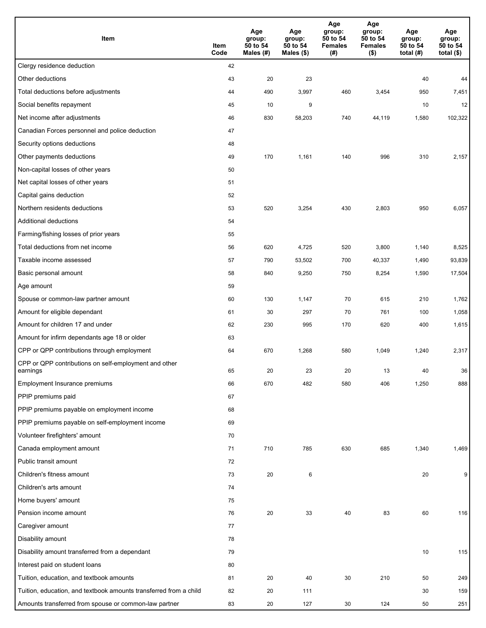| Item                                                              | Item<br>Code | Age<br>group:<br>50 to 54<br>Males (#) | Age<br>group:<br>50 to 54<br>Males (\$) | Age<br>group:<br>50 to 54<br><b>Females</b><br>(#) | Age<br>group:<br>50 to 54<br><b>Females</b><br>$($ \$) | Age<br>group:<br>50 to 54<br>total $(H)$ | Age<br>group:<br>50 to 54<br>total $($)$ |
|-------------------------------------------------------------------|--------------|----------------------------------------|-----------------------------------------|----------------------------------------------------|--------------------------------------------------------|------------------------------------------|------------------------------------------|
| Clergy residence deduction                                        | 42           |                                        |                                         |                                                    |                                                        |                                          |                                          |
| Other deductions                                                  | 43           | 20                                     | 23                                      |                                                    |                                                        | 40                                       | 44                                       |
| Total deductions before adjustments                               | 44           | 490                                    | 3,997                                   | 460                                                | 3,454                                                  | 950                                      | 7,451                                    |
| Social benefits repayment                                         | 45           | 10                                     | 9                                       |                                                    |                                                        | 10                                       | 12                                       |
| Net income after adjustments                                      | 46           | 830                                    | 58,203                                  | 740                                                | 44,119                                                 | 1,580                                    | 102,322                                  |
| Canadian Forces personnel and police deduction                    | 47           |                                        |                                         |                                                    |                                                        |                                          |                                          |
| Security options deductions                                       | 48           |                                        |                                         |                                                    |                                                        |                                          |                                          |
| Other payments deductions                                         | 49           | 170                                    | 1,161                                   | 140                                                | 996                                                    | 310                                      | 2,157                                    |
| Non-capital losses of other years                                 | 50           |                                        |                                         |                                                    |                                                        |                                          |                                          |
| Net capital losses of other years                                 | 51           |                                        |                                         |                                                    |                                                        |                                          |                                          |
| Capital gains deduction                                           | 52           |                                        |                                         |                                                    |                                                        |                                          |                                          |
| Northern residents deductions                                     | 53           | 520                                    | 3,254                                   | 430                                                | 2,803                                                  | 950                                      | 6,057                                    |
| Additional deductions                                             | 54           |                                        |                                         |                                                    |                                                        |                                          |                                          |
| Farming/fishing losses of prior years                             | 55           |                                        |                                         |                                                    |                                                        |                                          |                                          |
| Total deductions from net income                                  | 56           | 620                                    | 4,725                                   | 520                                                | 3,800                                                  | 1,140                                    | 8,525                                    |
| Taxable income assessed                                           | 57           | 790                                    | 53,502                                  | 700                                                | 40,337                                                 | 1,490                                    | 93,839                                   |
| Basic personal amount                                             | 58           | 840                                    | 9,250                                   | 750                                                | 8,254                                                  | 1,590                                    | 17,504                                   |
| Age amount                                                        | 59           |                                        |                                         |                                                    |                                                        |                                          |                                          |
| Spouse or common-law partner amount                               | 60           | 130                                    | 1,147                                   | 70                                                 | 615                                                    | 210                                      | 1,762                                    |
| Amount for eligible dependant                                     | 61           | 30                                     | 297                                     | 70                                                 | 761                                                    | 100                                      | 1,058                                    |
| Amount for children 17 and under                                  | 62           | 230                                    | 995                                     | 170                                                | 620                                                    | 400                                      | 1,615                                    |
| Amount for infirm dependants age 18 or older                      | 63           |                                        |                                         |                                                    |                                                        |                                          |                                          |
| CPP or QPP contributions through employment                       | 64           | 670                                    | 1,268                                   | 580                                                | 1,049                                                  | 1,240                                    | 2,317                                    |
| CPP or QPP contributions on self-employment and other<br>earnings | 65           | 20                                     | 23                                      | 20                                                 | 13                                                     | 40                                       | 36                                       |
| Employment Insurance premiums                                     | 66           | 670                                    | 482                                     | 580                                                | 406                                                    | 1,250                                    | 888                                      |
| PPIP premiums paid                                                | 67           |                                        |                                         |                                                    |                                                        |                                          |                                          |
| PPIP premiums payable on employment income                        | 68           |                                        |                                         |                                                    |                                                        |                                          |                                          |
| PPIP premiums payable on self-employment income                   | 69           |                                        |                                         |                                                    |                                                        |                                          |                                          |
| Volunteer firefighters' amount                                    | 70           |                                        |                                         |                                                    |                                                        |                                          |                                          |
| Canada employment amount                                          | 71           | 710                                    | 785                                     | 630                                                | 685                                                    | 1,340                                    | 1,469                                    |
| Public transit amount                                             | 72           |                                        |                                         |                                                    |                                                        |                                          |                                          |
| Children's fitness amount                                         | 73           | 20                                     | 6                                       |                                                    |                                                        | 20                                       | 9                                        |
| Children's arts amount                                            | 74           |                                        |                                         |                                                    |                                                        |                                          |                                          |
| Home buyers' amount                                               | 75           |                                        |                                         |                                                    |                                                        |                                          |                                          |
| Pension income amount                                             | 76           | 20                                     | 33                                      | 40                                                 | 83                                                     | 60                                       | 116                                      |
| Caregiver amount                                                  | 77           |                                        |                                         |                                                    |                                                        |                                          |                                          |
| Disability amount                                                 | 78           |                                        |                                         |                                                    |                                                        |                                          |                                          |
| Disability amount transferred from a dependant                    | 79           |                                        |                                         |                                                    |                                                        | 10                                       | 115                                      |
| Interest paid on student loans                                    | 80           |                                        |                                         |                                                    |                                                        |                                          |                                          |
| Tuition, education, and textbook amounts                          | 81           | 20                                     | 40                                      | 30                                                 | 210                                                    | 50                                       | 249                                      |
| Tuition, education, and textbook amounts transferred from a child | 82           | 20                                     | 111                                     |                                                    |                                                        | 30                                       | 159                                      |
| Amounts transferred from spouse or common-law partner             | 83           | 20                                     | 127                                     | 30                                                 | 124                                                    | 50                                       | 251                                      |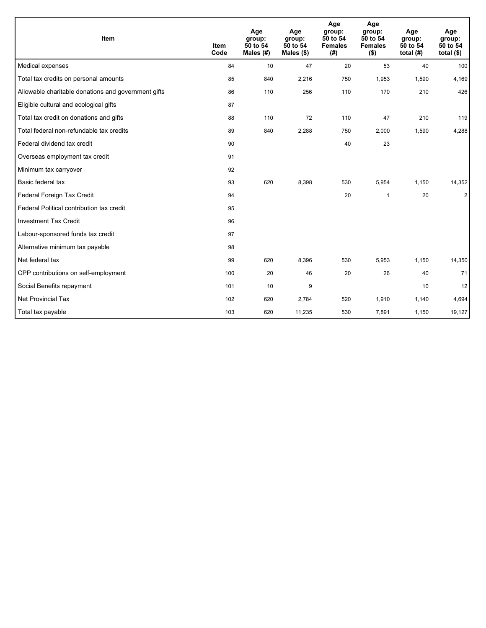| Item                                                | <b>Item</b><br>Code | Age<br>group:<br>50 to 54<br>Males $(H)$ | Age<br>group:<br>50 to 54<br>Males $(\$)$ | Age<br>group:<br>50 to 54<br><b>Females</b><br>(#) | Age<br>group:<br>50 to 54<br><b>Females</b><br>$($ \$) | Age<br>group:<br>50 to 54<br>total $(H)$ | Age<br>group:<br>50 to 54<br>total $($)$ |
|-----------------------------------------------------|---------------------|------------------------------------------|-------------------------------------------|----------------------------------------------------|--------------------------------------------------------|------------------------------------------|------------------------------------------|
| Medical expenses                                    | 84                  | 10                                       | 47                                        | 20                                                 | 53                                                     | 40                                       | 100                                      |
| Total tax credits on personal amounts               | 85                  | 840                                      | 2,216                                     | 750                                                | 1,953                                                  | 1,590                                    | 4,169                                    |
| Allowable charitable donations and government gifts | 86                  | 110                                      | 256                                       | 110                                                | 170                                                    | 210                                      | 426                                      |
| Eligible cultural and ecological gifts              | 87                  |                                          |                                           |                                                    |                                                        |                                          |                                          |
| Total tax credit on donations and gifts             | 88                  | 110                                      | 72                                        | 110                                                | 47                                                     | 210                                      | 119                                      |
| Total federal non-refundable tax credits            | 89                  | 840                                      | 2,288                                     | 750                                                | 2,000                                                  | 1,590                                    | 4,288                                    |
| Federal dividend tax credit                         | 90                  |                                          |                                           | 40                                                 | 23                                                     |                                          |                                          |
| Overseas employment tax credit                      | 91                  |                                          |                                           |                                                    |                                                        |                                          |                                          |
| Minimum tax carryover                               | 92                  |                                          |                                           |                                                    |                                                        |                                          |                                          |
| Basic federal tax                                   | 93                  | 620                                      | 8,398                                     | 530                                                | 5,954                                                  | 1,150                                    | 14,352                                   |
| Federal Foreign Tax Credit                          | 94                  |                                          |                                           | 20                                                 | $\mathbf{1}$                                           | 20                                       | $\overline{2}$                           |
| Federal Political contribution tax credit           | 95                  |                                          |                                           |                                                    |                                                        |                                          |                                          |
| <b>Investment Tax Credit</b>                        | 96                  |                                          |                                           |                                                    |                                                        |                                          |                                          |
| Labour-sponsored funds tax credit                   | 97                  |                                          |                                           |                                                    |                                                        |                                          |                                          |
| Alternative minimum tax payable                     | 98                  |                                          |                                           |                                                    |                                                        |                                          |                                          |
| Net federal tax                                     | 99                  | 620                                      | 8.396                                     | 530                                                | 5,953                                                  | 1,150                                    | 14,350                                   |
| CPP contributions on self-employment                | 100                 | 20                                       | 46                                        | 20                                                 | 26                                                     | 40                                       | 71                                       |
| Social Benefits repayment                           | 101                 | 10                                       | 9                                         |                                                    |                                                        | 10                                       | 12                                       |
| Net Provincial Tax                                  | 102                 | 620                                      | 2,784                                     | 520                                                | 1,910                                                  | 1,140                                    | 4,694                                    |
| Total tax payable                                   | 103                 | 620                                      | 11,235                                    | 530                                                | 7,891                                                  | 1,150                                    | 19,127                                   |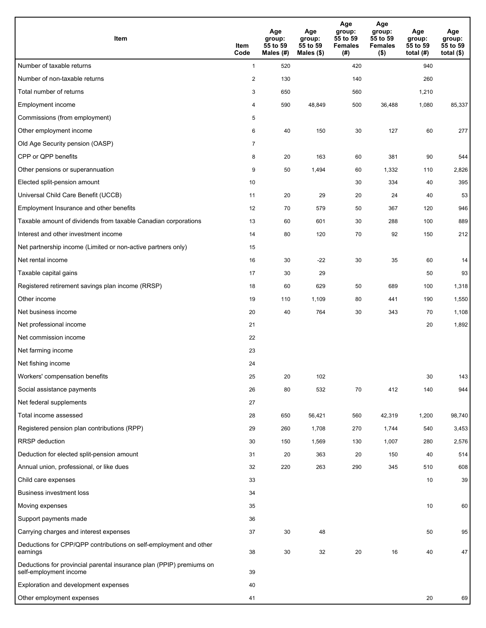| <b>Item</b>                                                                                    | Item<br>Code   | Age<br>group:<br>55 to 59<br>Males (#) | Age<br>group:<br>55 to 59<br>Males (\$) | Age<br>group:<br>55 to 59<br><b>Females</b><br>(#) | Age<br>group:<br>55 to 59<br><b>Females</b><br>$($ \$) | Age<br>group:<br>55 to 59<br>total (#) | Age<br>group:<br>55 to 59<br>total $($)$ |
|------------------------------------------------------------------------------------------------|----------------|----------------------------------------|-----------------------------------------|----------------------------------------------------|--------------------------------------------------------|----------------------------------------|------------------------------------------|
| Number of taxable returns                                                                      | $\mathbf{1}$   | 520                                    |                                         | 420                                                |                                                        | 940                                    |                                          |
| Number of non-taxable returns                                                                  | $\overline{c}$ | 130                                    |                                         | 140                                                |                                                        | 260                                    |                                          |
| Total number of returns                                                                        | 3              | 650                                    |                                         | 560                                                |                                                        | 1,210                                  |                                          |
| Employment income                                                                              | 4              | 590                                    | 48,849                                  | 500                                                | 36,488                                                 | 1,080                                  | 85,337                                   |
| Commissions (from employment)                                                                  | 5              |                                        |                                         |                                                    |                                                        |                                        |                                          |
| Other employment income                                                                        | 6              | 40                                     | 150                                     | 30                                                 | 127                                                    | 60                                     | 277                                      |
| Old Age Security pension (OASP)                                                                | $\overline{7}$ |                                        |                                         |                                                    |                                                        |                                        |                                          |
| CPP or QPP benefits                                                                            | 8              | 20                                     | 163                                     | 60                                                 | 381                                                    | 90                                     | 544                                      |
| Other pensions or superannuation                                                               | 9              | 50                                     | 1,494                                   | 60                                                 | 1,332                                                  | 110                                    | 2,826                                    |
| Elected split-pension amount                                                                   | 10             |                                        |                                         | 30                                                 | 334                                                    | 40                                     | 395                                      |
| Universal Child Care Benefit (UCCB)                                                            | 11             | 20                                     | 29                                      | 20                                                 | 24                                                     | 40                                     | 53                                       |
| Employment Insurance and other benefits                                                        | 12             | 70                                     | 579                                     | 50                                                 | 367                                                    | 120                                    | 946                                      |
| Taxable amount of dividends from taxable Canadian corporations                                 | 13             | 60                                     | 601                                     | 30                                                 | 288                                                    | 100                                    | 889                                      |
| Interest and other investment income                                                           | 14             | 80                                     | 120                                     | 70                                                 | 92                                                     | 150                                    | 212                                      |
| Net partnership income (Limited or non-active partners only)                                   | 15             |                                        |                                         |                                                    |                                                        |                                        |                                          |
| Net rental income                                                                              | 16             | 30                                     | $-22$                                   | 30                                                 | 35                                                     | 60                                     | 14                                       |
| Taxable capital gains                                                                          | 17             | 30                                     | 29                                      |                                                    |                                                        | 50                                     | 93                                       |
| Registered retirement savings plan income (RRSP)                                               | 18             | 60                                     | 629                                     | 50                                                 | 689                                                    | 100                                    | 1,318                                    |
| Other income                                                                                   | 19             | 110                                    | 1,109                                   | 80                                                 | 441                                                    | 190                                    | 1,550                                    |
| Net business income                                                                            | 20             | 40                                     | 764                                     | 30                                                 | 343                                                    | 70                                     | 1,108                                    |
| Net professional income                                                                        | 21             |                                        |                                         |                                                    |                                                        | 20                                     | 1,892                                    |
| Net commission income                                                                          | 22             |                                        |                                         |                                                    |                                                        |                                        |                                          |
| Net farming income                                                                             | 23             |                                        |                                         |                                                    |                                                        |                                        |                                          |
| Net fishing income                                                                             | 24             |                                        |                                         |                                                    |                                                        |                                        |                                          |
| Workers' compensation benefits                                                                 | 25             | 20                                     | 102                                     |                                                    |                                                        | 30                                     | 143                                      |
| Social assistance payments                                                                     | 26             | 80                                     | 532                                     | 70                                                 | 412                                                    | 140                                    | 944                                      |
| Net federal supplements                                                                        | 27             |                                        |                                         |                                                    |                                                        |                                        |                                          |
| Total income assessed                                                                          | 28             | 650                                    | 56,421                                  | 560                                                | 42,319                                                 | 1,200                                  | 98,740                                   |
| Registered pension plan contributions (RPP)                                                    | 29             | 260                                    | 1,708                                   | 270                                                | 1,744                                                  | 540                                    | 3,453                                    |
| RRSP deduction                                                                                 | 30             | 150                                    | 1,569                                   | 130                                                | 1,007                                                  | 280                                    | 2,576                                    |
| Deduction for elected split-pension amount                                                     | 31             | 20                                     | 363                                     | 20                                                 | 150                                                    | 40                                     | 514                                      |
| Annual union, professional, or like dues                                                       | 32             | 220                                    | 263                                     | 290                                                | 345                                                    | 510                                    | 608                                      |
| Child care expenses                                                                            | 33             |                                        |                                         |                                                    |                                                        | 10                                     | 39                                       |
| <b>Business investment loss</b>                                                                | 34             |                                        |                                         |                                                    |                                                        |                                        |                                          |
| Moving expenses                                                                                | 35             |                                        |                                         |                                                    |                                                        | 10                                     | 60                                       |
| Support payments made                                                                          | 36             |                                        |                                         |                                                    |                                                        |                                        |                                          |
| Carrying charges and interest expenses                                                         | 37             | 30                                     | 48                                      |                                                    |                                                        | 50                                     | 95                                       |
| Deductions for CPP/QPP contributions on self-employment and other<br>earnings                  | 38             | 30                                     | 32                                      | 20                                                 | 16                                                     | 40                                     | 47                                       |
| Deductions for provincial parental insurance plan (PPIP) premiums on<br>self-employment income | 39             |                                        |                                         |                                                    |                                                        |                                        |                                          |
| Exploration and development expenses                                                           | 40             |                                        |                                         |                                                    |                                                        |                                        |                                          |
| Other employment expenses                                                                      | 41             |                                        |                                         |                                                    |                                                        | 20                                     | 69                                       |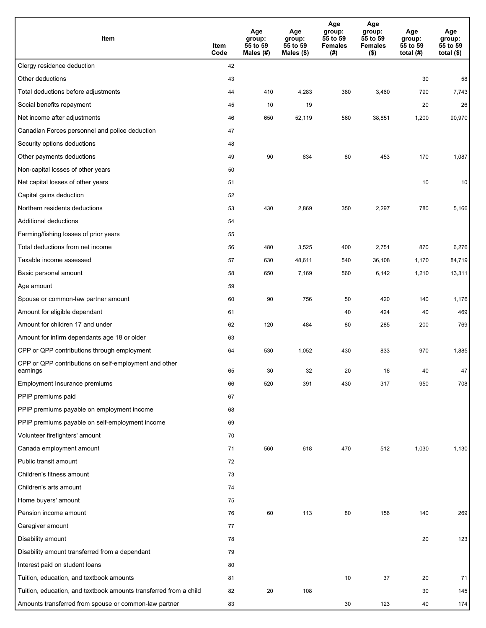| Item                                                              | Item<br>Code | Age<br>group:<br>55 to 59<br>Males (#) | Age<br>group:<br>55 to 59<br>Males (\$) | Age<br>group:<br>55 to 59<br><b>Females</b><br>(#) | Age<br>group:<br>55 to 59<br><b>Females</b><br>$($ \$) | Age<br>group:<br>55 to 59<br>total $(#)$ | Age<br>group:<br>55 to 59<br>total $($)$ |
|-------------------------------------------------------------------|--------------|----------------------------------------|-----------------------------------------|----------------------------------------------------|--------------------------------------------------------|------------------------------------------|------------------------------------------|
| Clergy residence deduction                                        | 42           |                                        |                                         |                                                    |                                                        |                                          |                                          |
| Other deductions                                                  | 43           |                                        |                                         |                                                    |                                                        | 30                                       | 58                                       |
| Total deductions before adjustments                               | 44           | 410                                    | 4,283                                   | 380                                                | 3,460                                                  | 790                                      | 7,743                                    |
| Social benefits repayment                                         | 45           | 10                                     | 19                                      |                                                    |                                                        | 20                                       | 26                                       |
| Net income after adjustments                                      | 46           | 650                                    | 52,119                                  | 560                                                | 38,851                                                 | 1,200                                    | 90,970                                   |
| Canadian Forces personnel and police deduction                    | 47           |                                        |                                         |                                                    |                                                        |                                          |                                          |
| Security options deductions                                       | 48           |                                        |                                         |                                                    |                                                        |                                          |                                          |
| Other payments deductions                                         | 49           | 90                                     | 634                                     | 80                                                 | 453                                                    | 170                                      | 1,087                                    |
| Non-capital losses of other years                                 | 50           |                                        |                                         |                                                    |                                                        |                                          |                                          |
| Net capital losses of other years                                 | 51           |                                        |                                         |                                                    |                                                        | 10                                       | 10                                       |
| Capital gains deduction                                           | 52           |                                        |                                         |                                                    |                                                        |                                          |                                          |
| Northern residents deductions                                     | 53           | 430                                    | 2,869                                   | 350                                                | 2,297                                                  | 780                                      | 5,166                                    |
| Additional deductions                                             | 54           |                                        |                                         |                                                    |                                                        |                                          |                                          |
| Farming/fishing losses of prior years                             | 55           |                                        |                                         |                                                    |                                                        |                                          |                                          |
| Total deductions from net income                                  | 56           | 480                                    | 3,525                                   | 400                                                | 2,751                                                  | 870                                      | 6,276                                    |
| Taxable income assessed                                           | 57           | 630                                    | 48,611                                  | 540                                                | 36,108                                                 | 1,170                                    | 84,719                                   |
| Basic personal amount                                             | 58           | 650                                    | 7,169                                   | 560                                                | 6,142                                                  | 1,210                                    | 13,311                                   |
| Age amount                                                        | 59           |                                        |                                         |                                                    |                                                        |                                          |                                          |
| Spouse or common-law partner amount                               | 60           | 90                                     | 756                                     | 50                                                 | 420                                                    | 140                                      | 1,176                                    |
| Amount for eligible dependant                                     | 61           |                                        |                                         | 40                                                 | 424                                                    | 40                                       | 469                                      |
| Amount for children 17 and under                                  | 62           | 120                                    | 484                                     | 80                                                 | 285                                                    | 200                                      | 769                                      |
| Amount for infirm dependants age 18 or older                      | 63           |                                        |                                         |                                                    |                                                        |                                          |                                          |
| CPP or QPP contributions through employment                       | 64           | 530                                    | 1,052                                   | 430                                                | 833                                                    | 970                                      | 1,885                                    |
| CPP or QPP contributions on self-employment and other<br>earnings | 65           | 30                                     | 32                                      | 20                                                 | 16                                                     | 40                                       | 47                                       |
| Employment Insurance premiums                                     | 66           | 520                                    | 391                                     | 430                                                | 317                                                    | 950                                      | 708                                      |
| PPIP premiums paid                                                | 67           |                                        |                                         |                                                    |                                                        |                                          |                                          |
| PPIP premiums payable on employment income                        | 68           |                                        |                                         |                                                    |                                                        |                                          |                                          |
| PPIP premiums payable on self-employment income                   | 69           |                                        |                                         |                                                    |                                                        |                                          |                                          |
| Volunteer firefighters' amount                                    | 70           |                                        |                                         |                                                    |                                                        |                                          |                                          |
| Canada employment amount                                          | 71           | 560                                    | 618                                     | 470                                                | 512                                                    | 1,030                                    | 1,130                                    |
| Public transit amount                                             | 72           |                                        |                                         |                                                    |                                                        |                                          |                                          |
| Children's fitness amount                                         | 73           |                                        |                                         |                                                    |                                                        |                                          |                                          |
| Children's arts amount                                            | 74           |                                        |                                         |                                                    |                                                        |                                          |                                          |
| Home buyers' amount                                               | 75           |                                        |                                         |                                                    |                                                        |                                          |                                          |
| Pension income amount                                             | 76           | 60                                     | 113                                     | 80                                                 | 156                                                    | 140                                      | 269                                      |
| Caregiver amount                                                  | 77           |                                        |                                         |                                                    |                                                        |                                          |                                          |
| Disability amount                                                 | 78           |                                        |                                         |                                                    |                                                        | 20                                       | 123                                      |
| Disability amount transferred from a dependant                    | 79           |                                        |                                         |                                                    |                                                        |                                          |                                          |
| Interest paid on student loans                                    | 80           |                                        |                                         |                                                    |                                                        |                                          |                                          |
| Tuition, education, and textbook amounts                          | 81           |                                        |                                         | 10                                                 | 37                                                     | 20                                       | 71                                       |
| Tuition, education, and textbook amounts transferred from a child | 82           | 20                                     | 108                                     |                                                    |                                                        | 30                                       | 145                                      |
| Amounts transferred from spouse or common-law partner             | 83           |                                        |                                         | 30                                                 | 123                                                    | 40                                       | 174                                      |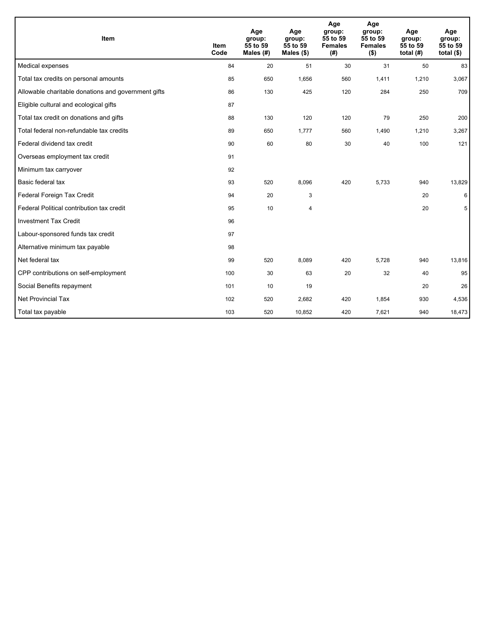| Item                                                | <b>Item</b><br>Code | Age<br>group:<br>55 to 59<br>Males $(H)$ | Age<br>group:<br>55 to 59<br>Males $(\$)$ | Age<br>group:<br>55 to 59<br><b>Females</b><br>(#) | Age<br>group:<br>55 to 59<br><b>Females</b><br>$($ \$) | Age<br>group:<br>55 to 59<br>total $(H)$ | Age<br>group:<br>55 to 59<br>total $(§)$ |
|-----------------------------------------------------|---------------------|------------------------------------------|-------------------------------------------|----------------------------------------------------|--------------------------------------------------------|------------------------------------------|------------------------------------------|
| Medical expenses                                    | 84                  | 20                                       | 51                                        | 30                                                 | 31                                                     | 50                                       | 83                                       |
| Total tax credits on personal amounts               | 85                  | 650                                      | 1,656                                     | 560                                                | 1,411                                                  | 1,210                                    | 3,067                                    |
| Allowable charitable donations and government gifts | 86                  | 130                                      | 425                                       | 120                                                | 284                                                    | 250                                      | 709                                      |
| Eligible cultural and ecological gifts              | 87                  |                                          |                                           |                                                    |                                                        |                                          |                                          |
| Total tax credit on donations and gifts             | 88                  | 130                                      | 120                                       | 120                                                | 79                                                     | 250                                      | 200                                      |
| Total federal non-refundable tax credits            | 89                  | 650                                      | 1,777                                     | 560                                                | 1,490                                                  | 1,210                                    | 3,267                                    |
| Federal dividend tax credit                         | 90                  | 60                                       | 80                                        | 30                                                 | 40                                                     | 100                                      | 121                                      |
| Overseas employment tax credit                      | 91                  |                                          |                                           |                                                    |                                                        |                                          |                                          |
| Minimum tax carryover                               | 92                  |                                          |                                           |                                                    |                                                        |                                          |                                          |
| Basic federal tax                                   | 93                  | 520                                      | 8,096                                     | 420                                                | 5,733                                                  | 940                                      | 13,829                                   |
| Federal Foreign Tax Credit                          | 94                  | 20                                       | 3                                         |                                                    |                                                        | 20                                       | 6                                        |
| Federal Political contribution tax credit           | 95                  | 10                                       | 4                                         |                                                    |                                                        | 20                                       | 5                                        |
| <b>Investment Tax Credit</b>                        | 96                  |                                          |                                           |                                                    |                                                        |                                          |                                          |
| Labour-sponsored funds tax credit                   | 97                  |                                          |                                           |                                                    |                                                        |                                          |                                          |
| Alternative minimum tax payable                     | 98                  |                                          |                                           |                                                    |                                                        |                                          |                                          |
| Net federal tax                                     | 99                  | 520                                      | 8.089                                     | 420                                                | 5.728                                                  | 940                                      | 13,816                                   |
| CPP contributions on self-employment                | 100                 | 30                                       | 63                                        | 20                                                 | 32                                                     | 40                                       | 95                                       |
| Social Benefits repayment                           | 101                 | 10                                       | 19                                        |                                                    |                                                        | 20                                       | 26                                       |
| <b>Net Provincial Tax</b>                           | 102                 | 520                                      | 2,682                                     | 420                                                | 1,854                                                  | 930                                      | 4,536                                    |
| Total tax payable                                   | 103                 | 520                                      | 10,852                                    | 420                                                | 7,621                                                  | 940                                      | 18,473                                   |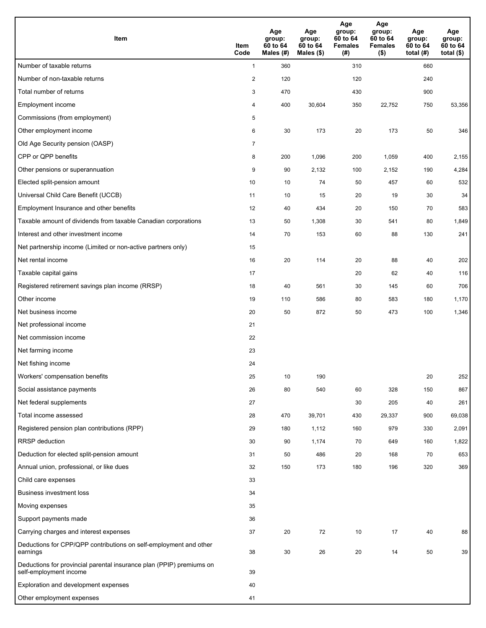| Item                                                                                           | Item<br>Code   | Age<br>group:<br>60 to 64<br>Males (#) | Age<br>group:<br>60 to 64<br>Males (\$) | Age<br>group:<br>60 to 64<br><b>Females</b><br>(# ) | Age<br>group:<br>60 to 64<br><b>Females</b><br>$($ \$) | Age<br>group:<br>60 to 64<br>total $(H)$ | Age<br>group:<br>60 to 64<br>total $($ |
|------------------------------------------------------------------------------------------------|----------------|----------------------------------------|-----------------------------------------|-----------------------------------------------------|--------------------------------------------------------|------------------------------------------|----------------------------------------|
| Number of taxable returns                                                                      | $\mathbf{1}$   | 360                                    |                                         | 310                                                 |                                                        | 660                                      |                                        |
| Number of non-taxable returns                                                                  | $\sqrt{2}$     | 120                                    |                                         | 120                                                 |                                                        | 240                                      |                                        |
| Total number of returns                                                                        | 3              | 470                                    |                                         | 430                                                 |                                                        | 900                                      |                                        |
| Employment income                                                                              | 4              | 400                                    | 30,604                                  | 350                                                 | 22,752                                                 | 750                                      | 53,356                                 |
| Commissions (from employment)                                                                  | 5              |                                        |                                         |                                                     |                                                        |                                          |                                        |
| Other employment income                                                                        | 6              | 30                                     | 173                                     | 20                                                  | 173                                                    | 50                                       | 346                                    |
| Old Age Security pension (OASP)                                                                | $\overline{7}$ |                                        |                                         |                                                     |                                                        |                                          |                                        |
| CPP or QPP benefits                                                                            | 8              | 200                                    | 1,096                                   | 200                                                 | 1,059                                                  | 400                                      | 2,155                                  |
| Other pensions or superannuation                                                               | 9              | 90                                     | 2,132                                   | 100                                                 | 2,152                                                  | 190                                      | 4,284                                  |
| Elected split-pension amount                                                                   | 10             | 10                                     | 74                                      | 50                                                  | 457                                                    | 60                                       | 532                                    |
| Universal Child Care Benefit (UCCB)                                                            | 11             | 10                                     | 15                                      | 20                                                  | 19                                                     | 30                                       | 34                                     |
| Employment Insurance and other benefits                                                        | 12             | 40                                     | 434                                     | 20                                                  | 150                                                    | 70                                       | 583                                    |
| Taxable amount of dividends from taxable Canadian corporations                                 | 13             | 50                                     | 1,308                                   | 30                                                  | 541                                                    | 80                                       | 1,849                                  |
| Interest and other investment income                                                           | 14             | 70                                     | 153                                     | 60                                                  | 88                                                     | 130                                      | 241                                    |
| Net partnership income (Limited or non-active partners only)                                   | 15             |                                        |                                         |                                                     |                                                        |                                          |                                        |
| Net rental income                                                                              | 16             | 20                                     | 114                                     | 20                                                  | 88                                                     | 40                                       | 202                                    |
| Taxable capital gains                                                                          | 17             |                                        |                                         | 20                                                  | 62                                                     | 40                                       | 116                                    |
| Registered retirement savings plan income (RRSP)                                               | 18             | 40                                     | 561                                     | 30                                                  | 145                                                    | 60                                       | 706                                    |
| Other income                                                                                   | 19             | 110                                    | 586                                     | 80                                                  | 583                                                    | 180                                      | 1,170                                  |
| Net business income                                                                            | 20             | 50                                     | 872                                     | 50                                                  | 473                                                    | 100                                      | 1,346                                  |
| Net professional income                                                                        | 21             |                                        |                                         |                                                     |                                                        |                                          |                                        |
| Net commission income                                                                          | 22             |                                        |                                         |                                                     |                                                        |                                          |                                        |
| Net farming income                                                                             | 23             |                                        |                                         |                                                     |                                                        |                                          |                                        |
| Net fishing income                                                                             | 24             |                                        |                                         |                                                     |                                                        |                                          |                                        |
| Workers' compensation benefits                                                                 | 25             | 10                                     | 190                                     |                                                     |                                                        | 20                                       | 252                                    |
| Social assistance payments                                                                     | 26             | 80                                     | 540                                     | 60                                                  | 328                                                    | 150                                      | 867                                    |
| Net federal supplements                                                                        | 27             |                                        |                                         | 30                                                  | 205                                                    | 40                                       | 261                                    |
| Total income assessed                                                                          | 28             | 470                                    | 39,701                                  | 430                                                 | 29,337                                                 | 900                                      | 69,038                                 |
| Registered pension plan contributions (RPP)                                                    | 29             | 180                                    | 1,112                                   | 160                                                 | 979                                                    | 330                                      | 2,091                                  |
| RRSP deduction                                                                                 | 30             | 90                                     | 1,174                                   | 70                                                  | 649                                                    | 160                                      | 1,822                                  |
| Deduction for elected split-pension amount                                                     | 31             | 50                                     | 486                                     | 20                                                  | 168                                                    | 70                                       | 653                                    |
| Annual union, professional, or like dues                                                       | 32             | 150                                    | 173                                     | 180                                                 | 196                                                    | 320                                      | 369                                    |
| Child care expenses                                                                            | 33             |                                        |                                         |                                                     |                                                        |                                          |                                        |
| Business investment loss                                                                       | 34             |                                        |                                         |                                                     |                                                        |                                          |                                        |
| Moving expenses                                                                                | 35             |                                        |                                         |                                                     |                                                        |                                          |                                        |
| Support payments made                                                                          | 36             |                                        |                                         |                                                     |                                                        |                                          |                                        |
| Carrying charges and interest expenses                                                         | 37             | 20                                     | 72                                      | 10                                                  | 17                                                     | 40                                       | 88                                     |
| Deductions for CPP/QPP contributions on self-employment and other<br>earnings                  | 38             | 30                                     | 26                                      | 20                                                  | 14                                                     | 50                                       | 39                                     |
| Deductions for provincial parental insurance plan (PPIP) premiums on<br>self-employment income | 39             |                                        |                                         |                                                     |                                                        |                                          |                                        |
| Exploration and development expenses                                                           | 40             |                                        |                                         |                                                     |                                                        |                                          |                                        |
| Other employment expenses                                                                      | 41             |                                        |                                         |                                                     |                                                        |                                          |                                        |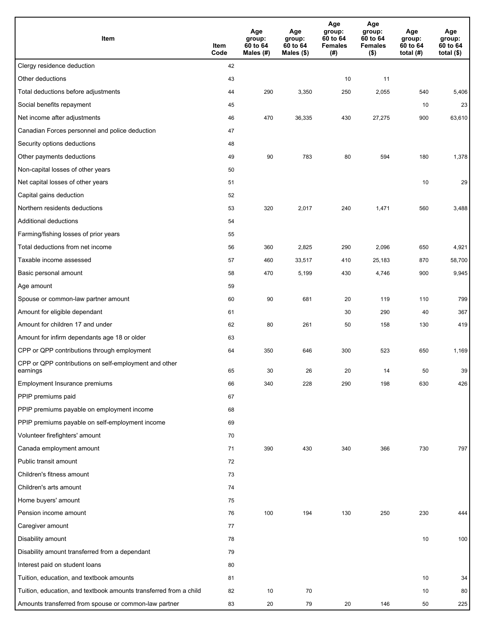| Item                                                              | Item<br>Code | Age<br>group:<br>60 to 64<br>Males (#) | Age<br>group:<br>60 to 64<br>Males (\$) | Age<br>group:<br>60 to 64<br><b>Females</b><br>(#) | Age<br>group:<br>60 to 64<br><b>Females</b><br>$($ \$) | Age<br>group:<br>60 to 64<br>total $(H)$ | Age<br>group:<br>60 to 64<br>total $($)$ |
|-------------------------------------------------------------------|--------------|----------------------------------------|-----------------------------------------|----------------------------------------------------|--------------------------------------------------------|------------------------------------------|------------------------------------------|
| Clergy residence deduction                                        | 42           |                                        |                                         |                                                    |                                                        |                                          |                                          |
| Other deductions                                                  | 43           |                                        |                                         | 10                                                 | 11                                                     |                                          |                                          |
| Total deductions before adjustments                               | 44           | 290                                    | 3,350                                   | 250                                                | 2,055                                                  | 540                                      | 5,406                                    |
| Social benefits repayment                                         | 45           |                                        |                                         |                                                    |                                                        | 10                                       | 23                                       |
| Net income after adjustments                                      | 46           | 470                                    | 36,335                                  | 430                                                | 27,275                                                 | 900                                      | 63,610                                   |
| Canadian Forces personnel and police deduction                    | 47           |                                        |                                         |                                                    |                                                        |                                          |                                          |
| Security options deductions                                       | 48           |                                        |                                         |                                                    |                                                        |                                          |                                          |
| Other payments deductions                                         | 49           | 90                                     | 783                                     | 80                                                 | 594                                                    | 180                                      | 1,378                                    |
| Non-capital losses of other years                                 | 50           |                                        |                                         |                                                    |                                                        |                                          |                                          |
| Net capital losses of other years                                 | 51           |                                        |                                         |                                                    |                                                        | 10                                       | 29                                       |
| Capital gains deduction                                           | 52           |                                        |                                         |                                                    |                                                        |                                          |                                          |
| Northern residents deductions                                     | 53           | 320                                    | 2,017                                   | 240                                                | 1,471                                                  | 560                                      | 3,488                                    |
| Additional deductions                                             | 54           |                                        |                                         |                                                    |                                                        |                                          |                                          |
| Farming/fishing losses of prior years                             | 55           |                                        |                                         |                                                    |                                                        |                                          |                                          |
| Total deductions from net income                                  | 56           | 360                                    | 2,825                                   | 290                                                | 2,096                                                  | 650                                      | 4,921                                    |
| Taxable income assessed                                           | 57           | 460                                    | 33,517                                  | 410                                                | 25,183                                                 | 870                                      | 58,700                                   |
| Basic personal amount                                             | 58           | 470                                    | 5,199                                   | 430                                                | 4,746                                                  | 900                                      | 9,945                                    |
| Age amount                                                        | 59           |                                        |                                         |                                                    |                                                        |                                          |                                          |
| Spouse or common-law partner amount                               | 60           | 90                                     | 681                                     | 20                                                 | 119                                                    | 110                                      | 799                                      |
| Amount for eligible dependant                                     | 61           |                                        |                                         | 30                                                 | 290                                                    | 40                                       | 367                                      |
| Amount for children 17 and under                                  | 62           | 80                                     | 261                                     | 50                                                 | 158                                                    | 130                                      | 419                                      |
| Amount for infirm dependants age 18 or older                      | 63           |                                        |                                         |                                                    |                                                        |                                          |                                          |
| CPP or QPP contributions through employment                       | 64           | 350                                    | 646                                     | 300                                                | 523                                                    | 650                                      | 1,169                                    |
| CPP or QPP contributions on self-employment and other<br>earnings | 65           | 30                                     | 26                                      | 20                                                 | 14                                                     | 50                                       | 39                                       |
| Employment Insurance premiums                                     | 66           | 340                                    | 228                                     | 290                                                | 198                                                    | 630                                      | 426                                      |
| PPIP premiums paid                                                | 67           |                                        |                                         |                                                    |                                                        |                                          |                                          |
| PPIP premiums payable on employment income                        | 68           |                                        |                                         |                                                    |                                                        |                                          |                                          |
| PPIP premiums payable on self-employment income                   | 69           |                                        |                                         |                                                    |                                                        |                                          |                                          |
| Volunteer firefighters' amount                                    | 70           |                                        |                                         |                                                    |                                                        |                                          |                                          |
| Canada employment amount                                          | 71           | 390                                    | 430                                     | 340                                                | 366                                                    | 730                                      | 797                                      |
| Public transit amount                                             | 72           |                                        |                                         |                                                    |                                                        |                                          |                                          |
| Children's fitness amount                                         | 73           |                                        |                                         |                                                    |                                                        |                                          |                                          |
| Children's arts amount                                            | 74           |                                        |                                         |                                                    |                                                        |                                          |                                          |
| Home buyers' amount                                               | 75           |                                        |                                         |                                                    |                                                        |                                          |                                          |
| Pension income amount                                             | 76           | 100                                    | 194                                     | 130                                                | 250                                                    | 230                                      | 444                                      |
| Caregiver amount                                                  | 77           |                                        |                                         |                                                    |                                                        |                                          |                                          |
| Disability amount                                                 | 78           |                                        |                                         |                                                    |                                                        | 10                                       | 100                                      |
| Disability amount transferred from a dependant                    | 79           |                                        |                                         |                                                    |                                                        |                                          |                                          |
| Interest paid on student loans                                    | 80           |                                        |                                         |                                                    |                                                        |                                          |                                          |
| Tuition, education, and textbook amounts                          | 81           |                                        |                                         |                                                    |                                                        | 10                                       | 34                                       |
| Tuition, education, and textbook amounts transferred from a child | 82           | 10                                     | 70                                      |                                                    |                                                        | 10                                       | 80                                       |
| Amounts transferred from spouse or common-law partner             | 83           | 20                                     | 79                                      | 20                                                 | 146                                                    | 50                                       | 225                                      |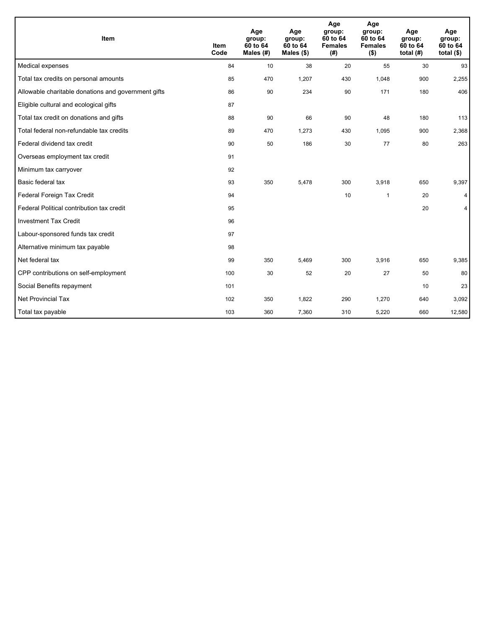| Item                                                | <b>Item</b><br>Code | Age<br>group:<br>60 to 64<br>Males (#) | Age<br>group:<br>60 to 64<br>Males $(\$)$ | Age<br>group:<br>60 to 64<br><b>Females</b><br>(# ) | Age<br>group:<br>60 to 64<br><b>Females</b><br>$($ \$) | Age<br>group:<br>60 to 64<br>total $(H)$ | Age<br>group:<br>60 to 64<br>total $($)$ |
|-----------------------------------------------------|---------------------|----------------------------------------|-------------------------------------------|-----------------------------------------------------|--------------------------------------------------------|------------------------------------------|------------------------------------------|
| Medical expenses                                    | 84                  | 10                                     | 38                                        | 20                                                  | 55                                                     | 30                                       | 93                                       |
| Total tax credits on personal amounts               | 85                  | 470                                    | 1,207                                     | 430                                                 | 1,048                                                  | 900                                      | 2,255                                    |
| Allowable charitable donations and government gifts | 86                  | 90                                     | 234                                       | 90                                                  | 171                                                    | 180                                      | 406                                      |
| Eligible cultural and ecological gifts              | 87                  |                                        |                                           |                                                     |                                                        |                                          |                                          |
| Total tax credit on donations and gifts             | 88                  | 90                                     | 66                                        | 90                                                  | 48                                                     | 180                                      | 113                                      |
| Total federal non-refundable tax credits            | 89                  | 470                                    | 1,273                                     | 430                                                 | 1,095                                                  | 900                                      | 2,368                                    |
| Federal dividend tax credit                         | 90                  | 50                                     | 186                                       | 30                                                  | 77                                                     | 80                                       | 263                                      |
| Overseas employment tax credit                      | 91                  |                                        |                                           |                                                     |                                                        |                                          |                                          |
| Minimum tax carryover                               | 92                  |                                        |                                           |                                                     |                                                        |                                          |                                          |
| Basic federal tax                                   | 93                  | 350                                    | 5,478                                     | 300                                                 | 3,918                                                  | 650                                      | 9,397                                    |
| Federal Foreign Tax Credit                          | 94                  |                                        |                                           | 10                                                  | 1                                                      | 20                                       | 4                                        |
| Federal Political contribution tax credit           | 95                  |                                        |                                           |                                                     |                                                        | 20                                       | 4                                        |
| <b>Investment Tax Credit</b>                        | 96                  |                                        |                                           |                                                     |                                                        |                                          |                                          |
| Labour-sponsored funds tax credit                   | 97                  |                                        |                                           |                                                     |                                                        |                                          |                                          |
| Alternative minimum tax payable                     | 98                  |                                        |                                           |                                                     |                                                        |                                          |                                          |
| Net federal tax                                     | 99                  | 350                                    | 5,469                                     | 300                                                 | 3,916                                                  | 650                                      | 9,385                                    |
| CPP contributions on self-employment                | 100                 | 30                                     | 52                                        | 20                                                  | 27                                                     | 50                                       | 80                                       |
| Social Benefits repayment                           | 101                 |                                        |                                           |                                                     |                                                        | 10                                       | 23                                       |
| <b>Net Provincial Tax</b>                           | 102                 | 350                                    | 1,822                                     | 290                                                 | 1,270                                                  | 640                                      | 3,092                                    |
| Total tax payable                                   | 103                 | 360                                    | 7,360                                     | 310                                                 | 5,220                                                  | 660                                      | 12,580                                   |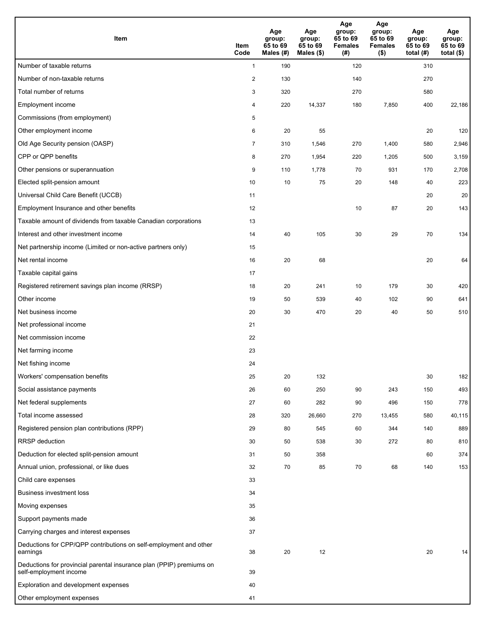| <b>Item</b>                                                                                    | Item<br>Code   | Age<br>group:<br>65 to 69<br>Males (#) | Age<br>group:<br>65 to 69<br>Males $(\$)$ | Age<br>group:<br>65 to 69<br><b>Females</b><br>(#) | Age<br>group:<br>65 to 69<br><b>Females</b><br>$($ \$) | Age<br>group:<br>65 to 69<br>total $(H)$ | Age<br>group:<br>65 to 69<br>total $($)$ |
|------------------------------------------------------------------------------------------------|----------------|----------------------------------------|-------------------------------------------|----------------------------------------------------|--------------------------------------------------------|------------------------------------------|------------------------------------------|
| Number of taxable returns                                                                      | $\mathbf{1}$   | 190                                    |                                           | 120                                                |                                                        | 310                                      |                                          |
| Number of non-taxable returns                                                                  | 2              | 130                                    |                                           | 140                                                |                                                        | 270                                      |                                          |
| Total number of returns                                                                        | 3              | 320                                    |                                           | 270                                                |                                                        | 580                                      |                                          |
| Employment income                                                                              | 4              | 220                                    | 14,337                                    | 180                                                | 7,850                                                  | 400                                      | 22,186                                   |
| Commissions (from employment)                                                                  | 5              |                                        |                                           |                                                    |                                                        |                                          |                                          |
| Other employment income                                                                        | 6              | 20                                     | 55                                        |                                                    |                                                        | 20                                       | 120                                      |
| Old Age Security pension (OASP)                                                                | $\overline{7}$ | 310                                    | 1,546                                     | 270                                                | 1,400                                                  | 580                                      | 2,946                                    |
| CPP or QPP benefits                                                                            | 8              | 270                                    | 1,954                                     | 220                                                | 1,205                                                  | 500                                      | 3,159                                    |
| Other pensions or superannuation                                                               | 9              | 110                                    | 1,778                                     | 70                                                 | 931                                                    | 170                                      | 2,708                                    |
| Elected split-pension amount                                                                   | 10             | 10                                     | 75                                        | 20                                                 | 148                                                    | 40                                       | 223                                      |
| Universal Child Care Benefit (UCCB)                                                            | 11             |                                        |                                           |                                                    |                                                        | 20                                       | 20                                       |
| Employment Insurance and other benefits                                                        | 12             |                                        |                                           | 10                                                 | 87                                                     | 20                                       | 143                                      |
| Taxable amount of dividends from taxable Canadian corporations                                 | 13             |                                        |                                           |                                                    |                                                        |                                          |                                          |
| Interest and other investment income                                                           | 14             | 40                                     | 105                                       | 30                                                 | 29                                                     | 70                                       | 134                                      |
| Net partnership income (Limited or non-active partners only)                                   | 15             |                                        |                                           |                                                    |                                                        |                                          |                                          |
| Net rental income                                                                              | 16             | 20                                     | 68                                        |                                                    |                                                        | 20                                       | 64                                       |
| Taxable capital gains                                                                          | 17             |                                        |                                           |                                                    |                                                        |                                          |                                          |
| Registered retirement savings plan income (RRSP)                                               | 18             | 20                                     | 241                                       | 10                                                 | 179                                                    | 30                                       | 420                                      |
| Other income                                                                                   | 19             | 50                                     | 539                                       | 40                                                 | 102                                                    | 90                                       | 641                                      |
| Net business income                                                                            | 20             | 30                                     | 470                                       | 20                                                 | 40                                                     | 50                                       | 510                                      |
| Net professional income                                                                        | 21             |                                        |                                           |                                                    |                                                        |                                          |                                          |
| Net commission income                                                                          | 22             |                                        |                                           |                                                    |                                                        |                                          |                                          |
| Net farming income                                                                             | 23             |                                        |                                           |                                                    |                                                        |                                          |                                          |
| Net fishing income                                                                             | 24             |                                        |                                           |                                                    |                                                        |                                          |                                          |
| Workers' compensation benefits                                                                 | 25             | 20                                     | 132                                       |                                                    |                                                        | 30                                       | 182                                      |
| Social assistance payments                                                                     | 26             | 60                                     | 250                                       | 90                                                 | 243                                                    | 150                                      | 493                                      |
| Net federal supplements                                                                        | 27             | 60                                     | 282                                       | 90                                                 | 496                                                    | 150                                      | 778                                      |
| Total income assessed                                                                          | 28             | 320                                    | 26,660                                    | 270                                                | 13,455                                                 | 580                                      | 40,115                                   |
| Registered pension plan contributions (RPP)                                                    | 29             | 80                                     | 545                                       | 60                                                 | 344                                                    | 140                                      | 889                                      |
| RRSP deduction                                                                                 | 30             | 50                                     | 538                                       | 30                                                 | 272                                                    | 80                                       | 810                                      |
| Deduction for elected split-pension amount                                                     | 31             | 50                                     | 358                                       |                                                    |                                                        | 60                                       | 374                                      |
| Annual union, professional, or like dues                                                       | 32             | 70                                     | 85                                        | 70                                                 | 68                                                     | 140                                      | 153                                      |
| Child care expenses                                                                            | 33             |                                        |                                           |                                                    |                                                        |                                          |                                          |
| Business investment loss                                                                       | 34             |                                        |                                           |                                                    |                                                        |                                          |                                          |
| Moving expenses                                                                                | 35             |                                        |                                           |                                                    |                                                        |                                          |                                          |
| Support payments made                                                                          | 36             |                                        |                                           |                                                    |                                                        |                                          |                                          |
| Carrying charges and interest expenses                                                         | 37             |                                        |                                           |                                                    |                                                        |                                          |                                          |
| Deductions for CPP/QPP contributions on self-employment and other<br>earnings                  | 38             | 20                                     | 12                                        |                                                    |                                                        | 20                                       | 14                                       |
| Deductions for provincial parental insurance plan (PPIP) premiums on<br>self-employment income | 39             |                                        |                                           |                                                    |                                                        |                                          |                                          |
| Exploration and development expenses                                                           | 40             |                                        |                                           |                                                    |                                                        |                                          |                                          |
| Other employment expenses                                                                      | 41             |                                        |                                           |                                                    |                                                        |                                          |                                          |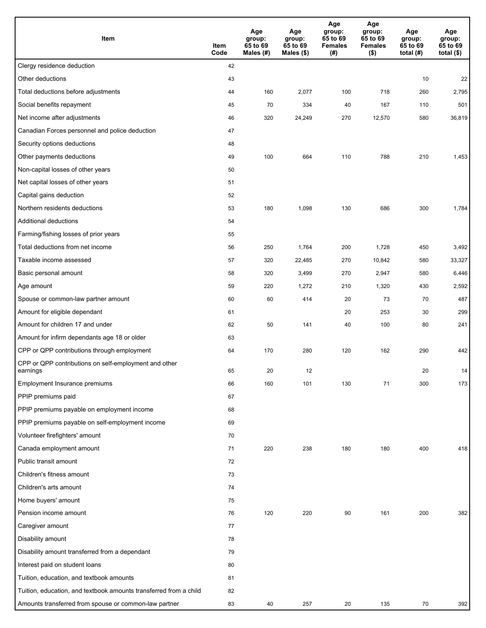| Item                                                              | Item<br>Code | Age<br>group:<br>65 to 69<br>Males (#) | Age<br>group:<br>65 to 69<br>Males (\$) | Age<br>group:<br>65 to 69<br><b>Females</b><br>(# ) | Age<br>group:<br>65 to 69<br><b>Females</b><br>$($ \$) | Age<br>group:<br>65 to 69<br>total $(H)$ | Age<br>group:<br>65 to 69<br>total $($)$ |
|-------------------------------------------------------------------|--------------|----------------------------------------|-----------------------------------------|-----------------------------------------------------|--------------------------------------------------------|------------------------------------------|------------------------------------------|
| Clergy residence deduction                                        | 42           |                                        |                                         |                                                     |                                                        |                                          |                                          |
| Other deductions                                                  | 43           |                                        |                                         |                                                     |                                                        | 10                                       | 22                                       |
| Total deductions before adjustments                               | 44           | 160                                    | 2,077                                   | 100                                                 | 718                                                    | 260                                      | 2,795                                    |
| Social benefits repayment                                         | 45           | 70                                     | 334                                     | 40                                                  | 167                                                    | 110                                      | 501                                      |
| Net income after adjustments                                      | 46           | 320                                    | 24,249                                  | 270                                                 | 12,570                                                 | 580                                      | 36,819                                   |
| Canadian Forces personnel and police deduction                    | 47           |                                        |                                         |                                                     |                                                        |                                          |                                          |
| Security options deductions                                       | 48           |                                        |                                         |                                                     |                                                        |                                          |                                          |
| Other payments deductions                                         | 49           | 100                                    | 664                                     | 110                                                 | 788                                                    | 210                                      | 1,453                                    |
| Non-capital losses of other years                                 | 50           |                                        |                                         |                                                     |                                                        |                                          |                                          |
| Net capital losses of other years                                 | 51           |                                        |                                         |                                                     |                                                        |                                          |                                          |
| Capital gains deduction                                           | 52           |                                        |                                         |                                                     |                                                        |                                          |                                          |
| Northern residents deductions                                     | 53           | 180                                    | 1,098                                   | 130                                                 | 686                                                    | 300                                      | 1,784                                    |
| Additional deductions                                             | 54           |                                        |                                         |                                                     |                                                        |                                          |                                          |
| Farming/fishing losses of prior years                             | 55           |                                        |                                         |                                                     |                                                        |                                          |                                          |
| Total deductions from net income                                  | 56           | 250                                    | 1,764                                   | 200                                                 | 1,728                                                  | 450                                      | 3,492                                    |
| Taxable income assessed                                           | 57           | 320                                    | 22,485                                  | 270                                                 | 10,842                                                 | 580                                      | 33,327                                   |
| Basic personal amount                                             | 58           | 320                                    | 3,499                                   | 270                                                 | 2,947                                                  | 580                                      | 6,446                                    |
| Age amount                                                        | 59           | 220                                    | 1,272                                   | 210                                                 | 1,320                                                  | 430                                      | 2,592                                    |
| Spouse or common-law partner amount                               | 60           | 60                                     | 414                                     | 20                                                  | 73                                                     | 70                                       | 487                                      |
| Amount for eligible dependant                                     | 61           |                                        |                                         | 20                                                  | 253                                                    | 30                                       | 299                                      |
| Amount for children 17 and under                                  | 62           | 50                                     | 141                                     | 40                                                  | 100                                                    | 80                                       | 241                                      |
| Amount for infirm dependants age 18 or older                      | 63           |                                        |                                         |                                                     |                                                        |                                          |                                          |
| CPP or QPP contributions through employment                       | 64           | 170                                    | 280                                     | 120                                                 | 162                                                    | 290                                      | 442                                      |
| CPP or QPP contributions on self-employment and other<br>earnings | 65           | 20                                     | 12                                      |                                                     |                                                        | 20                                       | 14                                       |
| Employment Insurance premiums                                     | 66           | 160                                    | 101                                     | 130                                                 | 71                                                     | 300                                      | 173                                      |
| PPIP premiums paid                                                | 67           |                                        |                                         |                                                     |                                                        |                                          |                                          |
| PPIP premiums payable on employment income                        | 68           |                                        |                                         |                                                     |                                                        |                                          |                                          |
| PPIP premiums payable on self-employment income                   | 69           |                                        |                                         |                                                     |                                                        |                                          |                                          |
| Volunteer firefighters' amount                                    | 70           |                                        |                                         |                                                     |                                                        |                                          |                                          |
| Canada employment amount                                          | 71           | 220                                    | 238                                     | 180                                                 | 180                                                    | 400                                      | 418                                      |
| Public transit amount                                             | 72           |                                        |                                         |                                                     |                                                        |                                          |                                          |
| Children's fitness amount                                         | 73           |                                        |                                         |                                                     |                                                        |                                          |                                          |
| Children's arts amount                                            | 74           |                                        |                                         |                                                     |                                                        |                                          |                                          |
| Home buyers' amount                                               | 75           |                                        |                                         |                                                     |                                                        |                                          |                                          |
| Pension income amount                                             | 76           | 120                                    | 220                                     | 90                                                  | 161                                                    | 200                                      | 382                                      |
| Caregiver amount                                                  | 77           |                                        |                                         |                                                     |                                                        |                                          |                                          |
| Disability amount                                                 | 78           |                                        |                                         |                                                     |                                                        |                                          |                                          |
| Disability amount transferred from a dependant                    | 79           |                                        |                                         |                                                     |                                                        |                                          |                                          |
| Interest paid on student loans                                    | 80           |                                        |                                         |                                                     |                                                        |                                          |                                          |
| Tuition, education, and textbook amounts                          | 81           |                                        |                                         |                                                     |                                                        |                                          |                                          |
| Tuition, education, and textbook amounts transferred from a child | 82           |                                        |                                         |                                                     |                                                        |                                          |                                          |
| Amounts transferred from spouse or common-law partner             | 83           | 40                                     | 257                                     | 20                                                  | 135                                                    | 70                                       | 392                                      |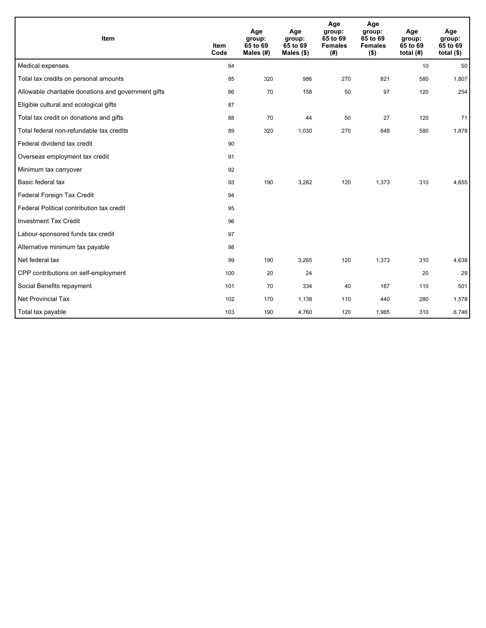| Item                                                | <b>Item</b><br>Code | Age<br>group:<br>65 to 69<br>Males (#) | Age<br>group:<br>65 to 69<br>Males $(\$)$ | Age<br>group:<br>65 to 69<br><b>Females</b><br>(#) | Age<br>group:<br>65 to 69<br><b>Females</b><br>$($ \$) | Age<br>group:<br>65 to 69<br>total $(H)$ | Age<br>group:<br>65 to 69<br>total $($)$ |
|-----------------------------------------------------|---------------------|----------------------------------------|-------------------------------------------|----------------------------------------------------|--------------------------------------------------------|------------------------------------------|------------------------------------------|
| Medical expenses                                    | 84                  |                                        |                                           |                                                    |                                                        | 10                                       | 50                                       |
| Total tax credits on personal amounts               | 85                  | 320                                    | 986                                       | 270                                                | 821                                                    | 580                                      | 1,807                                    |
| Allowable charitable donations and government gifts | 86                  | 70                                     | 158                                       | 50                                                 | 97                                                     | 120                                      | 254                                      |
| Eligible cultural and ecological gifts              | 87                  |                                        |                                           |                                                    |                                                        |                                          |                                          |
| Total tax credit on donations and gifts             | 88                  | 70                                     | 44                                        | 50                                                 | 27                                                     | 120                                      | 71                                       |
| Total federal non-refundable tax credits            | 89                  | 320                                    | 1,030                                     | 270                                                | 848                                                    | 580                                      | 1,878                                    |
| Federal dividend tax credit                         | 90                  |                                        |                                           |                                                    |                                                        |                                          |                                          |
| Overseas employment tax credit                      | 91                  |                                        |                                           |                                                    |                                                        |                                          |                                          |
| Minimum tax carryover                               | 92                  |                                        |                                           |                                                    |                                                        |                                          |                                          |
| Basic federal tax                                   | 93                  | 190                                    | 3,282                                     | 120                                                | 1,373                                                  | 310                                      | 4,655                                    |
| Federal Foreign Tax Credit                          | 94                  |                                        |                                           |                                                    |                                                        |                                          |                                          |
| Federal Political contribution tax credit           | 95                  |                                        |                                           |                                                    |                                                        |                                          |                                          |
| <b>Investment Tax Credit</b>                        | 96                  |                                        |                                           |                                                    |                                                        |                                          |                                          |
| Labour-sponsored funds tax credit                   | 97                  |                                        |                                           |                                                    |                                                        |                                          |                                          |
| Alternative minimum tax payable                     | 98                  |                                        |                                           |                                                    |                                                        |                                          |                                          |
| Net federal tax                                     | 99                  | 190                                    | 3,265                                     | 120                                                | 1,373                                                  | 310                                      | 4,638                                    |
| CPP contributions on self-employment                | 100                 | 20                                     | 24                                        |                                                    |                                                        | 20                                       | 29                                       |
| Social Benefits repayment                           | 101                 | 70                                     | 334                                       | 40                                                 | 167                                                    | 110                                      | 501                                      |
| Net Provincial Tax                                  | 102                 | 170                                    | 1,138                                     | 110                                                | 440                                                    | 280                                      | 1,578                                    |
| Total tax payable                                   | 103                 | 190                                    | 4,760                                     | 120                                                | 1,985                                                  | 310                                      | 6,746                                    |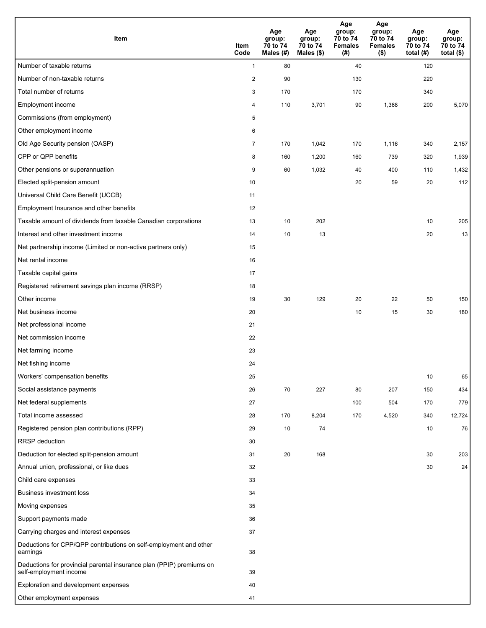| <b>Item</b>                                                                                    | Item<br>Code   | Age<br>group:<br>70 to 74<br>Males (#) | Age<br>group:<br>70 to 74<br>Males $(\$)$ | Age<br>group:<br>70 to 74<br><b>Females</b><br>(# ) | Age<br>group:<br>70 to 74<br><b>Females</b><br>$($ \$) | Age<br>group:<br>70 to 74<br>total $(H)$ | Age<br>group:<br>70 to 74<br>total $($)$ |
|------------------------------------------------------------------------------------------------|----------------|----------------------------------------|-------------------------------------------|-----------------------------------------------------|--------------------------------------------------------|------------------------------------------|------------------------------------------|
| Number of taxable returns                                                                      | $\mathbf{1}$   | 80                                     |                                           | 40                                                  |                                                        | 120                                      |                                          |
| Number of non-taxable returns                                                                  | 2              | 90                                     |                                           | 130                                                 |                                                        | 220                                      |                                          |
| Total number of returns                                                                        | 3              | 170                                    |                                           | 170                                                 |                                                        | 340                                      |                                          |
| Employment income                                                                              | $\overline{4}$ | 110                                    | 3,701                                     | 90                                                  | 1,368                                                  | 200                                      | 5,070                                    |
| Commissions (from employment)                                                                  | 5              |                                        |                                           |                                                     |                                                        |                                          |                                          |
| Other employment income                                                                        | 6              |                                        |                                           |                                                     |                                                        |                                          |                                          |
| Old Age Security pension (OASP)                                                                | $\overline{7}$ | 170                                    | 1,042                                     | 170                                                 | 1,116                                                  | 340                                      | 2,157                                    |
| CPP or QPP benefits                                                                            | 8              | 160                                    | 1,200                                     | 160                                                 | 739                                                    | 320                                      | 1,939                                    |
| Other pensions or superannuation                                                               | 9              | 60                                     | 1,032                                     | 40                                                  | 400                                                    | 110                                      | 1,432                                    |
| Elected split-pension amount                                                                   | 10             |                                        |                                           | 20                                                  | 59                                                     | 20                                       | 112                                      |
| Universal Child Care Benefit (UCCB)                                                            | 11             |                                        |                                           |                                                     |                                                        |                                          |                                          |
| Employment Insurance and other benefits                                                        | 12             |                                        |                                           |                                                     |                                                        |                                          |                                          |
| Taxable amount of dividends from taxable Canadian corporations                                 | 13             | 10                                     | 202                                       |                                                     |                                                        | 10                                       | 205                                      |
| Interest and other investment income                                                           | 14             | 10                                     | 13                                        |                                                     |                                                        | 20                                       | 13                                       |
| Net partnership income (Limited or non-active partners only)                                   | 15             |                                        |                                           |                                                     |                                                        |                                          |                                          |
| Net rental income                                                                              | 16             |                                        |                                           |                                                     |                                                        |                                          |                                          |
| Taxable capital gains                                                                          | 17             |                                        |                                           |                                                     |                                                        |                                          |                                          |
| Registered retirement savings plan income (RRSP)                                               | 18             |                                        |                                           |                                                     |                                                        |                                          |                                          |
| Other income                                                                                   | 19             | 30                                     | 129                                       | 20                                                  | 22                                                     | 50                                       | 150                                      |
| Net business income                                                                            | 20             |                                        |                                           | 10                                                  | 15                                                     | 30                                       | 180                                      |
| Net professional income                                                                        | 21             |                                        |                                           |                                                     |                                                        |                                          |                                          |
| Net commission income                                                                          | 22             |                                        |                                           |                                                     |                                                        |                                          |                                          |
| Net farming income                                                                             | 23             |                                        |                                           |                                                     |                                                        |                                          |                                          |
| Net fishing income                                                                             | 24             |                                        |                                           |                                                     |                                                        |                                          |                                          |
| Workers' compensation benefits                                                                 | 25             |                                        |                                           |                                                     |                                                        | 10                                       | 65                                       |
| Social assistance payments                                                                     | 26             | 70                                     | 227                                       | 80                                                  | 207                                                    | 150                                      | 434                                      |
| Net federal supplements                                                                        | 27             |                                        |                                           | 100                                                 | 504                                                    | 170                                      | 779                                      |
| Total income assessed                                                                          | 28             | 170                                    | 8,204                                     | 170                                                 | 4,520                                                  | 340                                      | 12,724                                   |
| Registered pension plan contributions (RPP)                                                    | 29             | 10                                     | 74                                        |                                                     |                                                        | 10                                       | 76                                       |
| RRSP deduction                                                                                 | 30             |                                        |                                           |                                                     |                                                        |                                          |                                          |
| Deduction for elected split-pension amount                                                     | 31             | 20                                     | 168                                       |                                                     |                                                        | 30                                       | 203                                      |
| Annual union, professional, or like dues                                                       | 32             |                                        |                                           |                                                     |                                                        | 30                                       | 24                                       |
| Child care expenses                                                                            | 33             |                                        |                                           |                                                     |                                                        |                                          |                                          |
| Business investment loss                                                                       | 34             |                                        |                                           |                                                     |                                                        |                                          |                                          |
| Moving expenses                                                                                | 35             |                                        |                                           |                                                     |                                                        |                                          |                                          |
| Support payments made                                                                          | 36             |                                        |                                           |                                                     |                                                        |                                          |                                          |
| Carrying charges and interest expenses                                                         | 37             |                                        |                                           |                                                     |                                                        |                                          |                                          |
| Deductions for CPP/QPP contributions on self-employment and other<br>earnings                  | 38             |                                        |                                           |                                                     |                                                        |                                          |                                          |
| Deductions for provincial parental insurance plan (PPIP) premiums on<br>self-employment income | 39             |                                        |                                           |                                                     |                                                        |                                          |                                          |
| Exploration and development expenses                                                           | 40             |                                        |                                           |                                                     |                                                        |                                          |                                          |
| Other employment expenses                                                                      | 41             |                                        |                                           |                                                     |                                                        |                                          |                                          |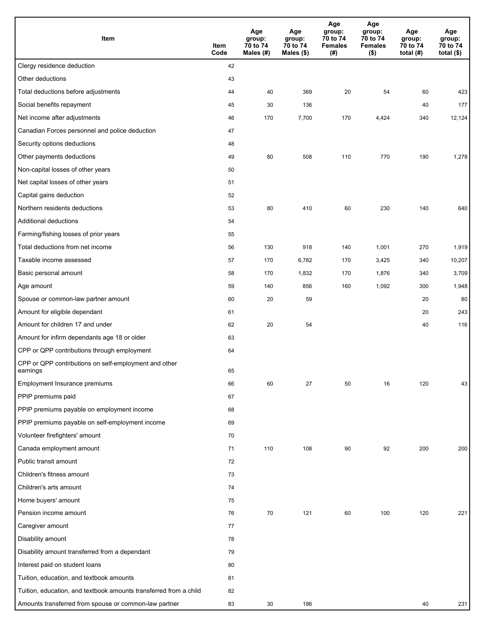| Item                                                              | Item<br>Code | Age<br>group:<br>70 to 74<br>Males $(H)$ | Age<br>group:<br>70 to 74<br>Males (\$) | Age<br>group:<br>70 to 74<br><b>Females</b><br>(#) | Age<br>group:<br>70 to 74<br><b>Females</b><br>$($ \$) | Age<br>group:<br>70 to 74<br>total $(H)$ | Age<br>group:<br>70 to 74<br>total $($)$ |
|-------------------------------------------------------------------|--------------|------------------------------------------|-----------------------------------------|----------------------------------------------------|--------------------------------------------------------|------------------------------------------|------------------------------------------|
| Clergy residence deduction                                        | 42           |                                          |                                         |                                                    |                                                        |                                          |                                          |
| Other deductions                                                  | 43           |                                          |                                         |                                                    |                                                        |                                          |                                          |
| Total deductions before adjustments                               | 44           | 40                                       | 369                                     | 20                                                 | 54                                                     | 60                                       | 423                                      |
| Social benefits repayment                                         | 45           | 30                                       | 136                                     |                                                    |                                                        | 40                                       | 177                                      |
| Net income after adjustments                                      | 46           | 170                                      | 7,700                                   | 170                                                | 4,424                                                  | 340                                      | 12,124                                   |
| Canadian Forces personnel and police deduction                    | 47           |                                          |                                         |                                                    |                                                        |                                          |                                          |
| Security options deductions                                       | 48           |                                          |                                         |                                                    |                                                        |                                          |                                          |
| Other payments deductions                                         | 49           | 80                                       | 508                                     | 110                                                | 770                                                    | 190                                      | 1,278                                    |
| Non-capital losses of other years                                 | 50           |                                          |                                         |                                                    |                                                        |                                          |                                          |
| Net capital losses of other years                                 | 51           |                                          |                                         |                                                    |                                                        |                                          |                                          |
| Capital gains deduction                                           | 52           |                                          |                                         |                                                    |                                                        |                                          |                                          |
| Northern residents deductions                                     | 53           | 80                                       | 410                                     | 60                                                 | 230                                                    | 140                                      | 640                                      |
| Additional deductions                                             | 54           |                                          |                                         |                                                    |                                                        |                                          |                                          |
| Farming/fishing losses of prior years                             | 55           |                                          |                                         |                                                    |                                                        |                                          |                                          |
| Total deductions from net income                                  | 56           | 130                                      | 918                                     | 140                                                | 1,001                                                  | 270                                      | 1,919                                    |
| Taxable income assessed                                           | 57           | 170                                      | 6,782                                   | 170                                                | 3,425                                                  | 340                                      | 10,207                                   |
| Basic personal amount                                             | 58           | 170                                      | 1,832                                   | 170                                                | 1,876                                                  | 340                                      | 3,709                                    |
| Age amount                                                        | 59           | 140                                      | 856                                     | 160                                                | 1,092                                                  | 300                                      | 1,948                                    |
| Spouse or common-law partner amount                               | 60           | 20                                       | 59                                      |                                                    |                                                        | 20                                       | 80                                       |
| Amount for eligible dependant                                     | 61           |                                          |                                         |                                                    |                                                        | 20                                       | 243                                      |
| Amount for children 17 and under                                  | 62           | 20                                       | 54                                      |                                                    |                                                        | 40                                       | 116                                      |
| Amount for infirm dependants age 18 or older                      | 63           |                                          |                                         |                                                    |                                                        |                                          |                                          |
| CPP or QPP contributions through employment                       | 64           |                                          |                                         |                                                    |                                                        |                                          |                                          |
| CPP or QPP contributions on self-employment and other<br>earnings | 65           |                                          |                                         |                                                    |                                                        |                                          |                                          |
| Employment Insurance premiums                                     | 66           | 60                                       | 27                                      | 50                                                 | 16                                                     | 120                                      | 43                                       |
| PPIP premiums paid                                                | 67           |                                          |                                         |                                                    |                                                        |                                          |                                          |
| PPIP premiums payable on employment income                        | 68           |                                          |                                         |                                                    |                                                        |                                          |                                          |
| PPIP premiums payable on self-employment income                   | 69           |                                          |                                         |                                                    |                                                        |                                          |                                          |
| Volunteer firefighters' amount                                    | 70           |                                          |                                         |                                                    |                                                        |                                          |                                          |
| Canada employment amount                                          | 71           | 110                                      | 108                                     | 90                                                 | 92                                                     | 200                                      | 200                                      |
| Public transit amount                                             | 72           |                                          |                                         |                                                    |                                                        |                                          |                                          |
| Children's fitness amount                                         | 73           |                                          |                                         |                                                    |                                                        |                                          |                                          |
| Children's arts amount                                            | 74           |                                          |                                         |                                                    |                                                        |                                          |                                          |
| Home buyers' amount                                               | 75           |                                          |                                         |                                                    |                                                        |                                          |                                          |
| Pension income amount                                             | 76           | 70                                       | 121                                     | 60                                                 | 100                                                    | 120                                      | 221                                      |
| Caregiver amount                                                  | 77           |                                          |                                         |                                                    |                                                        |                                          |                                          |
| Disability amount                                                 | 78           |                                          |                                         |                                                    |                                                        |                                          |                                          |
| Disability amount transferred from a dependant                    | 79           |                                          |                                         |                                                    |                                                        |                                          |                                          |
| Interest paid on student loans                                    | 80           |                                          |                                         |                                                    |                                                        |                                          |                                          |
| Tuition, education, and textbook amounts                          | 81           |                                          |                                         |                                                    |                                                        |                                          |                                          |
| Tuition, education, and textbook amounts transferred from a child | 82           |                                          |                                         |                                                    |                                                        |                                          |                                          |
| Amounts transferred from spouse or common-law partner             | 83           | 30                                       | 186                                     |                                                    |                                                        | 40                                       | 231                                      |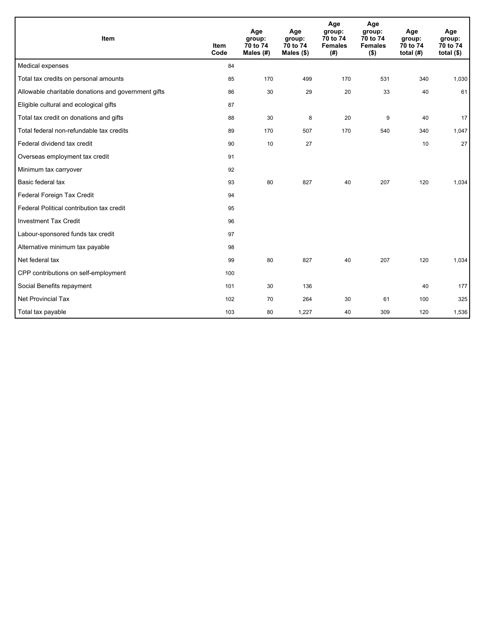| Item                                                | <b>Item</b><br>Code | Age<br>group:<br>70 to 74<br>Males (#) | Age<br>group:<br>70 to 74<br>Males $(\$)$ | Age<br>group:<br>70 to 74<br><b>Females</b><br>(#) | Age<br>group:<br>70 to 74<br><b>Females</b><br>$($ \$) | Age<br>group:<br>70 to 74<br>total $(H)$ | Age<br>group:<br>70 to 74<br>total $($)$ |
|-----------------------------------------------------|---------------------|----------------------------------------|-------------------------------------------|----------------------------------------------------|--------------------------------------------------------|------------------------------------------|------------------------------------------|
| Medical expenses                                    | 84                  |                                        |                                           |                                                    |                                                        |                                          |                                          |
| Total tax credits on personal amounts               | 85                  | 170                                    | 499                                       | 170                                                | 531                                                    | 340                                      | 1,030                                    |
| Allowable charitable donations and government gifts | 86                  | 30                                     | 29                                        | 20                                                 | 33                                                     | 40                                       | 61                                       |
| Eligible cultural and ecological gifts              | 87                  |                                        |                                           |                                                    |                                                        |                                          |                                          |
| Total tax credit on donations and gifts             | 88                  | 30                                     | 8                                         | 20                                                 | 9                                                      | 40                                       | 17                                       |
| Total federal non-refundable tax credits            | 89                  | 170                                    | 507                                       | 170                                                | 540                                                    | 340                                      | 1,047                                    |
| Federal dividend tax credit                         | 90                  | 10                                     | 27                                        |                                                    |                                                        | 10                                       | 27                                       |
| Overseas employment tax credit                      | 91                  |                                        |                                           |                                                    |                                                        |                                          |                                          |
| Minimum tax carryover                               | 92                  |                                        |                                           |                                                    |                                                        |                                          |                                          |
| Basic federal tax                                   | 93                  | 80                                     | 827                                       | 40                                                 | 207                                                    | 120                                      | 1,034                                    |
| Federal Foreign Tax Credit                          | 94                  |                                        |                                           |                                                    |                                                        |                                          |                                          |
| Federal Political contribution tax credit           | 95                  |                                        |                                           |                                                    |                                                        |                                          |                                          |
| <b>Investment Tax Credit</b>                        | 96                  |                                        |                                           |                                                    |                                                        |                                          |                                          |
| Labour-sponsored funds tax credit                   | 97                  |                                        |                                           |                                                    |                                                        |                                          |                                          |
| Alternative minimum tax payable                     | 98                  |                                        |                                           |                                                    |                                                        |                                          |                                          |
| Net federal tax                                     | 99                  | 80                                     | 827                                       | 40                                                 | 207                                                    | 120                                      | 1,034                                    |
| CPP contributions on self-employment                | 100                 |                                        |                                           |                                                    |                                                        |                                          |                                          |
| Social Benefits repayment                           | 101                 | 30                                     | 136                                       |                                                    |                                                        | 40                                       | 177                                      |
| <b>Net Provincial Tax</b>                           | 102                 | 70                                     | 264                                       | 30                                                 | 61                                                     | 100                                      | 325                                      |
| Total tax payable                                   | 103                 | 80                                     | 1,227                                     | 40                                                 | 309                                                    | 120                                      | 1,536                                    |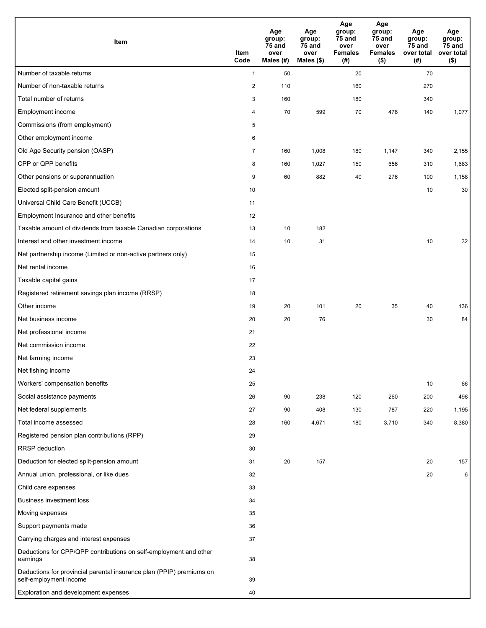| Item                                                                                           | Item<br>Code   | Age<br>group:<br>75 and<br>over<br>Males (#) | Age<br>group:<br>75 and<br>over<br>Males (\$) | Age<br>group:<br>75 and<br>over<br><b>Females</b><br>(#) | Age<br>group:<br>$75$ and<br>over<br><b>Females</b><br>$($ \$) | Age<br>group:<br>75 and<br>over total<br>(#) | Age<br>group:<br>75 and<br>over total<br>$($ \$) |
|------------------------------------------------------------------------------------------------|----------------|----------------------------------------------|-----------------------------------------------|----------------------------------------------------------|----------------------------------------------------------------|----------------------------------------------|--------------------------------------------------|
| Number of taxable returns                                                                      | $\mathbf{1}$   | 50                                           |                                               | 20                                                       |                                                                | 70                                           |                                                  |
| Number of non-taxable returns                                                                  | $\overline{c}$ | 110                                          |                                               | 160                                                      |                                                                | 270                                          |                                                  |
| Total number of returns                                                                        | 3              | 160                                          |                                               | 180                                                      |                                                                | 340                                          |                                                  |
| <b>Employment income</b>                                                                       | 4              | 70                                           | 599                                           | 70                                                       | 478                                                            | 140                                          | 1,077                                            |
| Commissions (from employment)                                                                  | 5              |                                              |                                               |                                                          |                                                                |                                              |                                                  |
| Other employment income                                                                        | 6              |                                              |                                               |                                                          |                                                                |                                              |                                                  |
| Old Age Security pension (OASP)                                                                | $\overline{7}$ | 160                                          | 1,008                                         | 180                                                      | 1,147                                                          | 340                                          | 2,155                                            |
| CPP or QPP benefits                                                                            | 8              | 160                                          | 1,027                                         | 150                                                      | 656                                                            | 310                                          | 1,683                                            |
| Other pensions or superannuation                                                               | 9              | 60                                           | 882                                           | 40                                                       | 276                                                            | 100                                          | 1,158                                            |
| Elected split-pension amount                                                                   | 10             |                                              |                                               |                                                          |                                                                | 10                                           | 30                                               |
| Universal Child Care Benefit (UCCB)                                                            | 11             |                                              |                                               |                                                          |                                                                |                                              |                                                  |
| Employment Insurance and other benefits                                                        | 12             |                                              |                                               |                                                          |                                                                |                                              |                                                  |
| Taxable amount of dividends from taxable Canadian corporations                                 | 13             | 10                                           | 182                                           |                                                          |                                                                |                                              |                                                  |
| Interest and other investment income                                                           | 14             | 10                                           | 31                                            |                                                          |                                                                | 10                                           | 32                                               |
| Net partnership income (Limited or non-active partners only)                                   | 15             |                                              |                                               |                                                          |                                                                |                                              |                                                  |
| Net rental income                                                                              | 16             |                                              |                                               |                                                          |                                                                |                                              |                                                  |
| Taxable capital gains                                                                          | 17             |                                              |                                               |                                                          |                                                                |                                              |                                                  |
| Registered retirement savings plan income (RRSP)                                               | 18             |                                              |                                               |                                                          |                                                                |                                              |                                                  |
| Other income                                                                                   | 19             | 20                                           | 101                                           | 20                                                       | 35                                                             | 40                                           | 136                                              |
| Net business income                                                                            | 20             | 20                                           | 76                                            |                                                          |                                                                | 30                                           | 84                                               |
| Net professional income                                                                        | 21             |                                              |                                               |                                                          |                                                                |                                              |                                                  |
| Net commission income                                                                          | 22             |                                              |                                               |                                                          |                                                                |                                              |                                                  |
| Net farming income                                                                             | 23             |                                              |                                               |                                                          |                                                                |                                              |                                                  |
| Net fishing income                                                                             | 24             |                                              |                                               |                                                          |                                                                |                                              |                                                  |
| Workers' compensation benefits                                                                 | 25             |                                              |                                               |                                                          |                                                                | 10                                           | 66                                               |
| Social assistance payments                                                                     | 26             | 90                                           | 238                                           | 120                                                      | 260                                                            | 200                                          | 498                                              |
| Net federal supplements                                                                        | 27             | 90                                           | 408                                           | 130                                                      | 787                                                            | 220                                          | 1,195                                            |
| Total income assessed                                                                          | 28             | 160                                          | 4,671                                         | 180                                                      | 3,710                                                          | 340                                          | 8,380                                            |
| Registered pension plan contributions (RPP)                                                    | 29             |                                              |                                               |                                                          |                                                                |                                              |                                                  |
| RRSP deduction                                                                                 | 30             |                                              |                                               |                                                          |                                                                |                                              |                                                  |
| Deduction for elected split-pension amount                                                     | 31             | 20                                           | 157                                           |                                                          |                                                                | 20                                           | 157                                              |
| Annual union, professional, or like dues                                                       | 32             |                                              |                                               |                                                          |                                                                | 20                                           | 6                                                |
| Child care expenses                                                                            | 33             |                                              |                                               |                                                          |                                                                |                                              |                                                  |
| <b>Business investment loss</b>                                                                | 34             |                                              |                                               |                                                          |                                                                |                                              |                                                  |
| Moving expenses                                                                                | 35             |                                              |                                               |                                                          |                                                                |                                              |                                                  |
| Support payments made                                                                          | 36             |                                              |                                               |                                                          |                                                                |                                              |                                                  |
| Carrying charges and interest expenses                                                         | 37             |                                              |                                               |                                                          |                                                                |                                              |                                                  |
| Deductions for CPP/QPP contributions on self-employment and other<br>earnings                  | 38             |                                              |                                               |                                                          |                                                                |                                              |                                                  |
| Deductions for provincial parental insurance plan (PPIP) premiums on<br>self-employment income | 39             |                                              |                                               |                                                          |                                                                |                                              |                                                  |
| Exploration and development expenses                                                           | 40             |                                              |                                               |                                                          |                                                                |                                              |                                                  |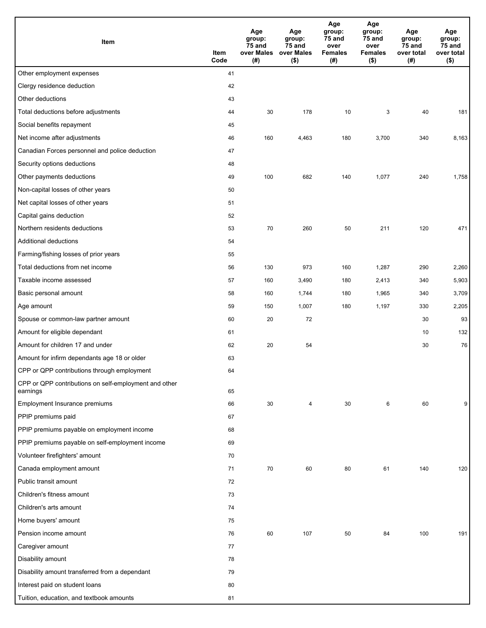| Item                                                              | Item<br>Code | Age<br>group:<br>75 and<br>over Males<br>(#) | Age<br>group:<br>75 and<br>over Males<br>$($ \$) | Age<br>group:<br>75 and<br>over<br><b>Females</b><br>(#) | Age<br>group:<br>75 and<br>over<br><b>Females</b><br>$($ \$) | Age<br>group:<br>75 and<br>over total<br>(#) | Age<br>group:<br>75 and<br>over total<br>$($ \$) |
|-------------------------------------------------------------------|--------------|----------------------------------------------|--------------------------------------------------|----------------------------------------------------------|--------------------------------------------------------------|----------------------------------------------|--------------------------------------------------|
| Other employment expenses                                         | 41           |                                              |                                                  |                                                          |                                                              |                                              |                                                  |
| Clergy residence deduction                                        | 42           |                                              |                                                  |                                                          |                                                              |                                              |                                                  |
| Other deductions                                                  | 43           |                                              |                                                  |                                                          |                                                              |                                              |                                                  |
| Total deductions before adjustments                               | 44           | 30                                           | 178                                              | 10                                                       | 3                                                            | 40                                           | 181                                              |
| Social benefits repayment                                         | 45           |                                              |                                                  |                                                          |                                                              |                                              |                                                  |
| Net income after adjustments                                      | 46           | 160                                          | 4,463                                            | 180                                                      | 3,700                                                        | 340                                          | 8,163                                            |
| Canadian Forces personnel and police deduction                    | 47           |                                              |                                                  |                                                          |                                                              |                                              |                                                  |
| Security options deductions                                       | 48           |                                              |                                                  |                                                          |                                                              |                                              |                                                  |
| Other payments deductions                                         | 49           | 100                                          | 682                                              | 140                                                      | 1,077                                                        | 240                                          | 1,758                                            |
| Non-capital losses of other years                                 | 50           |                                              |                                                  |                                                          |                                                              |                                              |                                                  |
| Net capital losses of other years                                 | 51           |                                              |                                                  |                                                          |                                                              |                                              |                                                  |
| Capital gains deduction                                           | 52           |                                              |                                                  |                                                          |                                                              |                                              |                                                  |
| Northern residents deductions                                     | 53           | 70                                           | 260                                              | 50                                                       | 211                                                          | 120                                          | 471                                              |
| Additional deductions                                             | 54           |                                              |                                                  |                                                          |                                                              |                                              |                                                  |
| Farming/fishing losses of prior years                             | 55           |                                              |                                                  |                                                          |                                                              |                                              |                                                  |
| Total deductions from net income                                  | 56           | 130                                          | 973                                              | 160                                                      | 1,287                                                        | 290                                          | 2,260                                            |
| Taxable income assessed                                           | 57           | 160                                          | 3,490                                            | 180                                                      | 2,413                                                        | 340                                          | 5,903                                            |
| Basic personal amount                                             | 58           | 160                                          | 1,744                                            | 180                                                      | 1,965                                                        | 340                                          | 3,709                                            |
| Age amount                                                        | 59           | 150                                          | 1,007                                            | 180                                                      | 1,197                                                        | 330                                          | 2,205                                            |
| Spouse or common-law partner amount                               | 60           | 20                                           | 72                                               |                                                          |                                                              | 30                                           | 93                                               |
| Amount for eligible dependant                                     | 61           |                                              |                                                  |                                                          |                                                              | 10                                           | 132                                              |
| Amount for children 17 and under                                  | 62           | 20                                           | 54                                               |                                                          |                                                              | 30                                           | 76                                               |
| Amount for infirm dependants age 18 or older                      | 63           |                                              |                                                  |                                                          |                                                              |                                              |                                                  |
| CPP or QPP contributions through employment                       | 64           |                                              |                                                  |                                                          |                                                              |                                              |                                                  |
| CPP or QPP contributions on self-employment and other<br>earnings | 65           |                                              |                                                  |                                                          |                                                              |                                              |                                                  |
| Employment Insurance premiums                                     | 66           | 30                                           | 4                                                | 30                                                       | 6                                                            | 60                                           | 9                                                |
| PPIP premiums paid                                                | 67           |                                              |                                                  |                                                          |                                                              |                                              |                                                  |
| PPIP premiums payable on employment income                        | 68           |                                              |                                                  |                                                          |                                                              |                                              |                                                  |
| PPIP premiums payable on self-employment income                   | 69           |                                              |                                                  |                                                          |                                                              |                                              |                                                  |
| Volunteer firefighters' amount                                    | 70           |                                              |                                                  |                                                          |                                                              |                                              |                                                  |
| Canada employment amount                                          | 71           | 70                                           | 60                                               | 80                                                       | 61                                                           | 140                                          | 120                                              |
| Public transit amount                                             | 72           |                                              |                                                  |                                                          |                                                              |                                              |                                                  |
| Children's fitness amount                                         | 73           |                                              |                                                  |                                                          |                                                              |                                              |                                                  |
| Children's arts amount                                            | 74           |                                              |                                                  |                                                          |                                                              |                                              |                                                  |
| Home buyers' amount                                               | 75           |                                              |                                                  |                                                          |                                                              |                                              |                                                  |
| Pension income amount                                             | 76           | 60                                           | 107                                              | 50                                                       | 84                                                           | 100                                          | 191                                              |
| Caregiver amount                                                  | 77           |                                              |                                                  |                                                          |                                                              |                                              |                                                  |
| Disability amount                                                 | 78           |                                              |                                                  |                                                          |                                                              |                                              |                                                  |
| Disability amount transferred from a dependant                    | 79           |                                              |                                                  |                                                          |                                                              |                                              |                                                  |
| Interest paid on student loans                                    | 80           |                                              |                                                  |                                                          |                                                              |                                              |                                                  |
| Tuition, education, and textbook amounts                          | 81           |                                              |                                                  |                                                          |                                                              |                                              |                                                  |